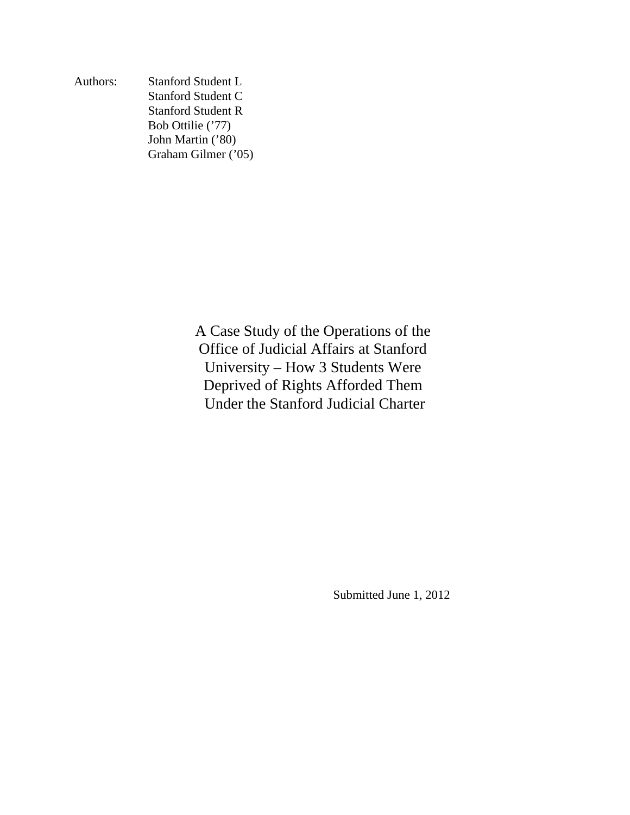Authors: Stanford Student L Stanford Student C Stanford Student R Bob Ottilie ('77) John Martin ('80) Graham Gilmer ('05)

> A Case Study of the Operations of the Office of Judicial Affairs at Stanford University – How 3 Students Were Deprived of Rights Afforded Them Under the Stanford Judicial Charter

> > Submitted June 1, 2012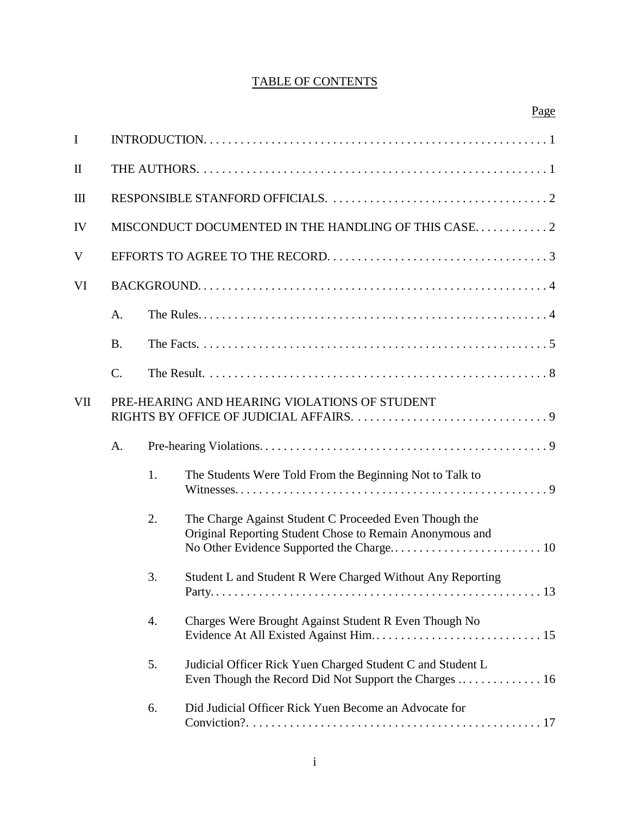# TABLE OF CONTENTS

|                                                      |                                                     |    | Page                                                                                                                 |
|------------------------------------------------------|-----------------------------------------------------|----|----------------------------------------------------------------------------------------------------------------------|
| $\mathbf I$                                          |                                                     |    |                                                                                                                      |
| $\mathbf{I}$                                         |                                                     |    |                                                                                                                      |
| Ш                                                    |                                                     |    |                                                                                                                      |
| IV                                                   | MISCONDUCT DOCUMENTED IN THE HANDLING OF THIS CASE2 |    |                                                                                                                      |
| V                                                    |                                                     |    |                                                                                                                      |
| VI                                                   |                                                     |    |                                                                                                                      |
|                                                      | A.                                                  |    |                                                                                                                      |
|                                                      | <b>B.</b>                                           |    |                                                                                                                      |
|                                                      | $\mathcal{C}$ .                                     |    |                                                                                                                      |
| PRE-HEARING AND HEARING VIOLATIONS OF STUDENT<br>VII |                                                     |    |                                                                                                                      |
|                                                      | A.                                                  |    |                                                                                                                      |
|                                                      |                                                     | 1. | The Students Were Told From the Beginning Not to Talk to                                                             |
|                                                      |                                                     | 2. | The Charge Against Student C Proceeded Even Though the<br>Original Reporting Student Chose to Remain Anonymous and   |
|                                                      |                                                     | 3. | Student L and Student R Were Charged Without Any Reporting                                                           |
|                                                      |                                                     | 4. | Charges Were Brought Against Student R Even Though No                                                                |
|                                                      |                                                     | 5. | Judicial Officer Rick Yuen Charged Student C and Student L<br>Even Though the Record Did Not Support the Charges  16 |
|                                                      |                                                     | 6. | Did Judicial Officer Rick Yuen Become an Advocate for                                                                |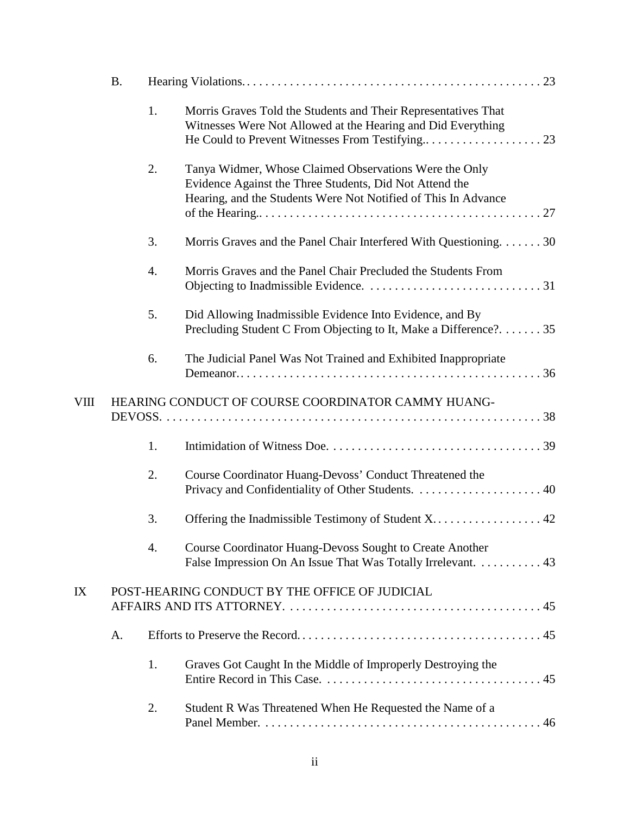|    | <b>B.</b>                                          |    |                                                                                                                                                                                     |  |
|----|----------------------------------------------------|----|-------------------------------------------------------------------------------------------------------------------------------------------------------------------------------------|--|
|    |                                                    | 1. | Morris Graves Told the Students and Their Representatives That<br>Witnesses Were Not Allowed at the Hearing and Did Everything                                                      |  |
|    |                                                    | 2. | Tanya Widmer, Whose Claimed Observations Were the Only<br>Evidence Against the Three Students, Did Not Attend the<br>Hearing, and the Students Were Not Notified of This In Advance |  |
|    |                                                    | 3. | Morris Graves and the Panel Chair Interfered With Questioning30                                                                                                                     |  |
|    |                                                    | 4. | Morris Graves and the Panel Chair Precluded the Students From                                                                                                                       |  |
|    |                                                    | 5. | Did Allowing Inadmissible Evidence Into Evidence, and By<br>Precluding Student C From Objecting to It, Make a Difference?35                                                         |  |
|    |                                                    | 6. | The Judicial Panel Was Not Trained and Exhibited Inappropriate                                                                                                                      |  |
| VШ | HEARING CONDUCT OF COURSE COORDINATOR CAMMY HUANG- |    |                                                                                                                                                                                     |  |
|    |                                                    | 1. |                                                                                                                                                                                     |  |
|    |                                                    | 2. | Course Coordinator Huang-Devoss' Conduct Threatened the                                                                                                                             |  |
|    |                                                    | 3. |                                                                                                                                                                                     |  |
|    |                                                    | 4. | <b>Course Coordinator Huang-Devoss Sought to Create Another</b><br>False Impression On An Issue That Was Totally Irrelevant. 43                                                     |  |
| IX |                                                    |    | POST-HEARING CONDUCT BY THE OFFICE OF JUDICIAL                                                                                                                                      |  |
|    | A.                                                 |    |                                                                                                                                                                                     |  |
|    |                                                    | 1. | Graves Got Caught In the Middle of Improperly Destroying the                                                                                                                        |  |
|    |                                                    | 2. | Student R Was Threatened When He Requested the Name of a                                                                                                                            |  |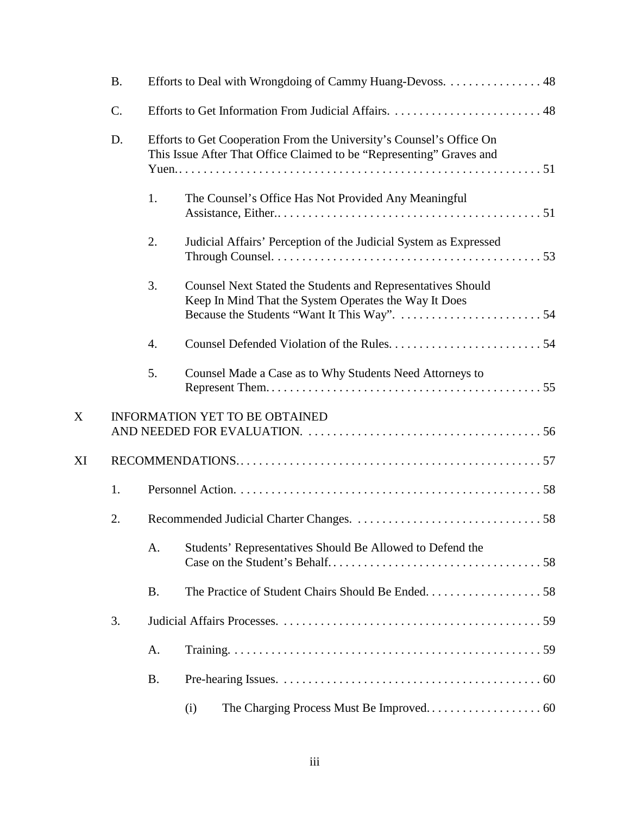|    | <b>B.</b> |           | Efforts to Deal with Wrongdoing of Cammy Huang-Devoss. 48                                                                                    |  |  |
|----|-----------|-----------|----------------------------------------------------------------------------------------------------------------------------------------------|--|--|
|    | C.        |           |                                                                                                                                              |  |  |
|    | D.        |           | Efforts to Get Cooperation From the University's Counsel's Office On<br>This Issue After That Office Claimed to be "Representing" Graves and |  |  |
|    |           | 1.        | The Counsel's Office Has Not Provided Any Meaningful                                                                                         |  |  |
|    |           | 2.        | Judicial Affairs' Perception of the Judicial System as Expressed                                                                             |  |  |
|    |           | 3.        | <b>Counsel Next Stated the Students and Representatives Should</b><br>Keep In Mind That the System Operates the Way It Does                  |  |  |
|    |           | 4.        |                                                                                                                                              |  |  |
|    |           | 5.        | Counsel Made a Case as to Why Students Need Attorneys to                                                                                     |  |  |
| X  |           |           | <b>INFORMATION YET TO BE OBTAINED</b>                                                                                                        |  |  |
| XI |           |           |                                                                                                                                              |  |  |
|    | 1.        |           |                                                                                                                                              |  |  |
|    | 2.        |           |                                                                                                                                              |  |  |
|    |           | A.        | Students' Representatives Should Be Allowed to Defend the                                                                                    |  |  |
|    |           | <b>B.</b> |                                                                                                                                              |  |  |
|    | 3.        |           |                                                                                                                                              |  |  |
|    |           | A.        |                                                                                                                                              |  |  |
|    |           | <b>B.</b> |                                                                                                                                              |  |  |
|    |           |           | (i)                                                                                                                                          |  |  |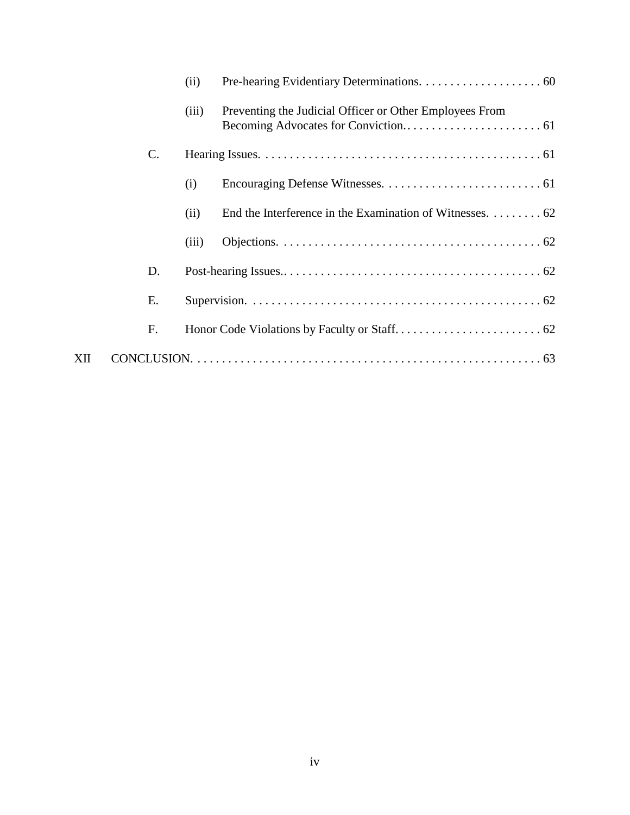|     |                 | (ii)  |                                                          |
|-----|-----------------|-------|----------------------------------------------------------|
|     |                 | (iii) | Preventing the Judicial Officer or Other Employees From  |
|     | $\mathcal{C}$ . |       |                                                          |
|     |                 | (i)   |                                                          |
|     |                 | (ii)  | End the Interference in the Examination of Witnesses. 62 |
|     |                 | (iii) |                                                          |
|     | D.              |       |                                                          |
|     | Е.              |       |                                                          |
|     | F.              |       |                                                          |
| XII |                 |       |                                                          |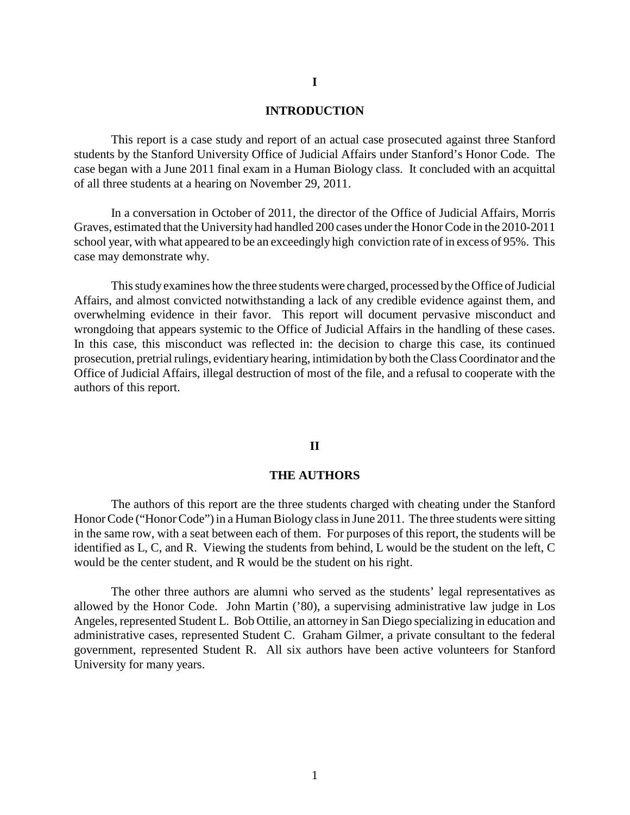#### **INTRODUCTION**

This report is a case study and report of an actual case prosecuted against three Stanford students by the Stanford University Office of Judicial Affairs under Stanford's Honor Code. The case began with a June 2011 final exam in a Human Biology class. It concluded with an acquittal of all three students at a hearing on November 29, 2011.

In a conversation in October of 2011, the director of the Office of Judicial Affairs, Morris Graves, estimated that the University had handled 200 cases under the Honor Code in the 2010-2011 school year, with what appeared to be an exceedingly high conviction rate of in excess of 95%. This case may demonstrate why.

This study examines how the three students were charged, processed bythe Office of Judicial Affairs, and almost convicted notwithstanding a lack of any credible evidence against them, and overwhelming evidence in their favor. This report will document pervasive misconduct and wrongdoing that appears systemic to the Office of Judicial Affairs in the handling of these cases. In this case, this misconduct was reflected in: the decision to charge this case, its continued prosecution, pretrial rulings, evidentiary hearing, intimidation by both the Class Coordinator and the Office of Judicial Affairs, illegal destruction of most of the file, and a refusal to cooperate with the authors of this report.

#### **II**

#### **THE AUTHORS**

The authors of this report are the three students charged with cheating under the Stanford Honor Code ("Honor Code") in a Human Biology class in June 2011. The three students were sitting in the same row, with a seat between each of them. For purposes of this report, the students will be identified as L, C, and R. Viewing the students from behind, L would be the student on the left, C would be the center student, and R would be the student on his right.

The other three authors are alumni who served as the students' legal representatives as allowed by the Honor Code. John Martin ('80), a supervising administrative law judge in Los Angeles, represented Student L. Bob Ottilie, an attorney in San Diego specializing in education and administrative cases, represented Student C. Graham Gilmer, a private consultant to the federal government, represented Student R. All six authors have been active volunteers for Stanford University for many years.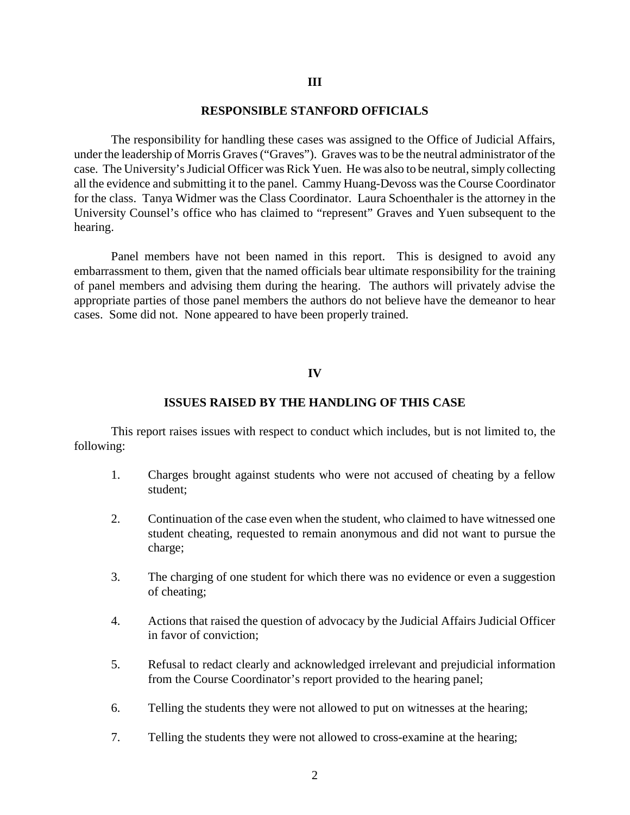#### **III**

#### **RESPONSIBLE STANFORD OFFICIALS**

The responsibility for handling these cases was assigned to the Office of Judicial Affairs, under the leadership of Morris Graves ("Graves"). Graves was to be the neutral administrator of the case. The University's Judicial Officer was Rick Yuen. He was also to be neutral, simply collecting all the evidence and submitting it to the panel. Cammy Huang-Devoss was the Course Coordinator for the class. Tanya Widmer was the Class Coordinator. Laura Schoenthaler is the attorney in the University Counsel's office who has claimed to "represent" Graves and Yuen subsequent to the hearing.

Panel members have not been named in this report. This is designed to avoid any embarrassment to them, given that the named officials bear ultimate responsibility for the training of panel members and advising them during the hearing. The authors will privately advise the appropriate parties of those panel members the authors do not believe have the demeanor to hear cases. Some did not. None appeared to have been properly trained.

#### **IV**

#### **ISSUES RAISED BY THE HANDLING OF THIS CASE**

This report raises issues with respect to conduct which includes, but is not limited to, the following:

- 1. Charges brought against students who were not accused of cheating by a fellow student;
- 2. Continuation of the case even when the student, who claimed to have witnessed one student cheating, requested to remain anonymous and did not want to pursue the charge;
- 3. The charging of one student for which there was no evidence or even a suggestion of cheating;
- 4. Actions that raised the question of advocacy by the Judicial Affairs Judicial Officer in favor of conviction;
- 5. Refusal to redact clearly and acknowledged irrelevant and prejudicial information from the Course Coordinator's report provided to the hearing panel;
- 6. Telling the students they were not allowed to put on witnesses at the hearing;
- 7. Telling the students they were not allowed to cross-examine at the hearing;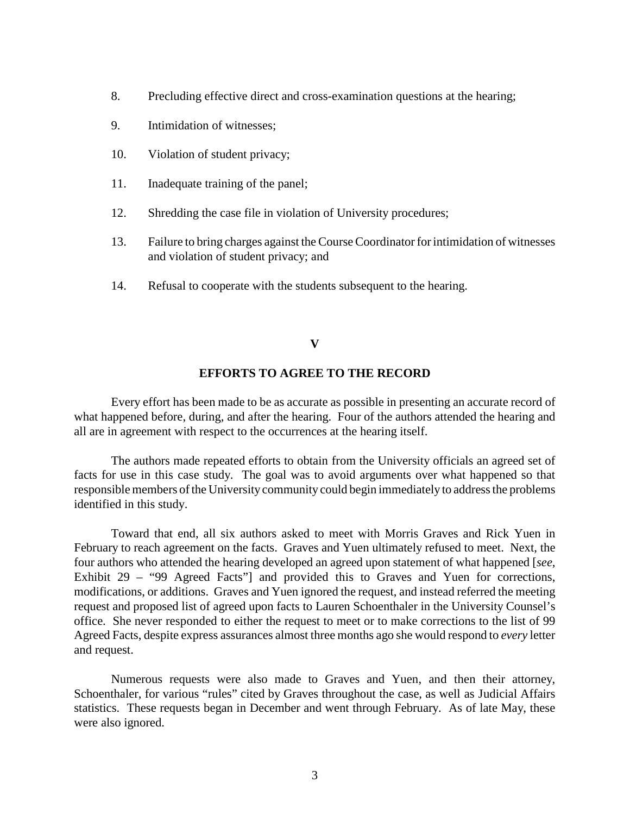- 8. Precluding effective direct and cross-examination questions at the hearing;
- 9. Intimidation of witnesses;
- 10. Violation of student privacy;
- 11. Inadequate training of the panel;
- 12. Shredding the case file in violation of University procedures;
- 13. Failure to bring charges against the Course Coordinator for intimidation of witnesses and violation of student privacy; and
- 14. Refusal to cooperate with the students subsequent to the hearing.

### **V**

# **EFFORTS TO AGREE TO THE RECORD**

Every effort has been made to be as accurate as possible in presenting an accurate record of what happened before, during, and after the hearing. Four of the authors attended the hearing and all are in agreement with respect to the occurrences at the hearing itself.

The authors made repeated efforts to obtain from the University officials an agreed set of facts for use in this case study. The goal was to avoid arguments over what happened so that responsible members of the University community could begin immediately to address the problems identified in this study.

Toward that end, all six authors asked to meet with Morris Graves and Rick Yuen in February to reach agreement on the facts. Graves and Yuen ultimately refused to meet. Next, the four authors who attended the hearing developed an agreed upon statement of what happened [*see*, Exhibit 29 – "99 Agreed Facts"] and provided this to Graves and Yuen for corrections, modifications, or additions. Graves and Yuen ignored the request, and instead referred the meeting request and proposed list of agreed upon facts to Lauren Schoenthaler in the University Counsel's office. She never responded to either the request to meet or to make corrections to the list of 99 Agreed Facts, despite express assurances almost three months ago she would respond to *every* letter and request.

Numerous requests were also made to Graves and Yuen, and then their attorney, Schoenthaler, for various "rules" cited by Graves throughout the case, as well as Judicial Affairs statistics. These requests began in December and went through February. As of late May, these were also ignored.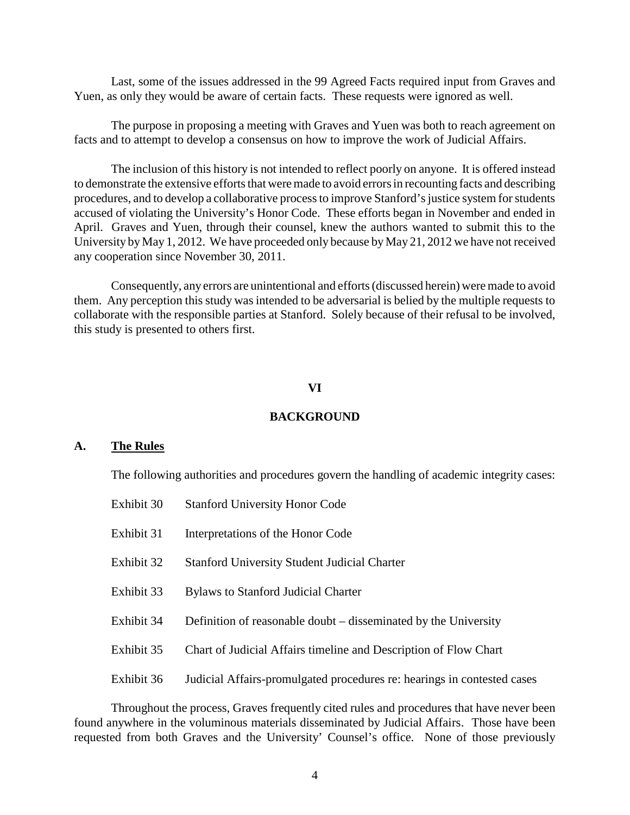Last, some of the issues addressed in the 99 Agreed Facts required input from Graves and Yuen, as only they would be aware of certain facts. These requests were ignored as well.

The purpose in proposing a meeting with Graves and Yuen was both to reach agreement on facts and to attempt to develop a consensus on how to improve the work of Judicial Affairs.

The inclusion of this history is not intended to reflect poorly on anyone. It is offered instead to demonstrate the extensive efforts that were made to avoid errors in recounting facts and describing procedures, and to develop a collaborative process to improve Stanford's justice system for students accused of violating the University's Honor Code. These efforts began in November and ended in April. Graves and Yuen, through their counsel, knew the authors wanted to submit this to the University byMay 1, 2012. We have proceeded only because byMay 21, 2012 we have not received any cooperation since November 30, 2011.

Consequently, any errors are unintentional and efforts (discussed herein) were made to avoid them. Any perception this study was intended to be adversarial is belied by the multiple requests to collaborate with the responsible parties at Stanford. Solely because of their refusal to be involved, this study is presented to others first.

#### **VI**

#### **BACKGROUND**

#### **A. The Rules**

The following authorities and procedures govern the handling of academic integrity cases:

Exhibit 30 Stanford University Honor Code Exhibit 31 Interpretations of the Honor Code Exhibit 32 Stanford University Student Judicial Charter Exhibit 33 Bylaws to Stanford Judicial Charter Exhibit 34 Definition of reasonable doubt – disseminated by the University Exhibit 35 Chart of Judicial Affairs timeline and Description of Flow Chart Exhibit 36 Judicial Affairs-promulgated procedures re: hearings in contested cases

Throughout the process, Graves frequently cited rules and procedures that have never been found anywhere in the voluminous materials disseminated by Judicial Affairs. Those have been requested from both Graves and the University' Counsel's office. None of those previously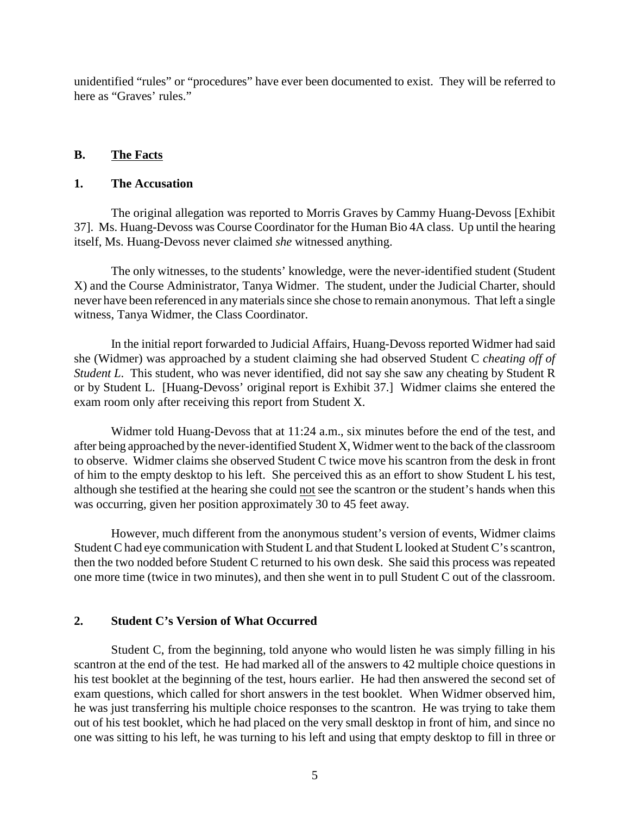unidentified "rules" or "procedures" have ever been documented to exist. They will be referred to here as "Graves' rules."

### **B. The Facts**

#### **1. The Accusation**

The original allegation was reported to Morris Graves by Cammy Huang-Devoss [Exhibit 37]. Ms. Huang-Devoss was Course Coordinator for the Human Bio 4A class. Up until the hearing itself, Ms. Huang-Devoss never claimed *she* witnessed anything.

The only witnesses, to the students' knowledge, were the never-identified student (Student X) and the Course Administrator, Tanya Widmer. The student, under the Judicial Charter, should never have been referenced in anymaterials since she chose to remain anonymous. That left a single witness, Tanya Widmer, the Class Coordinator.

In the initial report forwarded to Judicial Affairs, Huang-Devoss reported Widmer had said she (Widmer) was approached by a student claiming she had observed Student C *cheating off of Student L*. This student, who was never identified, did not say she saw any cheating by Student R or by Student L. [Huang-Devoss' original report is Exhibit 37.] Widmer claims she entered the exam room only after receiving this report from Student X.

Widmer told Huang-Devoss that at 11:24 a.m., six minutes before the end of the test, and after being approached by the never-identified Student X, Widmer went to the back of the classroom to observe. Widmer claims she observed Student C twice move his scantron from the desk in front of him to the empty desktop to his left. She perceived this as an effort to show Student L his test, although she testified at the hearing she could not see the scantron or the student's hands when this was occurring, given her position approximately 30 to 45 feet away.

However, much different from the anonymous student's version of events, Widmer claims Student C had eye communication with Student L and that Student L looked at Student C's scantron, then the two nodded before Student C returned to his own desk. She said this process was repeated one more time (twice in two minutes), and then she went in to pull Student C out of the classroom.

#### **2. Student C's Version of What Occurred**

Student C, from the beginning, told anyone who would listen he was simply filling in his scantron at the end of the test. He had marked all of the answers to 42 multiple choice questions in his test booklet at the beginning of the test, hours earlier. He had then answered the second set of exam questions, which called for short answers in the test booklet. When Widmer observed him, he was just transferring his multiple choice responses to the scantron. He was trying to take them out of his test booklet, which he had placed on the very small desktop in front of him, and since no one was sitting to his left, he was turning to his left and using that empty desktop to fill in three or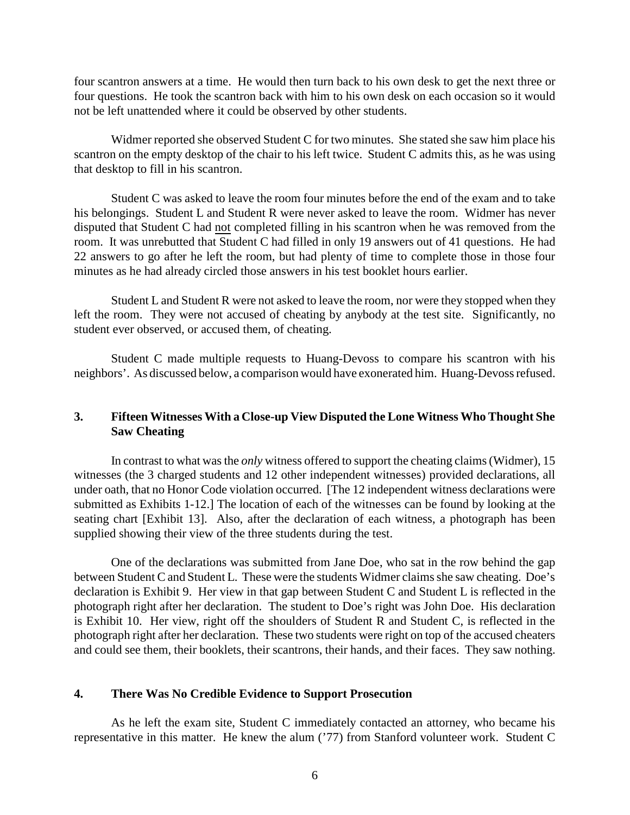four scantron answers at a time. He would then turn back to his own desk to get the next three or four questions. He took the scantron back with him to his own desk on each occasion so it would not be left unattended where it could be observed by other students.

Widmer reported she observed Student C for two minutes. She stated she saw him place his scantron on the empty desktop of the chair to his left twice. Student C admits this, as he was using that desktop to fill in his scantron.

Student C was asked to leave the room four minutes before the end of the exam and to take his belongings. Student L and Student R were never asked to leave the room. Widmer has never disputed that Student C had not completed filling in his scantron when he was removed from the room. It was unrebutted that Student C had filled in only 19 answers out of 41 questions. He had 22 answers to go after he left the room, but had plenty of time to complete those in those four minutes as he had already circled those answers in his test booklet hours earlier.

Student L and Student R were not asked to leave the room, nor were they stopped when they left the room. They were not accused of cheating by anybody at the test site. Significantly, no student ever observed, or accused them, of cheating.

Student C made multiple requests to Huang-Devoss to compare his scantron with his neighbors'. As discussed below, a comparison would have exonerated him. Huang-Devoss refused.

#### **3. Fifteen Witnesses With a Close-up View Disputed the Lone Witness Who Thought She Saw Cheating**

In contrast to what was the *only* witness offered to support the cheating claims (Widmer), 15 witnesses (the 3 charged students and 12 other independent witnesses) provided declarations, all under oath, that no Honor Code violation occurred. [The 12 independent witness declarations were submitted as Exhibits 1-12.] The location of each of the witnesses can be found by looking at the seating chart [Exhibit 13]. Also, after the declaration of each witness, a photograph has been supplied showing their view of the three students during the test.

One of the declarations was submitted from Jane Doe, who sat in the row behind the gap between Student C and Student L. These were the students Widmer claims she saw cheating. Doe's declaration is Exhibit 9. Her view in that gap between Student C and Student L is reflected in the photograph right after her declaration. The student to Doe's right was John Doe. His declaration is Exhibit 10. Her view, right off the shoulders of Student R and Student C, is reflected in the photograph right after her declaration. These two students were right on top of the accused cheaters and could see them, their booklets, their scantrons, their hands, and their faces. They saw nothing.

#### **4. There Was No Credible Evidence to Support Prosecution**

As he left the exam site, Student C immediately contacted an attorney, who became his representative in this matter. He knew the alum ('77) from Stanford volunteer work. Student C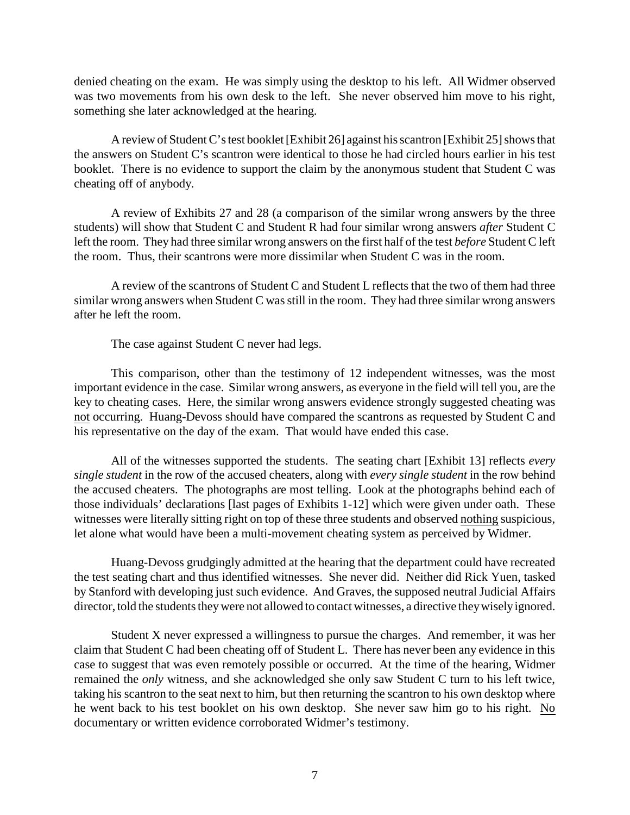denied cheating on the exam. He was simply using the desktop to his left. All Widmer observed was two movements from his own desk to the left. She never observed him move to his right, something she later acknowledged at the hearing.

A review of Student C's test booklet [Exhibit 26] against his scantron [Exhibit 25] shows that the answers on Student C's scantron were identical to those he had circled hours earlier in his test booklet. There is no evidence to support the claim by the anonymous student that Student C was cheating off of anybody.

A review of Exhibits 27 and 28 (a comparison of the similar wrong answers by the three students) will show that Student C and Student R had four similar wrong answers *after* Student C left the room. They had three similar wrong answers on the first half of the test *before* Student C left the room. Thus, their scantrons were more dissimilar when Student C was in the room.

A review of the scantrons of Student C and Student L reflects that the two of them had three similar wrong answers when Student C was still in the room. They had three similar wrong answers after he left the room.

The case against Student C never had legs.

This comparison, other than the testimony of 12 independent witnesses, was the most important evidence in the case. Similar wrong answers, as everyone in the field will tell you, are the key to cheating cases. Here, the similar wrong answers evidence strongly suggested cheating was not occurring. Huang-Devoss should have compared the scantrons as requested by Student C and his representative on the day of the exam. That would have ended this case.

All of the witnesses supported the students. The seating chart [Exhibit 13] reflects *every single student* in the row of the accused cheaters, along with *every single student* in the row behind the accused cheaters. The photographs are most telling. Look at the photographs behind each of those individuals' declarations [last pages of Exhibits 1-12] which were given under oath. These witnesses were literally sitting right on top of these three students and observed nothing suspicious, let alone what would have been a multi-movement cheating system as perceived by Widmer.

Huang-Devoss grudgingly admitted at the hearing that the department could have recreated the test seating chart and thus identified witnesses. She never did. Neither did Rick Yuen, tasked by Stanford with developing just such evidence. And Graves, the supposed neutral Judicial Affairs director, told the students they were not allowed to contact witnesses, a directive they wisely ignored.

Student X never expressed a willingness to pursue the charges. And remember, it was her claim that Student C had been cheating off of Student L. There has never been any evidence in this case to suggest that was even remotely possible or occurred. At the time of the hearing, Widmer remained the *only* witness, and she acknowledged she only saw Student C turn to his left twice, taking his scantron to the seat next to him, but then returning the scantron to his own desktop where he went back to his test booklet on his own desktop. She never saw him go to his right. No documentary or written evidence corroborated Widmer's testimony.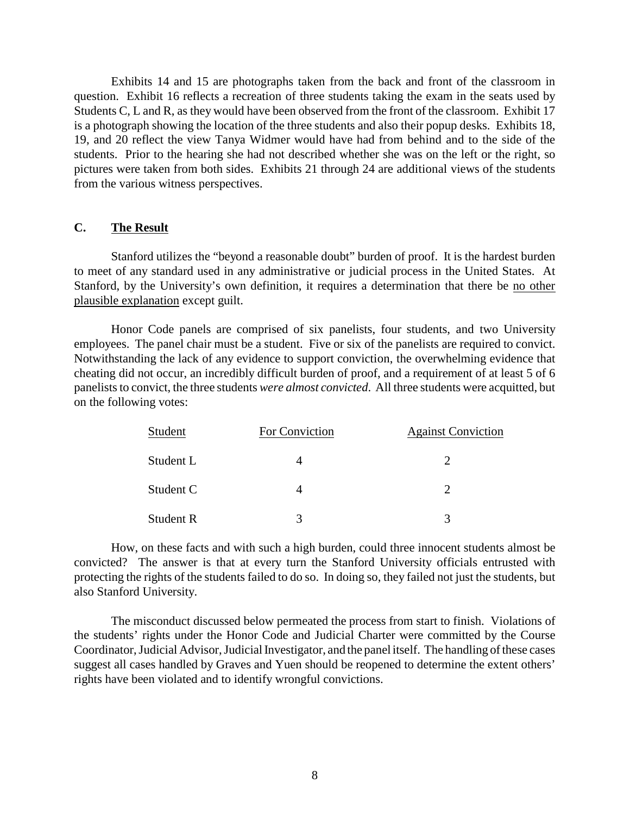Exhibits 14 and 15 are photographs taken from the back and front of the classroom in question. Exhibit 16 reflects a recreation of three students taking the exam in the seats used by Students C, L and R, as they would have been observed from the front of the classroom. Exhibit 17 is a photograph showing the location of the three students and also their popup desks. Exhibits 18, 19, and 20 reflect the view Tanya Widmer would have had from behind and to the side of the students. Prior to the hearing she had not described whether she was on the left or the right, so pictures were taken from both sides. Exhibits 21 through 24 are additional views of the students from the various witness perspectives.

## **C. The Result**

Stanford utilizes the "beyond a reasonable doubt" burden of proof. It is the hardest burden to meet of any standard used in any administrative or judicial process in the United States. At Stanford, by the University's own definition, it requires a determination that there be no other plausible explanation except guilt.

Honor Code panels are comprised of six panelists, four students, and two University employees. The panel chair must be a student. Five or six of the panelists are required to convict. Notwithstanding the lack of any evidence to support conviction, the overwhelming evidence that cheating did not occur, an incredibly difficult burden of proof, and a requirement of at least 5 of 6 panelists to convict, the three students *were almost convicted*. All three students were acquitted, but on the following votes:

| Student          | For Conviction | <b>Against Conviction</b> |
|------------------|----------------|---------------------------|
| Student L        |                |                           |
| Student C        |                |                           |
| <b>Student R</b> |                |                           |

How, on these facts and with such a high burden, could three innocent students almost be convicted? The answer is that at every turn the Stanford University officials entrusted with protecting the rights of the students failed to do so. In doing so, they failed not just the students, but also Stanford University.

The misconduct discussed below permeated the process from start to finish. Violations of the students' rights under the Honor Code and Judicial Charter were committed by the Course Coordinator, Judicial Advisor, Judicial Investigator, and the panel itself. The handling of these cases suggest all cases handled by Graves and Yuen should be reopened to determine the extent others' rights have been violated and to identify wrongful convictions.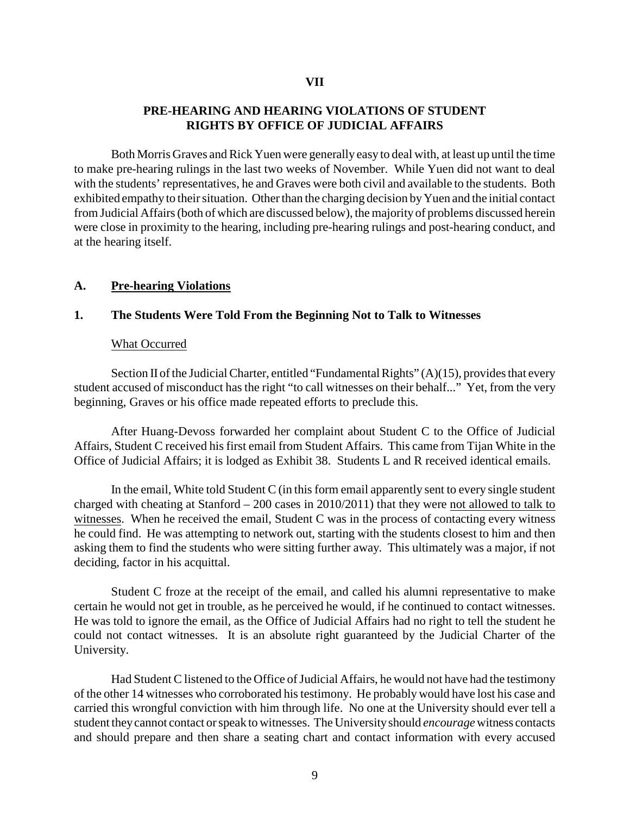#### **VII**

### **PRE-HEARING AND HEARING VIOLATIONS OF STUDENT RIGHTS BY OFFICE OF JUDICIAL AFFAIRS**

Both Morris Graves and Rick Yuen were generally easy to deal with, at least up until the time to make pre-hearing rulings in the last two weeks of November. While Yuen did not want to deal with the students' representatives, he and Graves were both civil and available to the students. Both exhibited empathy to their situation. Other than the charging decision by Yuen and the initial contact from Judicial Affairs (both of which are discussed below), the majority of problems discussed herein were close in proximity to the hearing, including pre-hearing rulings and post-hearing conduct, and at the hearing itself.

#### **A. Pre-hearing Violations**

#### **1. The Students Were Told From the Beginning Not to Talk to Witnesses**

#### What Occurred

Section II of the Judicial Charter, entitled "Fundamental Rights" (A)(15), provides that every student accused of misconduct has the right "to call witnesses on their behalf..." Yet, from the very beginning, Graves or his office made repeated efforts to preclude this.

After Huang-Devoss forwarded her complaint about Student C to the Office of Judicial Affairs, Student C received his first email from Student Affairs. This came from Tijan White in the Office of Judicial Affairs; it is lodged as Exhibit 38. Students L and R received identical emails.

In the email, White told Student C (in this form email apparently sent to every single student charged with cheating at Stanford – 200 cases in 2010/2011) that they were not allowed to talk to witnesses. When he received the email, Student C was in the process of contacting every witness he could find. He was attempting to network out, starting with the students closest to him and then asking them to find the students who were sitting further away. This ultimately was a major, if not deciding, factor in his acquittal.

Student C froze at the receipt of the email, and called his alumni representative to make certain he would not get in trouble, as he perceived he would, if he continued to contact witnesses. He was told to ignore the email, as the Office of Judicial Affairs had no right to tell the student he could not contact witnesses. It is an absolute right guaranteed by the Judicial Charter of the University.

Had Student C listened to the Office of Judicial Affairs, he would not have had the testimony of the other 14 witnesses who corroborated his testimony. He probablywould have lost his case and carried this wrongful conviction with him through life. No one at the University should ever tell a student theycannot contact or speak to witnesses. The Universityshould *encourage*witness contacts and should prepare and then share a seating chart and contact information with every accused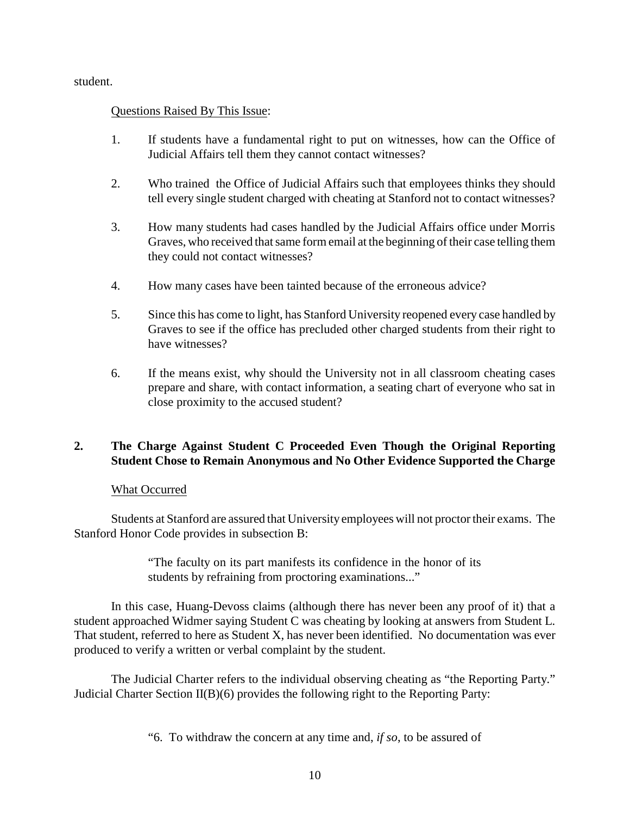student.

## Questions Raised By This Issue:

- 1. If students have a fundamental right to put on witnesses, how can the Office of Judicial Affairs tell them they cannot contact witnesses?
- 2. Who trained the Office of Judicial Affairs such that employees thinks they should tell every single student charged with cheating at Stanford not to contact witnesses?
- 3. How many students had cases handled by the Judicial Affairs office under Morris Graves, who received that same form email at the beginning of their case telling them they could not contact witnesses?
- 4. How many cases have been tainted because of the erroneous advice?
- 5. Since this has come to light, has Stanford University reopened every case handled by Graves to see if the office has precluded other charged students from their right to have witnesses?
- 6. If the means exist, why should the University not in all classroom cheating cases prepare and share, with contact information, a seating chart of everyone who sat in close proximity to the accused student?

# **2. The Charge Against Student C Proceeded Even Though the Original Reporting Student Chose to Remain Anonymous and No Other Evidence Supported the Charge**

### What Occurred

Students at Stanford are assured that University employees will not proctor their exams. The Stanford Honor Code provides in subsection B:

> "The faculty on its part manifests its confidence in the honor of its students by refraining from proctoring examinations..."

In this case, Huang-Devoss claims (although there has never been any proof of it) that a student approached Widmer saying Student C was cheating by looking at answers from Student L. That student, referred to here as Student X, has never been identified. No documentation was ever produced to verify a written or verbal complaint by the student.

The Judicial Charter refers to the individual observing cheating as "the Reporting Party." Judicial Charter Section  $II(B)(6)$  provides the following right to the Reporting Party:

"6. To withdraw the concern at any time and, *if so*, to be assured of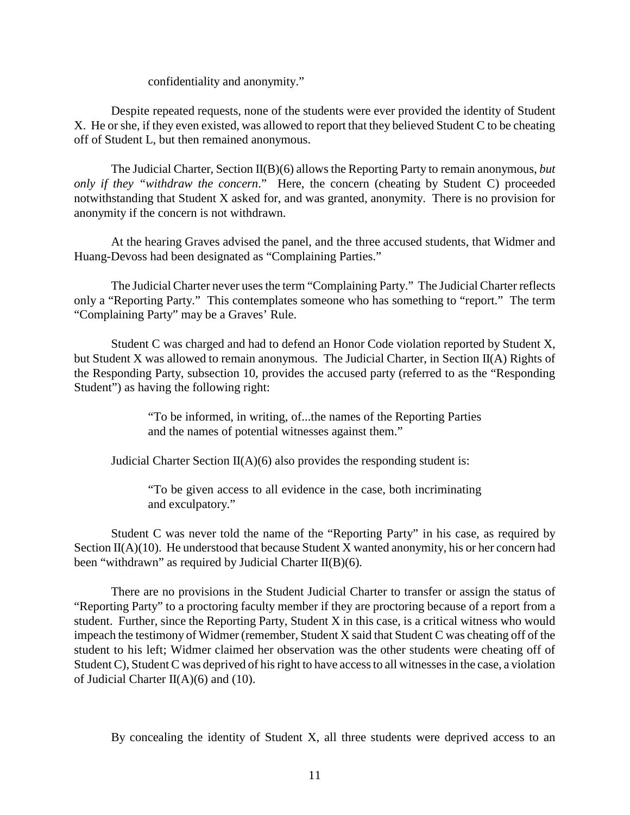confidentiality and anonymity."

Despite repeated requests, none of the students were ever provided the identity of Student X. He or she, if they even existed, was allowed to report that they believed Student C to be cheating off of Student L, but then remained anonymous.

The Judicial Charter, Section II(B)(6) allows the Reporting Party to remain anonymous, *but only if they "withdraw the concern*." Here, the concern (cheating by Student C) proceeded notwithstanding that Student X asked for, and was granted, anonymity. There is no provision for anonymity if the concern is not withdrawn.

At the hearing Graves advised the panel, and the three accused students, that Widmer and Huang-Devoss had been designated as "Complaining Parties."

The Judicial Charter never uses the term "Complaining Party." The Judicial Charter reflects only a "Reporting Party." This contemplates someone who has something to "report." The term "Complaining Party" may be a Graves' Rule.

Student C was charged and had to defend an Honor Code violation reported by Student X, but Student X was allowed to remain anonymous. The Judicial Charter, in Section II(A) Rights of the Responding Party, subsection 10, provides the accused party (referred to as the "Responding Student") as having the following right:

> "To be informed, in writing, of...the names of the Reporting Parties and the names of potential witnesses against them."

Judicial Charter Section  $II(A)(6)$  also provides the responding student is:

"To be given access to all evidence in the case, both incriminating and exculpatory."

Student C was never told the name of the "Reporting Party" in his case, as required by Section II(A)(10). He understood that because Student X wanted anonymity, his or her concern had been "withdrawn" as required by Judicial Charter  $II(B)(6)$ .

There are no provisions in the Student Judicial Charter to transfer or assign the status of "Reporting Party" to a proctoring faculty member if they are proctoring because of a report from a student. Further, since the Reporting Party, Student X in this case, is a critical witness who would impeach the testimony of Widmer (remember, Student X said that Student C was cheating off of the student to his left; Widmer claimed her observation was the other students were cheating off of Student C), Student C was deprived of his right to have access to all witnesses in the case, a violation of Judicial Charter II(A)(6) and (10).

By concealing the identity of Student X, all three students were deprived access to an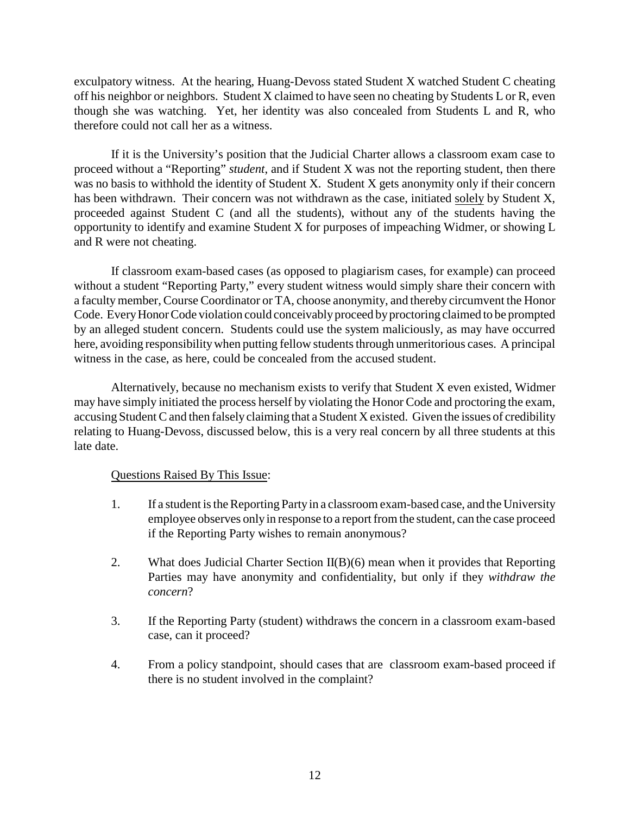exculpatory witness. At the hearing, Huang-Devoss stated Student X watched Student C cheating off his neighbor or neighbors. Student X claimed to have seen no cheating by Students L or R, even though she was watching. Yet, her identity was also concealed from Students L and R, who therefore could not call her as a witness.

If it is the University's position that the Judicial Charter allows a classroom exam case to proceed without a "Reporting" *student*, and if Student X was not the reporting student, then there was no basis to withhold the identity of Student X. Student X gets anonymity only if their concern has been withdrawn. Their concern was not withdrawn as the case, initiated solely by Student X, proceeded against Student C (and all the students), without any of the students having the opportunity to identify and examine Student X for purposes of impeaching Widmer, or showing L and R were not cheating.

If classroom exam-based cases (as opposed to plagiarism cases, for example) can proceed without a student "Reporting Party," every student witness would simply share their concern with a facultymember, Course Coordinator or TA, choose anonymity, and thereby circumvent the Honor Code. Every Honor Code violation could conceivably proceed by proctoring claimed to be prompted by an alleged student concern. Students could use the system maliciously, as may have occurred here, avoiding responsibility when putting fellow students through unmeritorious cases. A principal witness in the case, as here, could be concealed from the accused student.

Alternatively, because no mechanism exists to verify that Student X even existed, Widmer may have simply initiated the process herself by violating the Honor Code and proctoring the exam, accusing Student C and then falselyclaiming that a Student X existed. Given the issues of credibility relating to Huang-Devoss, discussed below, this is a very real concern by all three students at this late date.

- 1. If a student is the Reporting Partyin a classroom exam-based case, and the University employee observes only in response to a report from the student, can the case proceed if the Reporting Party wishes to remain anonymous?
- 2. What does Judicial Charter Section II(B)(6) mean when it provides that Reporting Parties may have anonymity and confidentiality, but only if they *withdraw the concern*?
- 3. If the Reporting Party (student) withdraws the concern in a classroom exam-based case, can it proceed?
- 4. From a policy standpoint, should cases that are classroom exam-based proceed if there is no student involved in the complaint?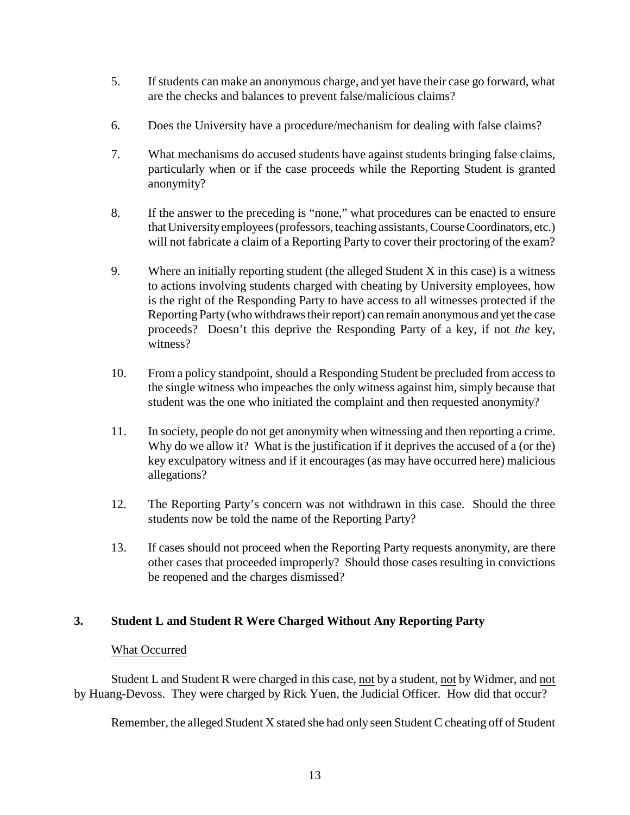- 5. If students can make an anonymous charge, and yet have their case go forward, what are the checks and balances to prevent false/malicious claims?
- 6. Does the University have a procedure/mechanism for dealing with false claims?
- 7. What mechanisms do accused students have against students bringing false claims, particularly when or if the case proceeds while the Reporting Student is granted anonymity?
- 8. If the answer to the preceding is "none," what procedures can be enacted to ensure that Universityemployees (professors, teaching assistants, CourseCoordinators, etc.) will not fabricate a claim of a Reporting Party to cover their proctoring of the exam?
- 9. Where an initially reporting student (the alleged Student X in this case) is a witness to actions involving students charged with cheating by University employees, how is the right of the Responding Party to have access to all witnesses protected if the Reporting Party(who withdraws their report) can remain anonymous and yet the case proceeds? Doesn't this deprive the Responding Party of a key, if not *the* key, witness?
- 10. From a policy standpoint, should a Responding Student be precluded from access to the single witness who impeaches the only witness against him, simply because that student was the one who initiated the complaint and then requested anonymity?
- 11. In society, people do not get anonymity when witnessing and then reporting a crime. Why do we allow it? What is the justification if it deprives the accused of a (or the) key exculpatory witness and if it encourages (as may have occurred here) malicious allegations?
- 12. The Reporting Party's concern was not withdrawn in this case. Should the three students now be told the name of the Reporting Party?
- 13. If cases should not proceed when the Reporting Party requests anonymity, are there other cases that proceeded improperly? Should those cases resulting in convictions be reopened and the charges dismissed?

# **3. Student L and Student R Were Charged Without Any Reporting Party**

### What Occurred

Student L and Student R were charged in this case, not by a student, not by Widmer, and not by Huang-Devoss. They were charged by Rick Yuen, the Judicial Officer. How did that occur?

Remember, the alleged Student X stated she had only seen Student C cheating off of Student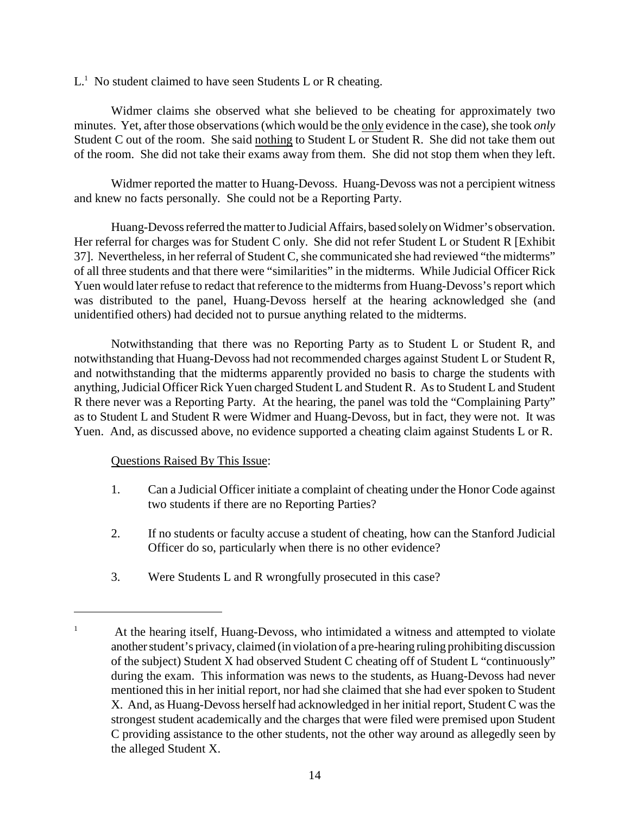$L<sup>1</sup>$  No student claimed to have seen Students L or R cheating.

Widmer claims she observed what she believed to be cheating for approximately two minutes. Yet, after those observations (which would be the only evidence in the case), she took *only* Student C out of the room. She said nothing to Student L or Student R. She did not take them out of the room. She did not take their exams away from them. She did not stop them when they left.

Widmer reported the matter to Huang-Devoss. Huang-Devoss was not a percipient witness and knew no facts personally. She could not be a Reporting Party.

Huang-Devoss referred the matter to Judicial Affairs, based solelyon Widmer's observation. Her referral for charges was for Student C only. She did not refer Student L or Student R [Exhibit] 37]. Nevertheless, in her referral of Student C, she communicated she had reviewed "the midterms" of all three students and that there were "similarities" in the midterms. While Judicial Officer Rick Yuen would later refuse to redact that reference to the midterms from Huang-Devoss's report which was distributed to the panel, Huang-Devoss herself at the hearing acknowledged she (and unidentified others) had decided not to pursue anything related to the midterms.

Notwithstanding that there was no Reporting Party as to Student L or Student R, and notwithstanding that Huang-Devoss had not recommended charges against Student L or Student R, and notwithstanding that the midterms apparently provided no basis to charge the students with anything, Judicial Officer Rick Yuen charged Student L and Student R. As to Student Land Student R there never was a Reporting Party. At the hearing, the panel was told the "Complaining Party" as to Student L and Student R were Widmer and Huang-Devoss, but in fact, they were not. It was Yuen. And, as discussed above, no evidence supported a cheating claim against Students L or R.

- 1. Can a Judicial Officer initiate a complaint of cheating under the Honor Code against two students if there are no Reporting Parties?
- 2. If no students or faculty accuse a student of cheating, how can the Stanford Judicial Officer do so, particularly when there is no other evidence?
- 3. Were Students L and R wrongfully prosecuted in this case?

<sup>&</sup>lt;sup>1</sup> At the hearing itself, Huang-Devoss, who intimidated a witness and attempted to violate another student's privacy, claimed (in violation of a pre-hearing ruling prohibiting discussion of the subject) Student X had observed Student C cheating off of Student L "continuously" during the exam. This information was news to the students, as Huang-Devoss had never mentioned this in her initial report, nor had she claimed that she had ever spoken to Student X. And, as Huang-Devoss herself had acknowledged in her initial report, Student C was the strongest student academically and the charges that were filed were premised upon Student C providing assistance to the other students, not the other way around as allegedly seen by the alleged Student X.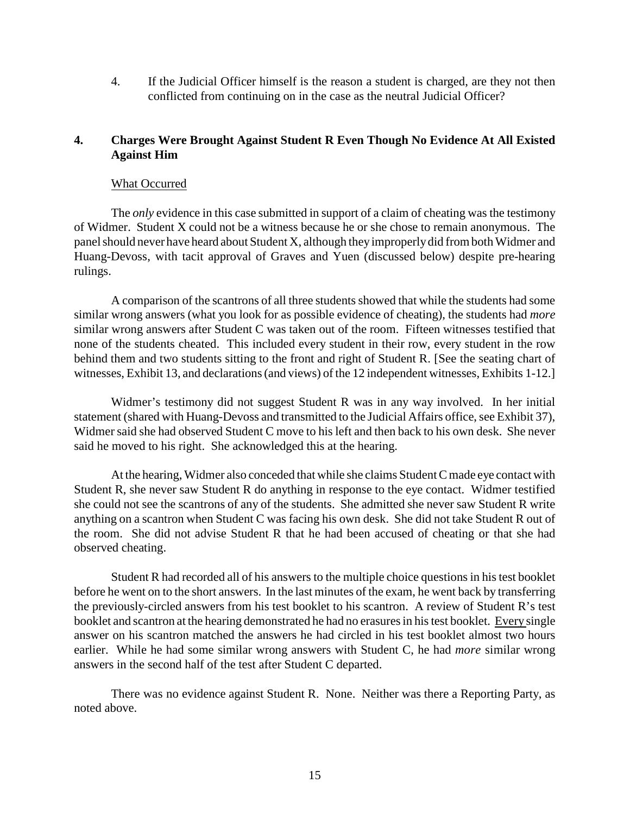4. If the Judicial Officer himself is the reason a student is charged, are they not then conflicted from continuing on in the case as the neutral Judicial Officer?

# **4. Charges Were Brought Against Student R Even Though No Evidence At All Existed Against Him**

#### What Occurred

The *only* evidence in this case submitted in support of a claim of cheating was the testimony of Widmer. Student X could not be a witness because he or she chose to remain anonymous. The panel should never have heard about Student X, although they improperly did from both Widmer and Huang-Devoss, with tacit approval of Graves and Yuen (discussed below) despite pre-hearing rulings.

A comparison of the scantrons of all three students showed that while the students had some similar wrong answers (what you look for as possible evidence of cheating), the students had *more* similar wrong answers after Student C was taken out of the room. Fifteen witnesses testified that none of the students cheated. This included every student in their row, every student in the row behind them and two students sitting to the front and right of Student R. [See the seating chart of witnesses, Exhibit 13, and declarations (and views) of the 12 independent witnesses, Exhibits 1-12.]

Widmer's testimony did not suggest Student R was in any way involved. In her initial statement (shared with Huang-Devoss and transmitted to the Judicial Affairs office, see Exhibit 37), Widmer said she had observed Student C move to his left and then back to his own desk. She never said he moved to his right. She acknowledged this at the hearing.

At the hearing, Widmer also conceded that while she claims Student C made eye contact with Student R, she never saw Student R do anything in response to the eye contact. Widmer testified she could not see the scantrons of any of the students. She admitted she never saw Student R write anything on a scantron when Student C was facing his own desk. She did not take Student R out of the room. She did not advise Student R that he had been accused of cheating or that she had observed cheating.

Student R had recorded all of his answers to the multiple choice questions in his test booklet before he went on to the short answers. In the last minutes of the exam, he went back by transferring the previously-circled answers from his test booklet to his scantron. A review of Student R's test booklet and scantron at the hearing demonstrated he had no erasures in his test booklet. Every single answer on his scantron matched the answers he had circled in his test booklet almost two hours earlier. While he had some similar wrong answers with Student C, he had *more* similar wrong answers in the second half of the test after Student C departed.

There was no evidence against Student R. None. Neither was there a Reporting Party, as noted above.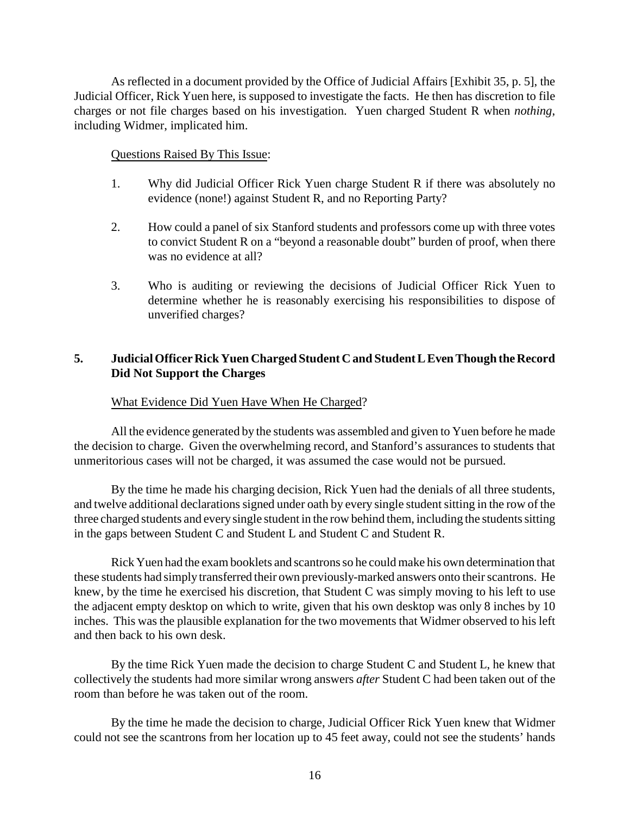As reflected in a document provided by the Office of Judicial Affairs [Exhibit 35, p. 5], the Judicial Officer, Rick Yuen here, is supposed to investigate the facts. He then has discretion to file charges or not file charges based on his investigation. Yuen charged Student R when *nothing*, including Widmer, implicated him.

### Questions Raised By This Issue:

- 1. Why did Judicial Officer Rick Yuen charge Student R if there was absolutely no evidence (none!) against Student R, and no Reporting Party?
- 2. How could a panel of six Stanford students and professors come up with three votes to convict Student R on a "beyond a reasonable doubt" burden of proof, when there was no evidence at all?
- 3. Who is auditing or reviewing the decisions of Judicial Officer Rick Yuen to determine whether he is reasonably exercising his responsibilities to dispose of unverified charges?

## 5. **Judicial Officer Rick Yuen Charged Student C and Student L Even Though the Record Did Not Support the Charges**

### What Evidence Did Yuen Have When He Charged?

All the evidence generated by the students was assembled and given to Yuen before he made the decision to charge. Given the overwhelming record, and Stanford's assurances to students that unmeritorious cases will not be charged, it was assumed the case would not be pursued.

By the time he made his charging decision, Rick Yuen had the denials of all three students, and twelve additional declarations signed under oath by every single student sitting in the row of the three charged students and every single student in the row behind them, including the students sitting in the gaps between Student C and Student L and Student C and Student R.

Rick Yuen had the exam booklets and scantrons so he could make his own determination that these students had simply transferred their own previously-marked answers onto their scantrons. He knew, by the time he exercised his discretion, that Student C was simply moving to his left to use the adjacent empty desktop on which to write, given that his own desktop was only 8 inches by 10 inches. This was the plausible explanation for the two movements that Widmer observed to his left and then back to his own desk.

By the time Rick Yuen made the decision to charge Student C and Student L, he knew that collectively the students had more similar wrong answers *after* Student C had been taken out of the room than before he was taken out of the room.

By the time he made the decision to charge, Judicial Officer Rick Yuen knew that Widmer could not see the scantrons from her location up to 45 feet away, could not see the students' hands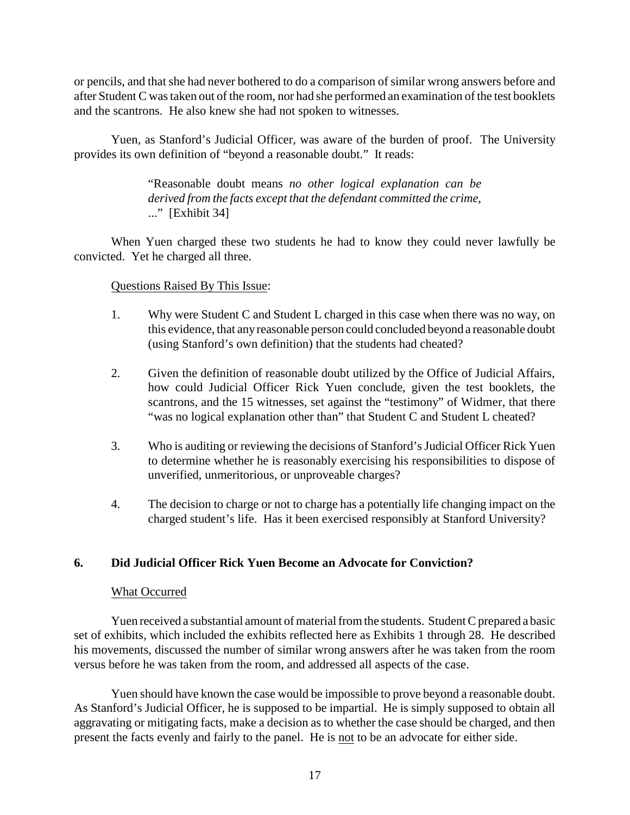or pencils, and that she had never bothered to do a comparison of similar wrong answers before and after Student C was taken out of the room, nor had she performed an examination of the test booklets and the scantrons. He also knew she had not spoken to witnesses.

Yuen, as Stanford's Judicial Officer, was aware of the burden of proof. The University provides its own definition of "beyond a reasonable doubt." It reads:

> "Reasonable doubt means *no other logical explanation can be derived from the facts except that the defendant committed the crime*, ..." [Exhibit 34]

When Yuen charged these two students he had to know they could never lawfully be convicted. Yet he charged all three.

### Questions Raised By This Issue:

- 1. Why were Student C and Student L charged in this case when there was no way, on this evidence, that any reasonable person could concluded beyond a reasonable doubt (using Stanford's own definition) that the students had cheated?
- 2. Given the definition of reasonable doubt utilized by the Office of Judicial Affairs, how could Judicial Officer Rick Yuen conclude, given the test booklets, the scantrons, and the 15 witnesses, set against the "testimony" of Widmer, that there "was no logical explanation other than" that Student C and Student L cheated?
- 3. Who is auditing or reviewing the decisions of Stanford's Judicial Officer Rick Yuen to determine whether he is reasonably exercising his responsibilities to dispose of unverified, unmeritorious, or unproveable charges?
- 4. The decision to charge or not to charge has a potentially life changing impact on the charged student's life. Has it been exercised responsibly at Stanford University?

### **6. Did Judicial Officer Rick Yuen Become an Advocate for Conviction?**

#### What Occurred

Yuen received a substantial amount of material from the students. Student C prepared a basic set of exhibits, which included the exhibits reflected here as Exhibits 1 through 28. He described his movements, discussed the number of similar wrong answers after he was taken from the room versus before he was taken from the room, and addressed all aspects of the case.

Yuen should have known the case would be impossible to prove beyond a reasonable doubt. As Stanford's Judicial Officer, he is supposed to be impartial. He is simply supposed to obtain all aggravating or mitigating facts, make a decision as to whether the case should be charged, and then present the facts evenly and fairly to the panel. He is not to be an advocate for either side.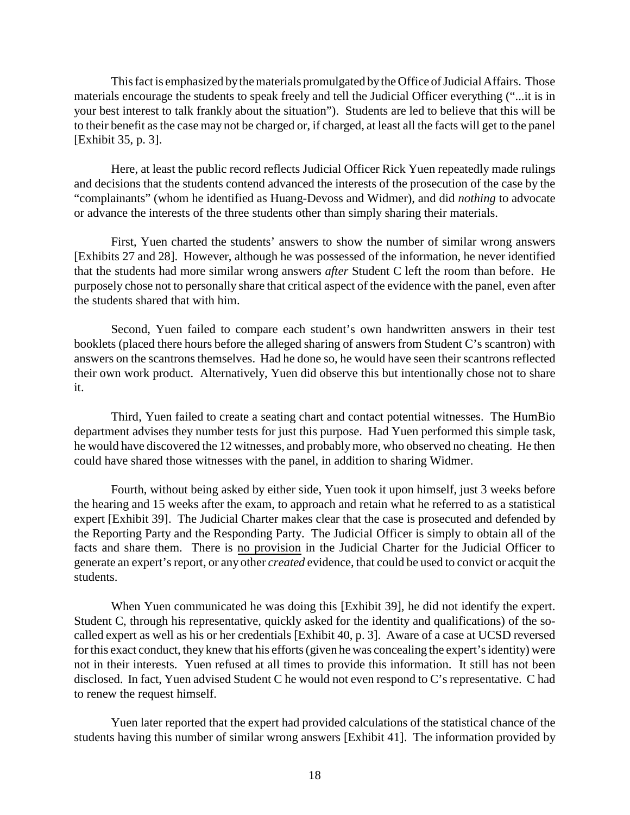This fact is emphasized bythe materials promulgated bythe Office of Judicial Affairs. Those materials encourage the students to speak freely and tell the Judicial Officer everything ("...it is in your best interest to talk frankly about the situation"). Students are led to believe that this will be to their benefit as the case may not be charged or, if charged, at least all the facts will get to the panel [Exhibit 35, p. 3].

Here, at least the public record reflects Judicial Officer Rick Yuen repeatedly made rulings and decisions that the students contend advanced the interests of the prosecution of the case by the "complainants" (whom he identified as Huang-Devoss and Widmer), and did *nothing* to advocate or advance the interests of the three students other than simply sharing their materials.

First, Yuen charted the students' answers to show the number of similar wrong answers [Exhibits 27 and 28]. However, although he was possessed of the information, he never identified that the students had more similar wrong answers *after* Student C left the room than before. He purposely chose not to personally share that critical aspect of the evidence with the panel, even after the students shared that with him.

Second, Yuen failed to compare each student's own handwritten answers in their test booklets (placed there hours before the alleged sharing of answers from Student C's scantron) with answers on the scantrons themselves. Had he done so, he would have seen their scantrons reflected their own work product. Alternatively, Yuen did observe this but intentionally chose not to share it.

Third, Yuen failed to create a seating chart and contact potential witnesses. The HumBio department advises they number tests for just this purpose. Had Yuen performed this simple task, he would have discovered the 12 witnesses, and probablymore, who observed no cheating. He then could have shared those witnesses with the panel, in addition to sharing Widmer.

Fourth, without being asked by either side, Yuen took it upon himself, just 3 weeks before the hearing and 15 weeks after the exam, to approach and retain what he referred to as a statistical expert [Exhibit 39]. The Judicial Charter makes clear that the case is prosecuted and defended by the Reporting Party and the Responding Party. The Judicial Officer is simply to obtain all of the facts and share them. There is no provision in the Judicial Charter for the Judicial Officer to generate an expert's report, or any other *created* evidence, that could be used to convict or acquit the students.

When Yuen communicated he was doing this [Exhibit 39], he did not identify the expert. Student C, through his representative, quickly asked for the identity and qualifications) of the socalled expert as well as his or her credentials [Exhibit 40, p. 3]. Aware of a case at UCSD reversed for this exact conduct, they knew that his efforts (given he was concealing the expert's identity) were not in their interests. Yuen refused at all times to provide this information. It still has not been disclosed. In fact, Yuen advised Student C he would not even respond to C's representative. C had to renew the request himself.

Yuen later reported that the expert had provided calculations of the statistical chance of the students having this number of similar wrong answers [Exhibit 41]. The information provided by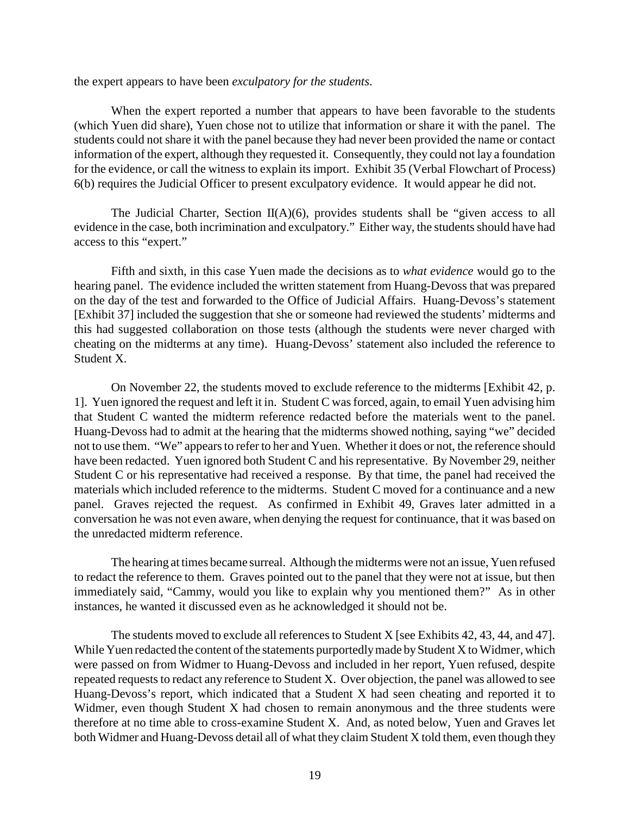the expert appears to have been *exculpatory for the students*.

When the expert reported a number that appears to have been favorable to the students (which Yuen did share), Yuen chose not to utilize that information or share it with the panel. The students could not share it with the panel because they had never been provided the name or contact information of the expert, although they requested it. Consequently, they could not lay a foundation for the evidence, or call the witness to explain its import. Exhibit 35 (Verbal Flowchart of Process) 6(b) requires the Judicial Officer to present exculpatory evidence. It would appear he did not.

The Judicial Charter, Section  $II(A)(6)$ , provides students shall be "given access to all evidence in the case, both incrimination and exculpatory." Either way, the students should have had access to this "expert."

Fifth and sixth, in this case Yuen made the decisions as to *what evidence* would go to the hearing panel. The evidence included the written statement from Huang-Devoss that was prepared on the day of the test and forwarded to the Office of Judicial Affairs. Huang-Devoss's statement [Exhibit 37] included the suggestion that she or someone had reviewed the students' midterms and this had suggested collaboration on those tests (although the students were never charged with cheating on the midterms at any time). Huang-Devoss' statement also included the reference to Student X.

On November 22, the students moved to exclude reference to the midterms [Exhibit 42, p. 1]. Yuen ignored the request and left it in. Student C was forced, again, to email Yuen advising him that Student C wanted the midterm reference redacted before the materials went to the panel. Huang-Devoss had to admit at the hearing that the midterms showed nothing, saying "we" decided not to use them. "We" appears to refer to her and Yuen. Whether it does or not, the reference should have been redacted. Yuen ignored both Student C and his representative. By November 29, neither Student C or his representative had received a response. By that time, the panel had received the materials which included reference to the midterms. Student C moved for a continuance and a new panel. Graves rejected the request. As confirmed in Exhibit 49, Graves later admitted in a conversation he was not even aware, when denying the request for continuance, that it was based on the unredacted midterm reference.

The hearing at times became surreal. Although the midterms were not an issue, Yuen refused to redact the reference to them. Graves pointed out to the panel that they were not at issue, but then immediately said, "Cammy, would you like to explain why you mentioned them?" As in other instances, he wanted it discussed even as he acknowledged it should not be.

The students moved to exclude all references to Student X [see Exhibits 42, 43, 44, and 47]. While Yuen redacted the content of the statements purportedly made by Student X to Widmer, which were passed on from Widmer to Huang-Devoss and included in her report, Yuen refused, despite repeated requests to redact any reference to Student X. Over objection, the panel was allowed to see Huang-Devoss's report, which indicated that a Student X had seen cheating and reported it to Widmer, even though Student X had chosen to remain anonymous and the three students were therefore at no time able to cross-examine Student X. And, as noted below, Yuen and Graves let both Widmer and Huang-Devoss detail all of what they claim Student X told them, even though they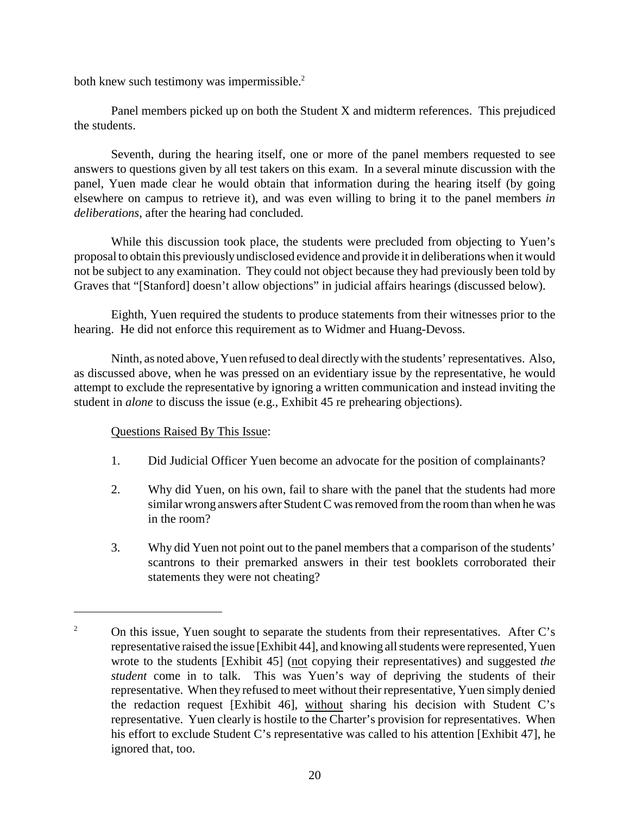both knew such testimony was impermissible.<sup>2</sup>

Panel members picked up on both the Student X and midterm references. This prejudiced the students.

Seventh, during the hearing itself, one or more of the panel members requested to see answers to questions given by all test takers on this exam. In a several minute discussion with the panel, Yuen made clear he would obtain that information during the hearing itself (by going elsewhere on campus to retrieve it), and was even willing to bring it to the panel members *in deliberations*, after the hearing had concluded.

While this discussion took place, the students were precluded from objecting to Yuen's proposal to obtain this previously undisclosed evidence and provide it in deliberations when it would not be subject to any examination. They could not object because they had previously been told by Graves that "[Stanford] doesn't allow objections" in judicial affairs hearings (discussed below).

Eighth, Yuen required the students to produce statements from their witnesses prior to the hearing. He did not enforce this requirement as to Widmer and Huang-Devoss.

Ninth, as noted above, Yuen refused to deal directlywith the students' representatives. Also, as discussed above, when he was pressed on an evidentiary issue by the representative, he would attempt to exclude the representative by ignoring a written communication and instead inviting the student in *alone* to discuss the issue (e.g., Exhibit 45 re prehearing objections).

- 1. Did Judicial Officer Yuen become an advocate for the position of complainants?
- 2. Why did Yuen, on his own, fail to share with the panel that the students had more similar wrong answers after Student C was removed from the room than when he was in the room?
- 3. Why did Yuen not point out to the panel members that a comparison of the students' scantrons to their premarked answers in their test booklets corroborated their statements they were not cheating?

<sup>&</sup>lt;sup>2</sup> On this issue, Yuen sought to separate the students from their representatives. After C's representative raised the issue [Exhibit 44], and knowing all students were represented, Yuen wrote to the students [Exhibit 45] (not copying their representatives) and suggested *the student* come in to talk. This was Yuen's way of depriving the students of their representative. When they refused to meet without their representative, Yuen simply denied the redaction request [Exhibit 46], without sharing his decision with Student C's representative. Yuen clearly is hostile to the Charter's provision for representatives. When his effort to exclude Student C's representative was called to his attention [Exhibit 47], he ignored that, too.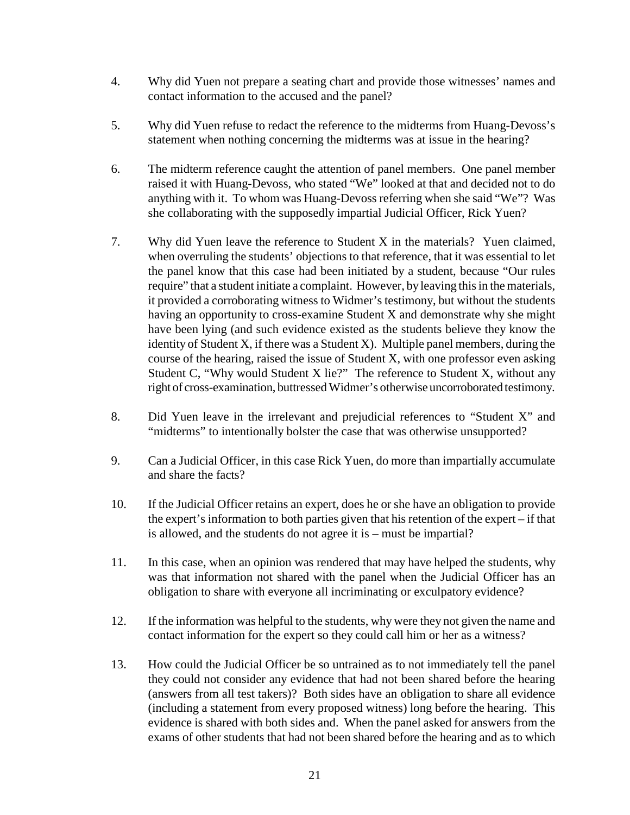- 4. Why did Yuen not prepare a seating chart and provide those witnesses' names and contact information to the accused and the panel?
- 5. Why did Yuen refuse to redact the reference to the midterms from Huang-Devoss's statement when nothing concerning the midterms was at issue in the hearing?
- 6. The midterm reference caught the attention of panel members. One panel member raised it with Huang-Devoss, who stated "We" looked at that and decided not to do anything with it. To whom was Huang-Devoss referring when she said "We"? Was she collaborating with the supposedly impartial Judicial Officer, Rick Yuen?
- 7. Why did Yuen leave the reference to Student X in the materials? Yuen claimed, when overruling the students' objections to that reference, that it was essential to let the panel know that this case had been initiated by a student, because "Our rules require" that a student initiate a complaint. However, byleaving this in the materials, it provided a corroborating witness to Widmer's testimony, but without the students having an opportunity to cross-examine Student X and demonstrate why she might have been lying (and such evidence existed as the students believe they know the identity of Student X, if there was a Student X). Multiple panel members, during the course of the hearing, raised the issue of Student X, with one professor even asking Student C, "Why would Student X lie?" The reference to Student X, without any right of cross-examination, buttressed Widmer's otherwise uncorroborated testimony.
- 8. Did Yuen leave in the irrelevant and prejudicial references to "Student X" and "midterms" to intentionally bolster the case that was otherwise unsupported?
- 9. Can a Judicial Officer, in this case Rick Yuen, do more than impartially accumulate and share the facts?
- 10. If the Judicial Officer retains an expert, does he or she have an obligation to provide the expert's information to both parties given that his retention of the expert – if that is allowed, and the students do not agree it is – must be impartial?
- 11. In this case, when an opinion was rendered that may have helped the students, why was that information not shared with the panel when the Judicial Officer has an obligation to share with everyone all incriminating or exculpatory evidence?
- 12. If the information was helpful to the students, why were they not given the name and contact information for the expert so they could call him or her as a witness?
- 13. How could the Judicial Officer be so untrained as to not immediately tell the panel they could not consider any evidence that had not been shared before the hearing (answers from all test takers)? Both sides have an obligation to share all evidence (including a statement from every proposed witness) long before the hearing. This evidence is shared with both sides and. When the panel asked for answers from the exams of other students that had not been shared before the hearing and as to which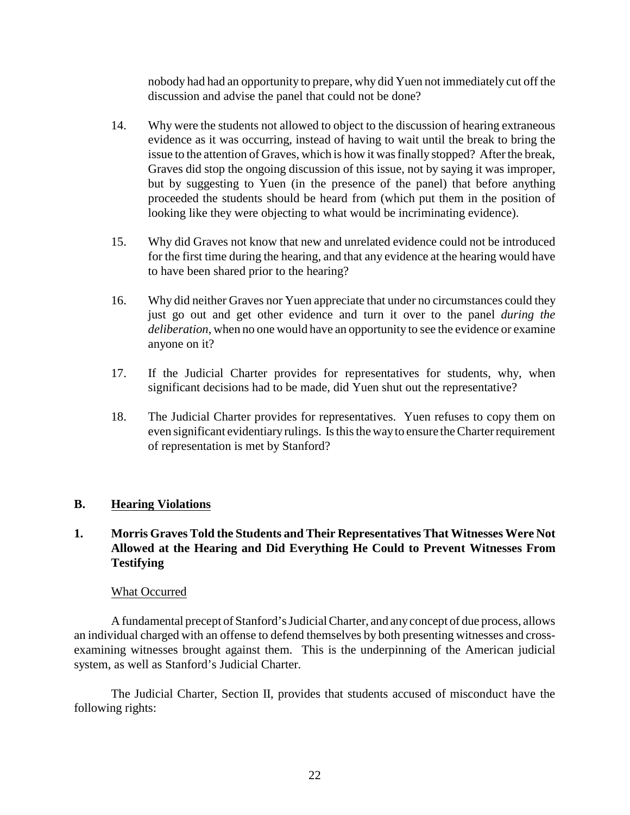nobody had had an opportunity to prepare, why did Yuen not immediately cut off the discussion and advise the panel that could not be done?

- 14. Why were the students not allowed to object to the discussion of hearing extraneous evidence as it was occurring, instead of having to wait until the break to bring the issue to the attention of Graves, which is how it was finally stopped? After the break, Graves did stop the ongoing discussion of this issue, not by saying it was improper, but by suggesting to Yuen (in the presence of the panel) that before anything proceeded the students should be heard from (which put them in the position of looking like they were objecting to what would be incriminating evidence).
- 15. Why did Graves not know that new and unrelated evidence could not be introduced for the first time during the hearing, and that any evidence at the hearing would have to have been shared prior to the hearing?
- 16. Why did neither Graves nor Yuen appreciate that under no circumstances could they just go out and get other evidence and turn it over to the panel *during the deliberation*, when no one would have an opportunity to see the evidence or examine anyone on it?
- 17. If the Judicial Charter provides for representatives for students, why, when significant decisions had to be made, did Yuen shut out the representative?
- 18. The Judicial Charter provides for representatives. Yuen refuses to copy them on even significant evidentiary rulings. Is this the wayto ensure the Charterrequirement of representation is met by Stanford?

# **B. Hearing Violations**

# **1. Morris Graves Told the Students and Their Representatives That Witnesses Were Not Allowed at the Hearing and Did Everything He Could to Prevent Witnesses From Testifying**

# What Occurred

A fundamental precept of Stanford's Judicial Charter, and anyconcept of due process, allows an individual charged with an offense to defend themselves by both presenting witnesses and crossexamining witnesses brought against them. This is the underpinning of the American judicial system, as well as Stanford's Judicial Charter.

The Judicial Charter, Section II, provides that students accused of misconduct have the following rights: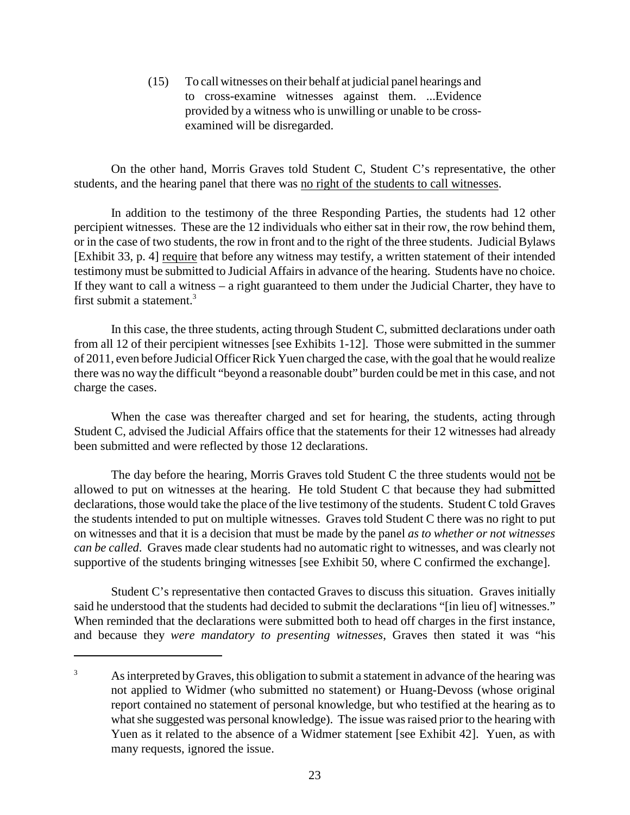(15) To call witnesses on their behalf at judicial panel hearings and to cross-examine witnesses against them. ...Evidence provided by a witness who is unwilling or unable to be crossexamined will be disregarded.

On the other hand, Morris Graves told Student C, Student C's representative, the other students, and the hearing panel that there was no right of the students to call witnesses.

In addition to the testimony of the three Responding Parties, the students had 12 other percipient witnesses. These are the 12 individuals who either sat in their row, the row behind them, or in the case of two students, the row in front and to the right of the three students. Judicial Bylaws [Exhibit 33, p. 4] require that before any witness may testify, a written statement of their intended testimony must be submitted to Judicial Affairs in advance of the hearing. Students have no choice. If they want to call a witness – a right guaranteed to them under the Judicial Charter, they have to first submit a statement.<sup>3</sup>

In this case, the three students, acting through Student C, submitted declarations under oath from all 12 of their percipient witnesses [see Exhibits 1-12]. Those were submitted in the summer of 2011, even before Judicial Officer Rick Yuen charged the case, with the goal that he would realize there was no way the difficult "beyond a reasonable doubt" burden could be met in this case, and not charge the cases.

When the case was thereafter charged and set for hearing, the students, acting through Student C, advised the Judicial Affairs office that the statements for their 12 witnesses had already been submitted and were reflected by those 12 declarations.

The day before the hearing, Morris Graves told Student C the three students would not be allowed to put on witnesses at the hearing. He told Student C that because they had submitted declarations, those would take the place of the live testimony of the students. Student C told Graves the students intended to put on multiple witnesses. Graves told Student C there was no right to put on witnesses and that it is a decision that must be made by the panel *as to whether or not witnesses can be called*. Graves made clear students had no automatic right to witnesses, and was clearly not supportive of the students bringing witnesses [see Exhibit 50, where C confirmed the exchange].

Student C's representative then contacted Graves to discuss this situation. Graves initially said he understood that the students had decided to submit the declarations "[in lieu of] witnesses." When reminded that the declarations were submitted both to head off charges in the first instance, and because they *were mandatory to presenting witnesses*, Graves then stated it was "his

<sup>&</sup>lt;sup>3</sup> As interpreted by Graves, this obligation to submit a statement in advance of the hearing was not applied to Widmer (who submitted no statement) or Huang-Devoss (whose original report contained no statement of personal knowledge, but who testified at the hearing as to what she suggested was personal knowledge). The issue was raised prior to the hearing with Yuen as it related to the absence of a Widmer statement [see Exhibit 42]. Yuen, as with many requests, ignored the issue.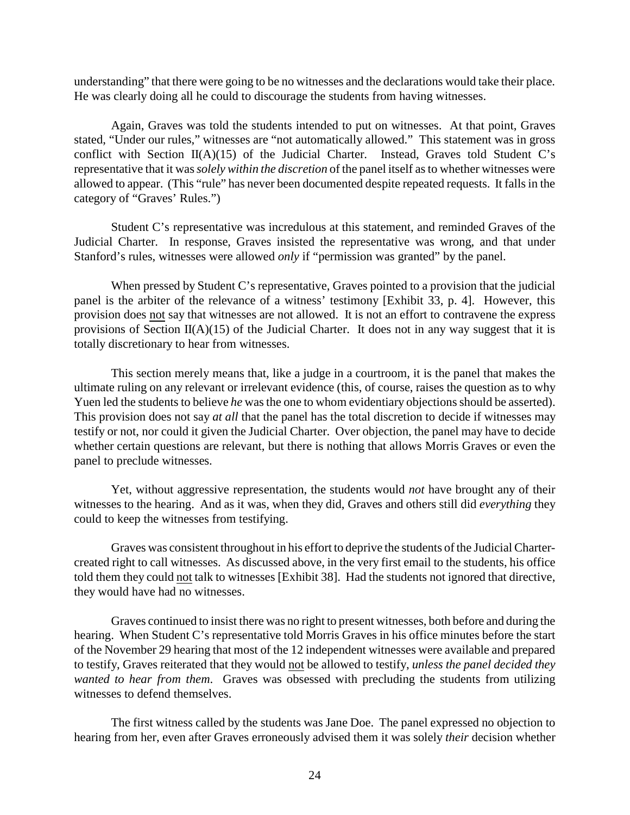understanding" that there were going to be no witnesses and the declarations would take their place. He was clearly doing all he could to discourage the students from having witnesses.

Again, Graves was told the students intended to put on witnesses. At that point, Graves stated, "Under our rules," witnesses are "not automatically allowed." This statement was in gross conflict with Section II(A)(15) of the Judicial Charter. Instead, Graves told Student C's representative that it was *solely within the discretion* of the panel itself as to whether witnesses were allowed to appear. (This "rule" has never been documented despite repeated requests. It falls in the category of "Graves' Rules.")

Student C's representative was incredulous at this statement, and reminded Graves of the Judicial Charter. In response, Graves insisted the representative was wrong, and that under Stanford's rules, witnesses were allowed *only* if "permission was granted" by the panel.

When pressed by Student C's representative, Graves pointed to a provision that the judicial panel is the arbiter of the relevance of a witness' testimony [Exhibit 33, p. 4]. However, this provision does not say that witnesses are not allowed. It is not an effort to contravene the express provisions of Section  $II(A)(15)$  of the Judicial Charter. It does not in any way suggest that it is totally discretionary to hear from witnesses.

This section merely means that, like a judge in a courtroom, it is the panel that makes the ultimate ruling on any relevant or irrelevant evidence (this, of course, raises the question as to why Yuen led the students to believe *he* was the one to whom evidentiary objections should be asserted). This provision does not say *at all* that the panel has the total discretion to decide if witnesses may testify or not, nor could it given the Judicial Charter. Over objection, the panel may have to decide whether certain questions are relevant, but there is nothing that allows Morris Graves or even the panel to preclude witnesses.

Yet, without aggressive representation, the students would *not* have brought any of their witnesses to the hearing. And as it was, when they did, Graves and others still did *everything* they could to keep the witnesses from testifying.

Graves was consistent throughout in his effort to deprive the students of the Judicial Chartercreated right to call witnesses. As discussed above, in the very first email to the students, his office told them they could not talk to witnesses [Exhibit 38]. Had the students not ignored that directive, they would have had no witnesses.

Graves continued to insist there was no right to present witnesses, both before and during the hearing. When Student C's representative told Morris Graves in his office minutes before the start of the November 29 hearing that most of the 12 independent witnesses were available and prepared to testify, Graves reiterated that they would not be allowed to testify, *unless the panel decided they wanted to hear from them*. Graves was obsessed with precluding the students from utilizing witnesses to defend themselves.

The first witness called by the students was Jane Doe. The panel expressed no objection to hearing from her, even after Graves erroneously advised them it was solely *their* decision whether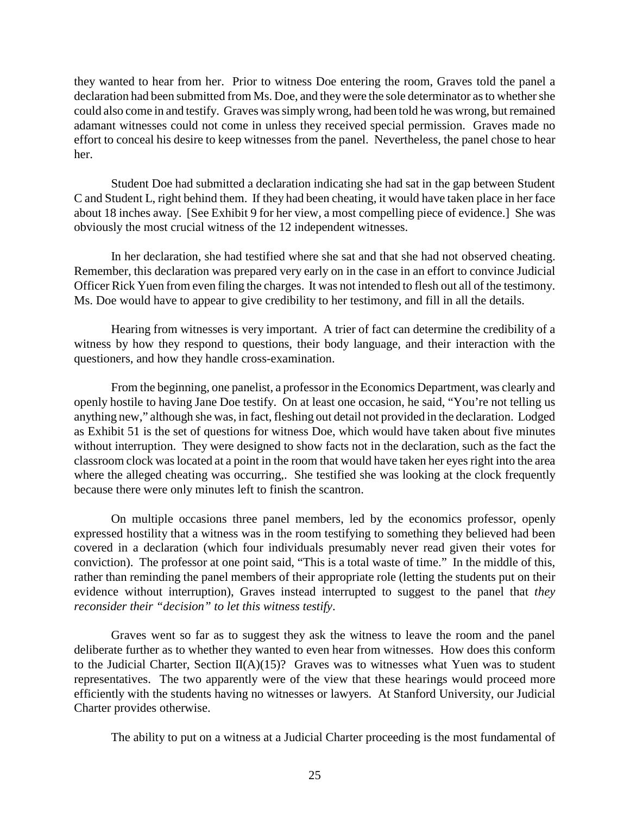they wanted to hear from her. Prior to witness Doe entering the room, Graves told the panel a declaration had been submitted from Ms. Doe, and they were the sole determinator as to whether she could also come in and testify. Graves was simply wrong, had been told he was wrong, but remained adamant witnesses could not come in unless they received special permission. Graves made no effort to conceal his desire to keep witnesses from the panel. Nevertheless, the panel chose to hear her.

Student Doe had submitted a declaration indicating she had sat in the gap between Student C and Student L, right behind them. If they had been cheating, it would have taken place in her face about 18 inches away. [See Exhibit 9 for her view, a most compelling piece of evidence.] She was obviously the most crucial witness of the 12 independent witnesses.

In her declaration, she had testified where she sat and that she had not observed cheating. Remember, this declaration was prepared very early on in the case in an effort to convince Judicial Officer Rick Yuen from even filing the charges. It was not intended to flesh out all of the testimony. Ms. Doe would have to appear to give credibility to her testimony, and fill in all the details.

Hearing from witnesses is very important. A trier of fact can determine the credibility of a witness by how they respond to questions, their body language, and their interaction with the questioners, and how they handle cross-examination.

From the beginning, one panelist, a professor in the Economics Department, was clearly and openly hostile to having Jane Doe testify. On at least one occasion, he said, "You're not telling us anything new," although she was, in fact, fleshing out detail not provided in the declaration. Lodged as Exhibit 51 is the set of questions for witness Doe, which would have taken about five minutes without interruption. They were designed to show facts not in the declaration, such as the fact the classroom clock was located at a point in the room that would have taken her eyes right into the area where the alleged cheating was occurring,. She testified she was looking at the clock frequently because there were only minutes left to finish the scantron.

On multiple occasions three panel members, led by the economics professor, openly expressed hostility that a witness was in the room testifying to something they believed had been covered in a declaration (which four individuals presumably never read given their votes for conviction). The professor at one point said, "This is a total waste of time." In the middle of this, rather than reminding the panel members of their appropriate role (letting the students put on their evidence without interruption), Graves instead interrupted to suggest to the panel that *they reconsider their "decision" to let this witness testify*.

Graves went so far as to suggest they ask the witness to leave the room and the panel deliberate further as to whether they wanted to even hear from witnesses. How does this conform to the Judicial Charter, Section  $II(A)(15)$ ? Graves was to witnesses what Yuen was to student representatives. The two apparently were of the view that these hearings would proceed more efficiently with the students having no witnesses or lawyers. At Stanford University, our Judicial Charter provides otherwise.

The ability to put on a witness at a Judicial Charter proceeding is the most fundamental of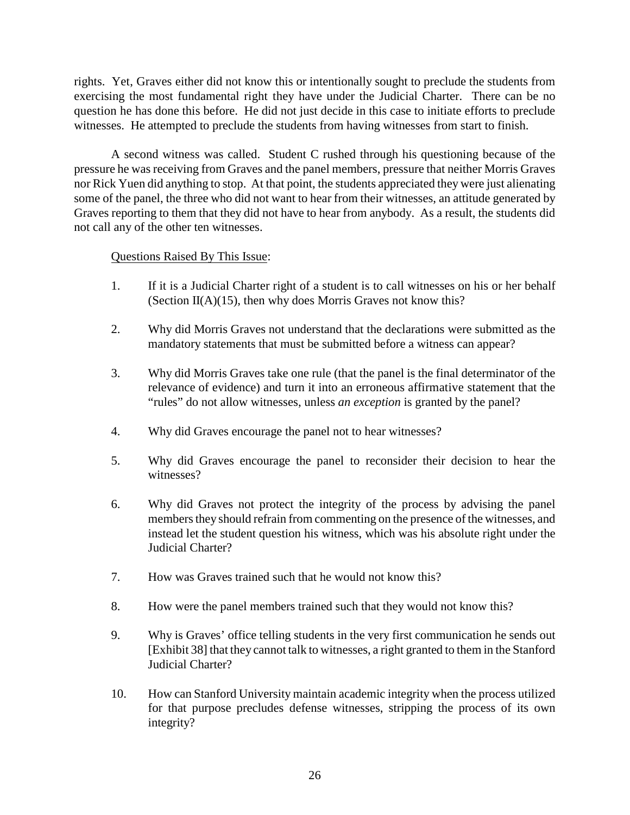rights. Yet, Graves either did not know this or intentionally sought to preclude the students from exercising the most fundamental right they have under the Judicial Charter. There can be no question he has done this before. He did not just decide in this case to initiate efforts to preclude witnesses. He attempted to preclude the students from having witnesses from start to finish.

A second witness was called. Student C rushed through his questioning because of the pressure he was receiving from Graves and the panel members, pressure that neither Morris Graves nor Rick Yuen did anything to stop. At that point, the students appreciated they were just alienating some of the panel, the three who did not want to hear from their witnesses, an attitude generated by Graves reporting to them that they did not have to hear from anybody. As a result, the students did not call any of the other ten witnesses.

- 1. If it is a Judicial Charter right of a student is to call witnesses on his or her behalf (Section II(A)(15), then why does Morris Graves not know this?
- 2. Why did Morris Graves not understand that the declarations were submitted as the mandatory statements that must be submitted before a witness can appear?
- 3. Why did Morris Graves take one rule (that the panel is the final determinator of the relevance of evidence) and turn it into an erroneous affirmative statement that the "rules" do not allow witnesses, unless *an exception* is granted by the panel?
- 4. Why did Graves encourage the panel not to hear witnesses?
- 5. Why did Graves encourage the panel to reconsider their decision to hear the witnesses?
- 6. Why did Graves not protect the integrity of the process by advising the panel members they should refrain from commenting on the presence of the witnesses, and instead let the student question his witness, which was his absolute right under the Judicial Charter?
- 7. How was Graves trained such that he would not know this?
- 8. How were the panel members trained such that they would not know this?
- 9. Why is Graves' office telling students in the very first communication he sends out [Exhibit 38] that they cannot talk to witnesses, a right granted to them in the Stanford Judicial Charter?
- 10. How can Stanford University maintain academic integrity when the process utilized for that purpose precludes defense witnesses, stripping the process of its own integrity?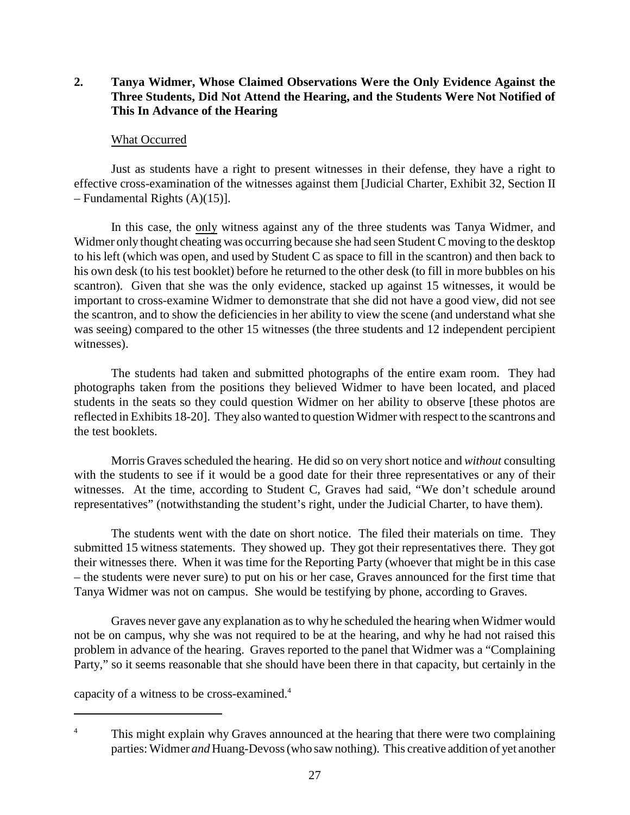# **2. Tanya Widmer, Whose Claimed Observations Were the Only Evidence Against the Three Students, Did Not Attend the Hearing, and the Students Were Not Notified of This In Advance of the Hearing**

### What Occurred

Just as students have a right to present witnesses in their defense, they have a right to effective cross-examination of the witnesses against them [Judicial Charter, Exhibit 32, Section II – Fundamental Rights (A)(15)].

In this case, the only witness against any of the three students was Tanya Widmer, and Widmer only thought cheating was occurring because she had seen Student C moving to the desktop to his left (which was open, and used by Student C as space to fill in the scantron) and then back to his own desk (to his test booklet) before he returned to the other desk (to fill in more bubbles on his scantron). Given that she was the only evidence, stacked up against 15 witnesses, it would be important to cross-examine Widmer to demonstrate that she did not have a good view, did not see the scantron, and to show the deficiencies in her ability to view the scene (and understand what she was seeing) compared to the other 15 witnesses (the three students and 12 independent percipient witnesses).

The students had taken and submitted photographs of the entire exam room. They had photographs taken from the positions they believed Widmer to have been located, and placed students in the seats so they could question Widmer on her ability to observe [these photos are reflected in Exhibits 18-20]. They also wanted to question Widmer with respect to the scantrons and the test booklets.

Morris Graves scheduled the hearing. He did so on very short notice and *without* consulting with the students to see if it would be a good date for their three representatives or any of their witnesses. At the time, according to Student C, Graves had said, "We don't schedule around representatives" (notwithstanding the student's right, under the Judicial Charter, to have them).

The students went with the date on short notice. The filed their materials on time. They submitted 15 witness statements. They showed up. They got their representatives there. They got their witnesses there. When it was time for the Reporting Party (whoever that might be in this case – the students were never sure) to put on his or her case, Graves announced for the first time that Tanya Widmer was not on campus. She would be testifying by phone, according to Graves.

Graves never gave any explanation as to why he scheduled the hearing when Widmer would not be on campus, why she was not required to be at the hearing, and why he had not raised this problem in advance of the hearing. Graves reported to the panel that Widmer was a "Complaining Party," so it seems reasonable that she should have been there in that capacity, but certainly in the

capacity of a witness to be cross-examined.<sup>4</sup>

<sup>&</sup>lt;sup>4</sup> This might explain why Graves announced at the hearing that there were two complaining parties: Widmer *and* Huang-Devoss (who saw nothing). This creative addition of yet another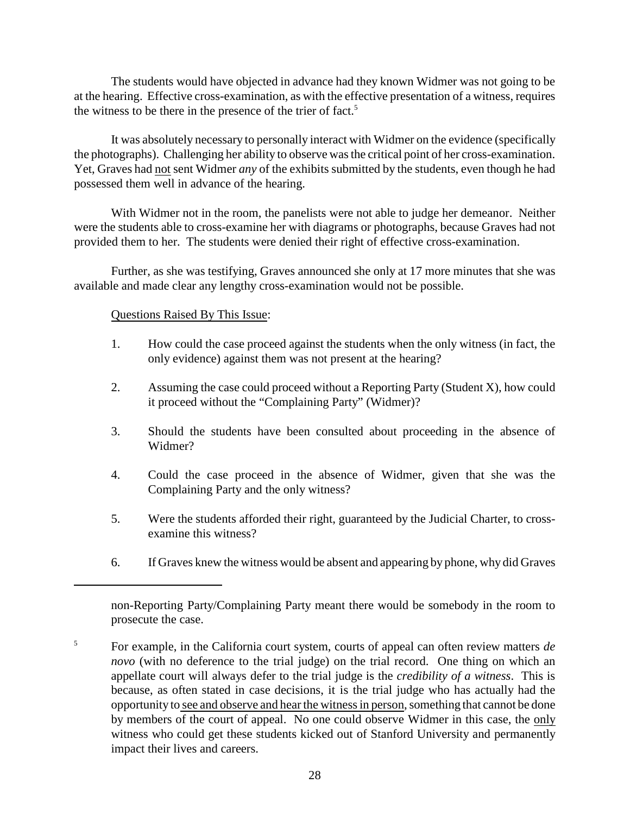The students would have objected in advance had they known Widmer was not going to be at the hearing. Effective cross-examination, as with the effective presentation of a witness, requires the witness to be there in the presence of the trier of fact.<sup>5</sup>

It was absolutely necessary to personally interact with Widmer on the evidence (specifically the photographs). Challenging her ability to observe was the critical point of her cross-examination. Yet, Graves had not sent Widmer *any* of the exhibits submitted by the students, even though he had possessed them well in advance of the hearing.

With Widmer not in the room, the panelists were not able to judge her demeanor. Neither were the students able to cross-examine her with diagrams or photographs, because Graves had not provided them to her. The students were denied their right of effective cross-examination.

Further, as she was testifying, Graves announced she only at 17 more minutes that she was available and made clear any lengthy cross-examination would not be possible.

- 1. How could the case proceed against the students when the only witness (in fact, the only evidence) against them was not present at the hearing?
- 2. Assuming the case could proceed without a Reporting Party (Student X), how could it proceed without the "Complaining Party" (Widmer)?
- 3. Should the students have been consulted about proceeding in the absence of Widmer?
- 4. Could the case proceed in the absence of Widmer, given that she was the Complaining Party and the only witness?
- 5. Were the students afforded their right, guaranteed by the Judicial Charter, to crossexamine this witness?
- 6. If Graves knew the witness would be absent and appearing by phone, why did Graves

non-Reporting Party/Complaining Party meant there would be somebody in the room to prosecute the case.

For example, in the California court system, courts of appeal can often review matters *de* 5 *novo* (with no deference to the trial judge) on the trial record. One thing on which an appellate court will always defer to the trial judge is the *credibility of a witness*. This is because, as often stated in case decisions, it is the trial judge who has actually had the opportunity to see and observe and hearthe witness in person, something that cannot be done by members of the court of appeal. No one could observe Widmer in this case, the only witness who could get these students kicked out of Stanford University and permanently impact their lives and careers.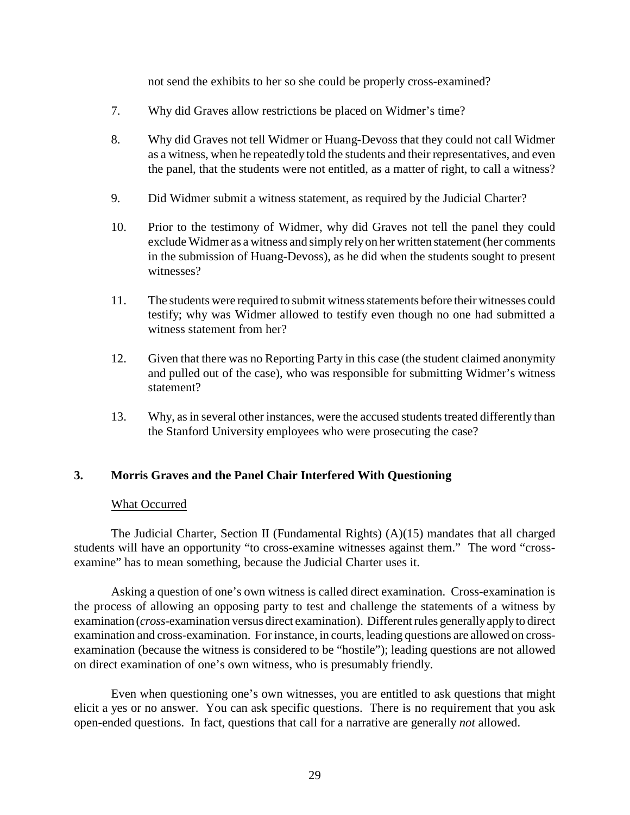not send the exhibits to her so she could be properly cross-examined?

- 7. Why did Graves allow restrictions be placed on Widmer's time?
- 8. Why did Graves not tell Widmer or Huang-Devoss that they could not call Widmer as a witness, when he repeatedly told the students and their representatives, and even the panel, that the students were not entitled, as a matter of right, to call a witness?
- 9. Did Widmer submit a witness statement, as required by the Judicial Charter?
- 10. Prior to the testimony of Widmer, why did Graves not tell the panel they could exclude Widmer as a witness and simply relyon her written statement (her comments in the submission of Huang-Devoss), as he did when the students sought to present witnesses?
- 11. The students were required to submit witness statements before their witnesses could testify; why was Widmer allowed to testify even though no one had submitted a witness statement from her?
- 12. Given that there was no Reporting Party in this case (the student claimed anonymity and pulled out of the case), who was responsible for submitting Widmer's witness statement?
- 13. Why, as in several other instances, were the accused students treated differently than the Stanford University employees who were prosecuting the case?

### **3. Morris Graves and the Panel Chair Interfered With Questioning**

### What Occurred

The Judicial Charter, Section II (Fundamental Rights) (A)(15) mandates that all charged students will have an opportunity "to cross-examine witnesses against them." The word "crossexamine" has to mean something, because the Judicial Charter uses it.

Asking a question of one's own witness is called direct examination. Cross-examination is the process of allowing an opposing party to test and challenge the statements of a witness by examination (*cross*-examination versus direct examination). Different rules generallyapplyto direct examination and cross-examination. For instance, in courts, leading questions are allowed on crossexamination (because the witness is considered to be "hostile"); leading questions are not allowed on direct examination of one's own witness, who is presumably friendly.

Even when questioning one's own witnesses, you are entitled to ask questions that might elicit a yes or no answer. You can ask specific questions. There is no requirement that you ask open-ended questions. In fact, questions that call for a narrative are generally *not* allowed.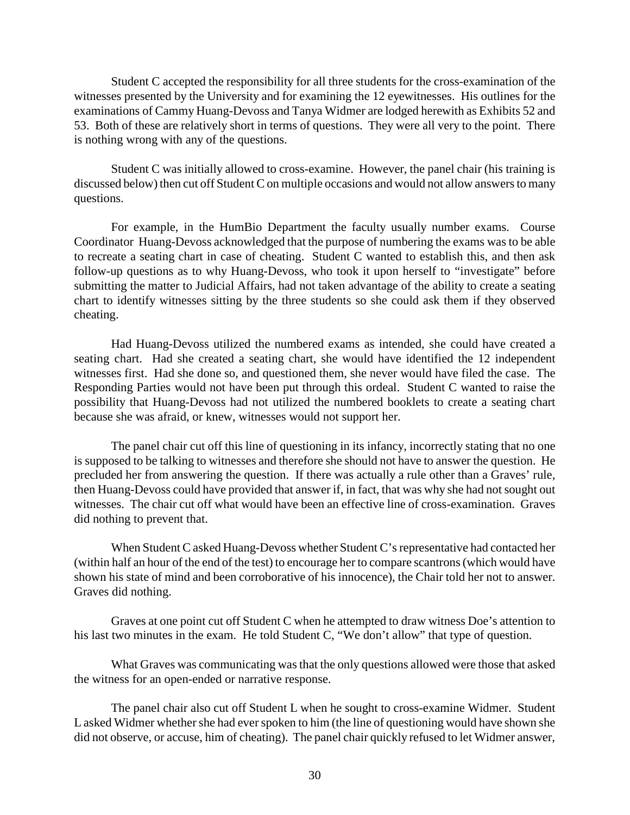Student C accepted the responsibility for all three students for the cross-examination of the witnesses presented by the University and for examining the 12 eyewitnesses. His outlines for the examinations of Cammy Huang-Devoss and Tanya Widmer are lodged herewith as Exhibits 52 and 53. Both of these are relatively short in terms of questions. They were all very to the point. There is nothing wrong with any of the questions.

Student C was initially allowed to cross-examine. However, the panel chair (his training is discussed below) then cut off Student C on multiple occasions and would not allow answers to many questions.

For example, in the HumBio Department the faculty usually number exams. Course Coordinator Huang-Devoss acknowledged that the purpose of numbering the exams was to be able to recreate a seating chart in case of cheating. Student C wanted to establish this, and then ask follow-up questions as to why Huang-Devoss, who took it upon herself to "investigate" before submitting the matter to Judicial Affairs, had not taken advantage of the ability to create a seating chart to identify witnesses sitting by the three students so she could ask them if they observed cheating.

Had Huang-Devoss utilized the numbered exams as intended, she could have created a seating chart. Had she created a seating chart, she would have identified the 12 independent witnesses first. Had she done so, and questioned them, she never would have filed the case. The Responding Parties would not have been put through this ordeal. Student C wanted to raise the possibility that Huang-Devoss had not utilized the numbered booklets to create a seating chart because she was afraid, or knew, witnesses would not support her.

The panel chair cut off this line of questioning in its infancy, incorrectly stating that no one is supposed to be talking to witnesses and therefore she should not have to answer the question. He precluded her from answering the question. If there was actually a rule other than a Graves' rule, then Huang-Devoss could have provided that answer if, in fact, that was why she had not sought out witnesses. The chair cut off what would have been an effective line of cross-examination. Graves did nothing to prevent that.

When Student C asked Huang-Devoss whether Student C's representative had contacted her (within half an hour of the end of the test) to encourage her to compare scantrons (which would have shown his state of mind and been corroborative of his innocence), the Chair told her not to answer. Graves did nothing.

Graves at one point cut off Student C when he attempted to draw witness Doe's attention to his last two minutes in the exam. He told Student C, "We don't allow" that type of question.

What Graves was communicating was that the only questions allowed were those that asked the witness for an open-ended or narrative response.

The panel chair also cut off Student L when he sought to cross-examine Widmer. Student L asked Widmer whether she had ever spoken to him (the line of questioning would have shown she did not observe, or accuse, him of cheating). The panel chair quickly refused to let Widmer answer,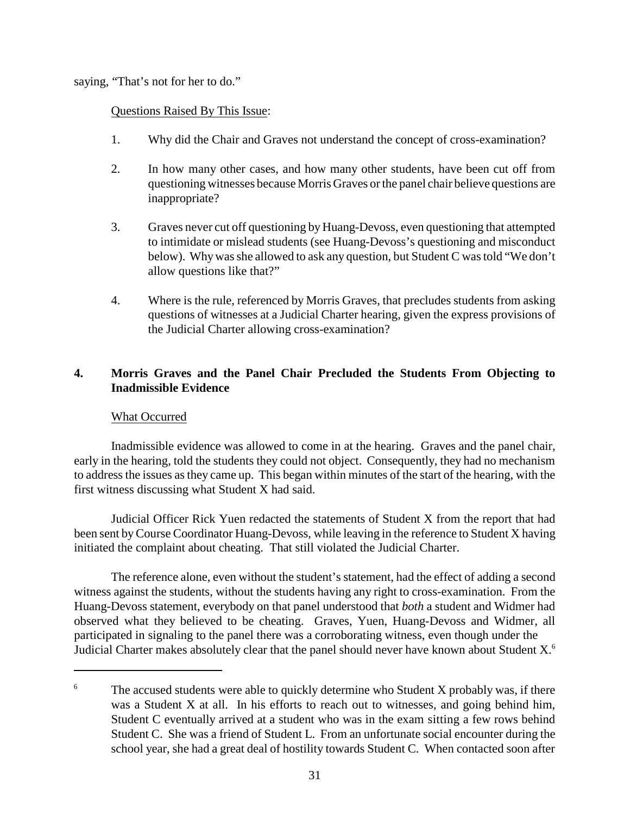saying, "That's not for her to do."

# Questions Raised By This Issue:

- 1. Why did the Chair and Graves not understand the concept of cross-examination?
- 2. In how many other cases, and how many other students, have been cut off from questioning witnesses because Morris Graves or the panel chair believe questions are inappropriate?
- 3. Graves never cut off questioning by Huang-Devoss, even questioning that attempted to intimidate or mislead students (see Huang-Devoss's questioning and misconduct below). Whywas she allowed to ask any question, but Student C was told "We don't allow questions like that?"
- 4. Where is the rule, referenced by Morris Graves, that precludes students from asking questions of witnesses at a Judicial Charter hearing, given the express provisions of the Judicial Charter allowing cross-examination?

# **4. Morris Graves and the Panel Chair Precluded the Students From Objecting to Inadmissible Evidence**

# What Occurred

Inadmissible evidence was allowed to come in at the hearing. Graves and the panel chair, early in the hearing, told the students they could not object. Consequently, they had no mechanism to address the issues as they came up. This began within minutes of the start of the hearing, with the first witness discussing what Student X had said.

Judicial Officer Rick Yuen redacted the statements of Student X from the report that had been sent byCourse Coordinator Huang-Devoss, while leaving in the reference to Student X having initiated the complaint about cheating. That still violated the Judicial Charter.

The reference alone, even without the student's statement, had the effect of adding a second witness against the students, without the students having any right to cross-examination. From the Huang-Devoss statement, everybody on that panel understood that *both* a student and Widmer had observed what they believed to be cheating. Graves, Yuen, Huang-Devoss and Widmer, all participated in signaling to the panel there was a corroborating witness, even though under the Judicial Charter makes absolutely clear that the panel should never have known about Student X.<sup>6</sup>

 $6 \text{ The accused students were able to quickly determine who Student X probably was, if there.}$ was a Student X at all. In his efforts to reach out to witnesses, and going behind him, Student C eventually arrived at a student who was in the exam sitting a few rows behind Student C. She was a friend of Student L. From an unfortunate social encounter during the school year, she had a great deal of hostility towards Student C. When contacted soon after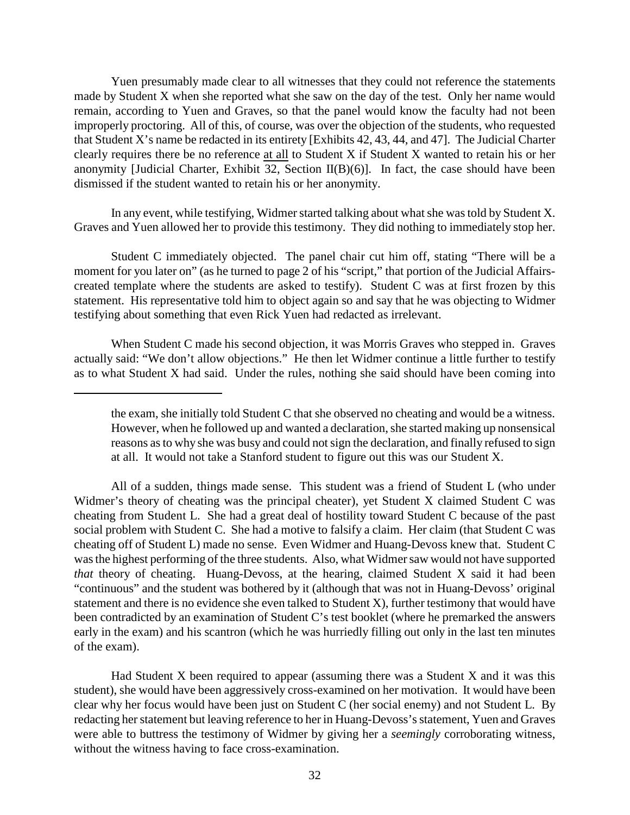Yuen presumably made clear to all witnesses that they could not reference the statements made by Student X when she reported what she saw on the day of the test. Only her name would remain, according to Yuen and Graves, so that the panel would know the faculty had not been improperly proctoring. All of this, of course, was over the objection of the students, who requested that Student X's name be redacted in its entirety [Exhibits 42, 43, 44, and 47]. The Judicial Charter clearly requires there be no reference at all to Student X if Student X wanted to retain his or her anonymity [Judicial Charter, Exhibit 32, Section II(B)(6)]. In fact, the case should have been dismissed if the student wanted to retain his or her anonymity.

In any event, while testifying, Widmer started talking about what she was told by Student X. Graves and Yuen allowed her to provide this testimony. They did nothing to immediately stop her.

Student C immediately objected. The panel chair cut him off, stating "There will be a moment for you later on" (as he turned to page 2 of his "script," that portion of the Judicial Affairscreated template where the students are asked to testify). Student C was at first frozen by this statement. His representative told him to object again so and say that he was objecting to Widmer testifying about something that even Rick Yuen had redacted as irrelevant.

When Student C made his second objection, it was Morris Graves who stepped in. Graves actually said: "We don't allow objections." He then let Widmer continue a little further to testify as to what Student X had said. Under the rules, nothing she said should have been coming into

All of a sudden, things made sense. This student was a friend of Student L (who under Widmer's theory of cheating was the principal cheater), yet Student X claimed Student C was cheating from Student L. She had a great deal of hostility toward Student C because of the past social problem with Student C. She had a motive to falsify a claim. Her claim (that Student C was cheating off of Student L) made no sense. Even Widmer and Huang-Devoss knew that. Student C was the highest performing of the three students. Also, what Widmer saw would not have supported *that* theory of cheating. Huang-Devoss, at the hearing, claimed Student X said it had been "continuous" and the student was bothered by it (although that was not in Huang-Devoss' original statement and there is no evidence she even talked to Student X), further testimony that would have been contradicted by an examination of Student C's test booklet (where he premarked the answers early in the exam) and his scantron (which he was hurriedly filling out only in the last ten minutes of the exam).

Had Student X been required to appear (assuming there was a Student X and it was this student), she would have been aggressively cross-examined on her motivation. It would have been clear why her focus would have been just on Student C (her social enemy) and not Student L. By redacting her statement but leaving reference to her in Huang-Devoss's statement, Yuen and Graves were able to buttress the testimony of Widmer by giving her a *seemingly* corroborating witness, without the witness having to face cross-examination.

the exam, she initially told Student C that she observed no cheating and would be a witness. However, when he followed up and wanted a declaration, she started making up nonsensical reasons as to why she was busy and could not sign the declaration, and finally refused to sign at all. It would not take a Stanford student to figure out this was our Student X.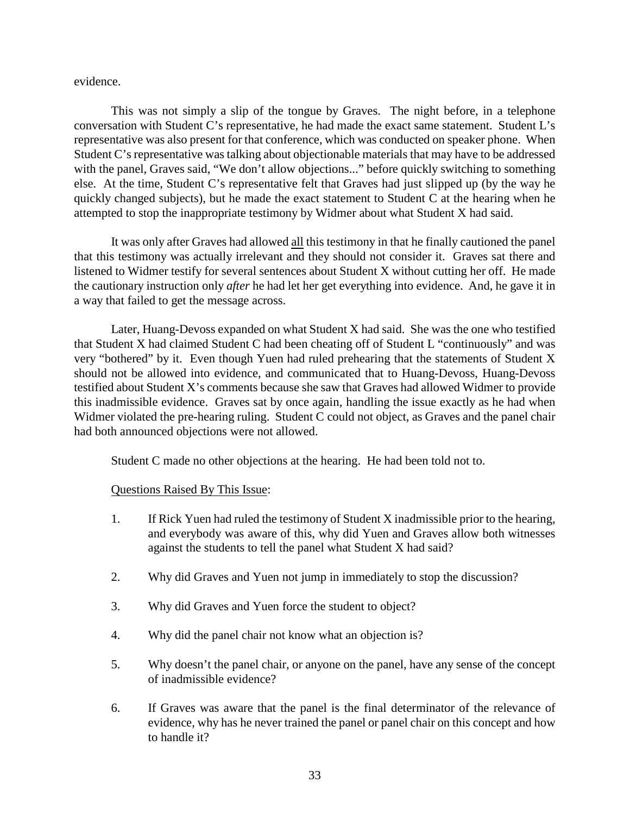evidence.

This was not simply a slip of the tongue by Graves. The night before, in a telephone conversation with Student C's representative, he had made the exact same statement. Student L's representative was also present for that conference, which was conducted on speaker phone. When Student C's representative was talking about objectionable materials that may have to be addressed with the panel, Graves said, "We don't allow objections..." before quickly switching to something else. At the time, Student C's representative felt that Graves had just slipped up (by the way he quickly changed subjects), but he made the exact statement to Student C at the hearing when he attempted to stop the inappropriate testimony by Widmer about what Student X had said.

It was only after Graves had allowed all this testimony in that he finally cautioned the panel that this testimony was actually irrelevant and they should not consider it. Graves sat there and listened to Widmer testify for several sentences about Student X without cutting her off. He made the cautionary instruction only *after* he had let her get everything into evidence. And, he gave it in a way that failed to get the message across.

Later, Huang-Devoss expanded on what Student X had said. She was the one who testified that Student X had claimed Student C had been cheating off of Student L "continuously" and was very "bothered" by it. Even though Yuen had ruled prehearing that the statements of Student X should not be allowed into evidence, and communicated that to Huang-Devoss, Huang-Devoss testified about Student X's comments because she saw that Graves had allowed Widmer to provide this inadmissible evidence. Graves sat by once again, handling the issue exactly as he had when Widmer violated the pre-hearing ruling. Student C could not object, as Graves and the panel chair had both announced objections were not allowed.

Student C made no other objections at the hearing. He had been told not to.

- 1. If Rick Yuen had ruled the testimony of Student X inadmissible prior to the hearing, and everybody was aware of this, why did Yuen and Graves allow both witnesses against the students to tell the panel what Student X had said?
- 2. Why did Graves and Yuen not jump in immediately to stop the discussion?
- 3. Why did Graves and Yuen force the student to object?
- 4. Why did the panel chair not know what an objection is?
- 5. Why doesn't the panel chair, or anyone on the panel, have any sense of the concept of inadmissible evidence?
- 6. If Graves was aware that the panel is the final determinator of the relevance of evidence, why has he never trained the panel or panel chair on this concept and how to handle it?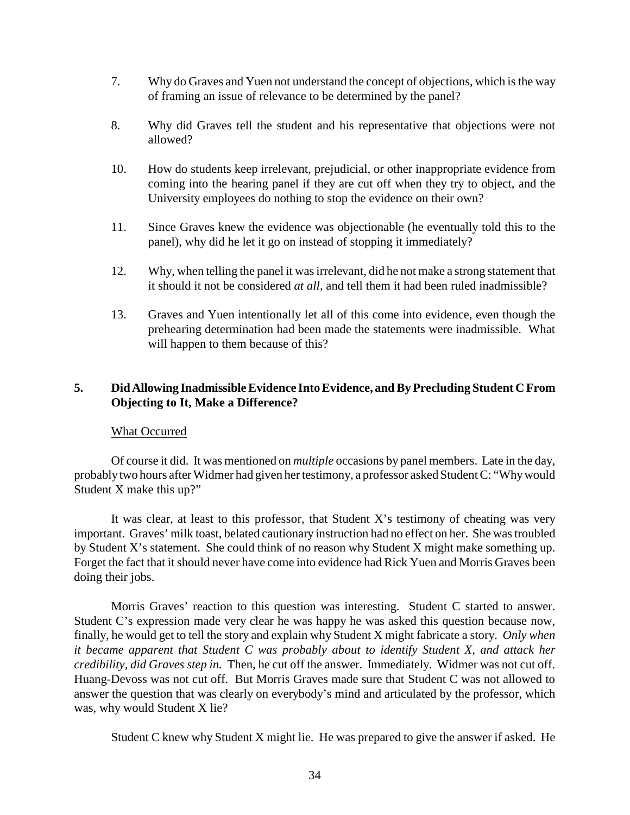- 7. Why do Graves and Yuen not understand the concept of objections, which is the way of framing an issue of relevance to be determined by the panel?
- 8. Why did Graves tell the student and his representative that objections were not allowed?
- 10. How do students keep irrelevant, prejudicial, or other inappropriate evidence from coming into the hearing panel if they are cut off when they try to object, and the University employees do nothing to stop the evidence on their own?
- 11. Since Graves knew the evidence was objectionable (he eventually told this to the panel), why did he let it go on instead of stopping it immediately?
- 12. Why, when telling the panel it was irrelevant, did he not make a strong statement that it should it not be considered *at all*, and tell them it had been ruled inadmissible?
- 13. Graves and Yuen intentionally let all of this come into evidence, even though the prehearing determination had been made the statements were inadmissible. What will happen to them because of this?

# **5. Did Allowing Inadmissible Evidence Into Evidence, and By Precluding Student C From Objecting to It, Make a Difference?**

### What Occurred

Of course it did. It was mentioned on *multiple* occasions by panel members. Late in the day, probablytwo hours after Widmer had given her testimony, a professor asked Student C: "Whywould Student X make this up?"

It was clear, at least to this professor, that Student X's testimony of cheating was very important. Graves' milk toast, belated cautionary instruction had no effect on her. She was troubled by Student X's statement. She could think of no reason why Student X might make something up. Forget the fact that it should never have come into evidence had Rick Yuen and Morris Graves been doing their jobs.

Morris Graves' reaction to this question was interesting. Student C started to answer. Student C's expression made very clear he was happy he was asked this question because now, finally, he would get to tell the story and explain why Student X might fabricate a story. *Only when it became apparent that Student C was probably about to identify Student X, and attack her credibility, did Graves step in.* Then, he cut off the answer. Immediately. Widmer was not cut off. Huang-Devoss was not cut off. But Morris Graves made sure that Student C was not allowed to answer the question that was clearly on everybody's mind and articulated by the professor, which was, why would Student X lie?

Student C knew why Student X might lie. He was prepared to give the answer if asked. He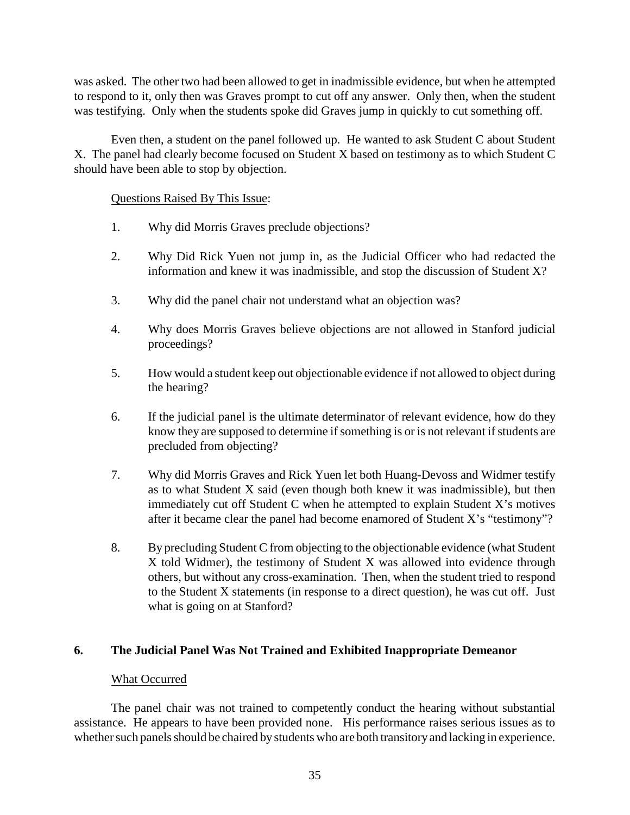was asked. The other two had been allowed to get in inadmissible evidence, but when he attempted to respond to it, only then was Graves prompt to cut off any answer. Only then, when the student was testifying. Only when the students spoke did Graves jump in quickly to cut something off.

Even then, a student on the panel followed up. He wanted to ask Student C about Student X. The panel had clearly become focused on Student X based on testimony as to which Student C should have been able to stop by objection.

# Questions Raised By This Issue:

- 1. Why did Morris Graves preclude objections?
- 2. Why Did Rick Yuen not jump in, as the Judicial Officer who had redacted the information and knew it was inadmissible, and stop the discussion of Student X?
- 3. Why did the panel chair not understand what an objection was?
- 4. Why does Morris Graves believe objections are not allowed in Stanford judicial proceedings?
- 5. How would a student keep out objectionable evidence if not allowed to object during the hearing?
- 6. If the judicial panel is the ultimate determinator of relevant evidence, how do they know they are supposed to determine if something is or is not relevant if students are precluded from objecting?
- 7. Why did Morris Graves and Rick Yuen let both Huang-Devoss and Widmer testify as to what Student X said (even though both knew it was inadmissible), but then immediately cut off Student C when he attempted to explain Student X's motives after it became clear the panel had become enamored of Student X's "testimony"?
- 8. By precluding Student C from objecting to the objectionable evidence (what Student X told Widmer), the testimony of Student X was allowed into evidence through others, but without any cross-examination. Then, when the student tried to respond to the Student X statements (in response to a direct question), he was cut off. Just what is going on at Stanford?

# **6. The Judicial Panel Was Not Trained and Exhibited Inappropriate Demeanor**

### What Occurred

The panel chair was not trained to competently conduct the hearing without substantial assistance. He appears to have been provided none. His performance raises serious issues as to whether such panels should be chaired by students who are both transitory and lacking in experience.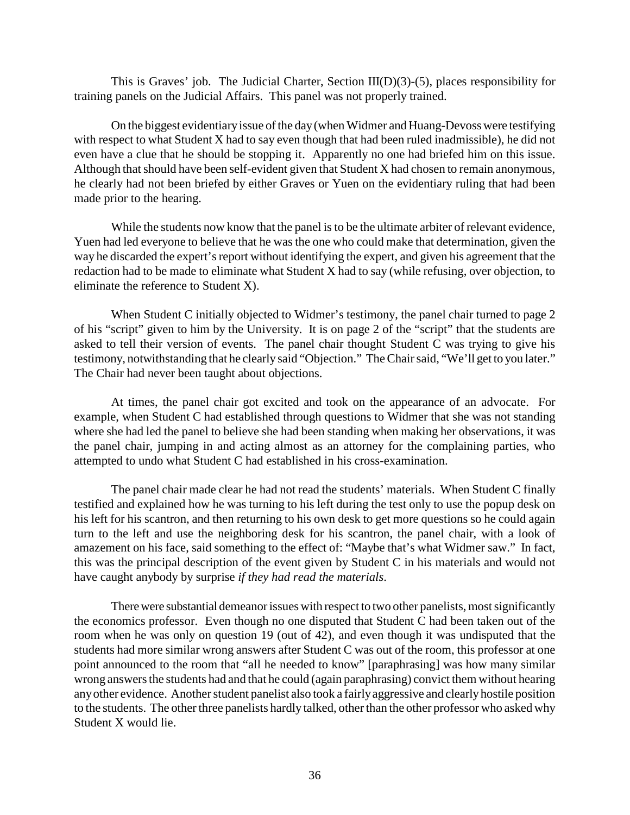This is Graves' job. The Judicial Charter, Section III(D)(3)-(5), places responsibility for training panels on the Judicial Affairs. This panel was not properly trained.

On the biggest evidentiaryissue of the day(when Widmer and Huang-Devoss were testifying with respect to what Student X had to say even though that had been ruled inadmissible), he did not even have a clue that he should be stopping it. Apparently no one had briefed him on this issue. Although that should have been self-evident given that Student X had chosen to remain anonymous, he clearly had not been briefed by either Graves or Yuen on the evidentiary ruling that had been made prior to the hearing.

While the students now know that the panel is to be the ultimate arbiter of relevant evidence, Yuen had led everyone to believe that he was the one who could make that determination, given the way he discarded the expert's report without identifying the expert, and given his agreement that the redaction had to be made to eliminate what Student X had to say (while refusing, over objection, to eliminate the reference to Student X).

When Student C initially objected to Widmer's testimony, the panel chair turned to page 2 of his "script" given to him by the University. It is on page 2 of the "script" that the students are asked to tell their version of events. The panel chair thought Student C was trying to give his testimony, notwithstanding that he clearly said "Objection." The Chair said, "We'll get to you later." The Chair had never been taught about objections.

At times, the panel chair got excited and took on the appearance of an advocate. For example, when Student C had established through questions to Widmer that she was not standing where she had led the panel to believe she had been standing when making her observations, it was the panel chair, jumping in and acting almost as an attorney for the complaining parties, who attempted to undo what Student C had established in his cross-examination.

The panel chair made clear he had not read the students' materials. When Student C finally testified and explained how he was turning to his left during the test only to use the popup desk on his left for his scantron, and then returning to his own desk to get more questions so he could again turn to the left and use the neighboring desk for his scantron, the panel chair, with a look of amazement on his face, said something to the effect of: "Maybe that's what Widmer saw." In fact, this was the principal description of the event given by Student C in his materials and would not have caught anybody by surprise *if they had read the materials*.

There were substantial demeanor issues with respect to two other panelists, most significantly the economics professor. Even though no one disputed that Student C had been taken out of the room when he was only on question 19 (out of 42), and even though it was undisputed that the students had more similar wrong answers after Student C was out of the room, this professor at one point announced to the room that "all he needed to know" [paraphrasing] was how many similar wrong answers the students had and that he could (again paraphrasing) convict them without hearing anyother evidence. Another student panelist also took a fairlyaggressive and clearlyhostile position to the students. The other three panelists hardly talked, other than the other professor who asked why Student X would lie.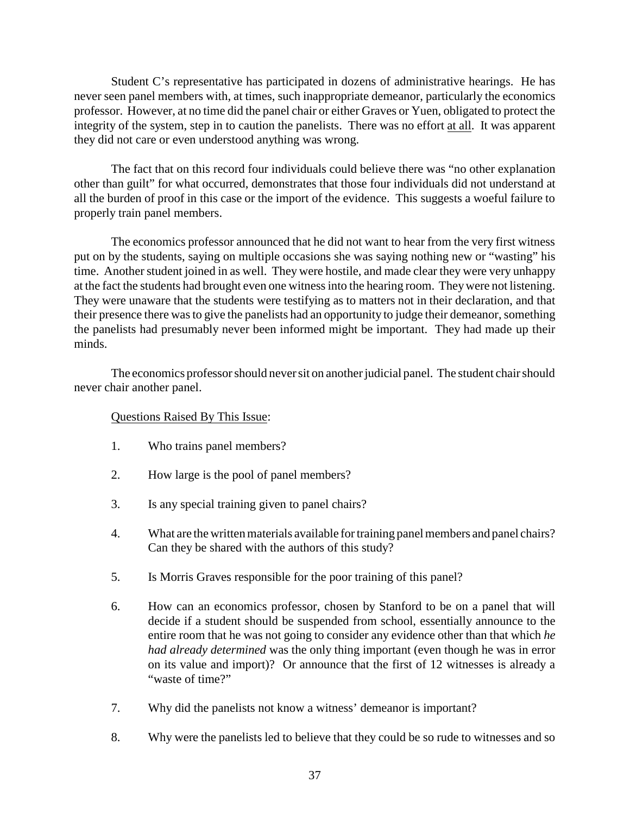Student C's representative has participated in dozens of administrative hearings. He has never seen panel members with, at times, such inappropriate demeanor, particularly the economics professor. However, at no time did the panel chair or either Graves or Yuen, obligated to protect the integrity of the system, step in to caution the panelists. There was no effort at all. It was apparent they did not care or even understood anything was wrong.

The fact that on this record four individuals could believe there was "no other explanation other than guilt" for what occurred, demonstrates that those four individuals did not understand at all the burden of proof in this case or the import of the evidence. This suggests a woeful failure to properly train panel members.

The economics professor announced that he did not want to hear from the very first witness put on by the students, saying on multiple occasions she was saying nothing new or "wasting" his time. Another student joined in as well. They were hostile, and made clear they were very unhappy at the fact the students had brought even one witness into the hearing room. Theywere not listening. They were unaware that the students were testifying as to matters not in their declaration, and that their presence there was to give the panelists had an opportunity to judge their demeanor, something the panelists had presumably never been informed might be important. They had made up their minds.

The economics professor should never sit on another judicial panel. The student chair should never chair another panel.

- 1. Who trains panel members?
- 2. How large is the pool of panel members?
- 3. Is any special training given to panel chairs?
- 4. What are the written materials available for training panel members and panel chairs? Can they be shared with the authors of this study?
- 5. Is Morris Graves responsible for the poor training of this panel?
- 6. How can an economics professor, chosen by Stanford to be on a panel that will decide if a student should be suspended from school, essentially announce to the entire room that he was not going to consider any evidence other than that which *he had already determined* was the only thing important (even though he was in error on its value and import)? Or announce that the first of 12 witnesses is already a "waste of time?"
- 7. Why did the panelists not know a witness' demeanor is important?
- 8. Why were the panelists led to believe that they could be so rude to witnesses and so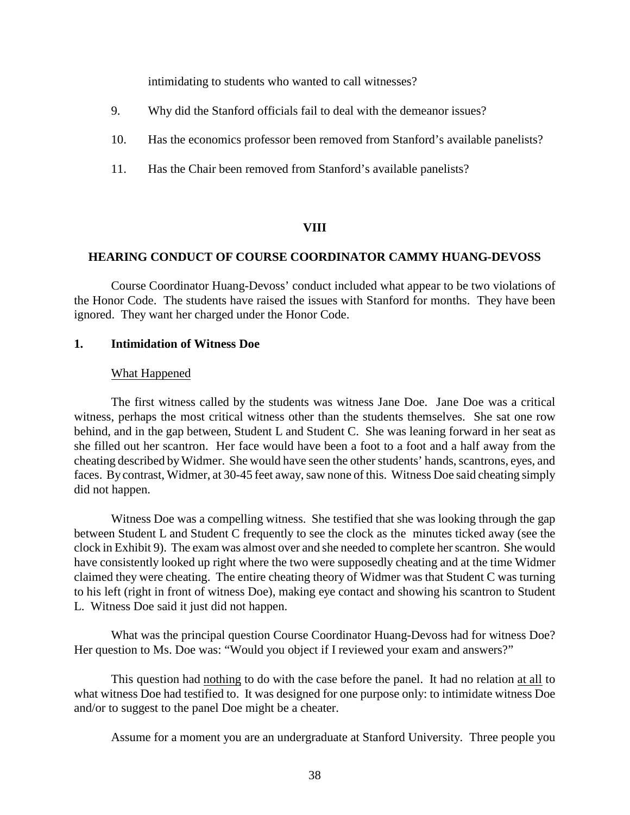intimidating to students who wanted to call witnesses?

- 9. Why did the Stanford officials fail to deal with the demeanor issues?
- 10. Has the economics professor been removed from Stanford's available panelists?
- 11. Has the Chair been removed from Stanford's available panelists?

#### **VIII**

#### **HEARING CONDUCT OF COURSE COORDINATOR CAMMY HUANG-DEVOSS**

Course Coordinator Huang-Devoss' conduct included what appear to be two violations of the Honor Code. The students have raised the issues with Stanford for months. They have been ignored. They want her charged under the Honor Code.

#### **1. Intimidation of Witness Doe**

#### What Happened

The first witness called by the students was witness Jane Doe. Jane Doe was a critical witness, perhaps the most critical witness other than the students themselves. She sat one row behind, and in the gap between, Student L and Student C. She was leaning forward in her seat as she filled out her scantron. Her face would have been a foot to a foot and a half away from the cheating described byWidmer. She would have seen the other students' hands, scantrons, eyes, and faces. By contrast, Widmer, at 30-45 feet away, saw none of this. Witness Doe said cheating simply did not happen.

Witness Doe was a compelling witness. She testified that she was looking through the gap between Student L and Student C frequently to see the clock as the minutes ticked away (see the clock in Exhibit 9). The exam was almost over and she needed to complete her scantron. She would have consistently looked up right where the two were supposedly cheating and at the time Widmer claimed they were cheating. The entire cheating theory of Widmer was that Student C was turning to his left (right in front of witness Doe), making eye contact and showing his scantron to Student L. Witness Doe said it just did not happen.

What was the principal question Course Coordinator Huang-Devoss had for witness Doe? Her question to Ms. Doe was: "Would you object if I reviewed your exam and answers?"

This question had nothing to do with the case before the panel. It had no relation at all to what witness Doe had testified to. It was designed for one purpose only: to intimidate witness Doe and/or to suggest to the panel Doe might be a cheater.

Assume for a moment you are an undergraduate at Stanford University. Three people you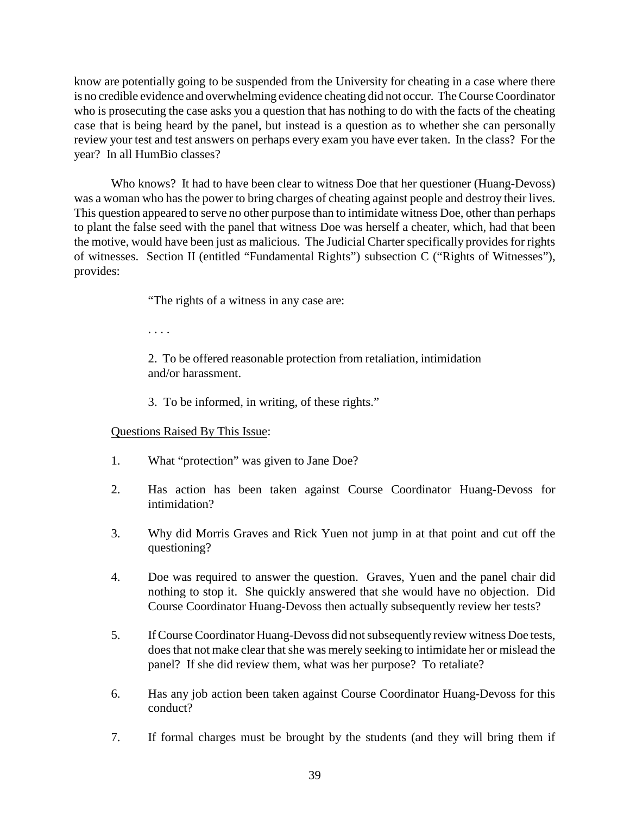know are potentially going to be suspended from the University for cheating in a case where there is no credible evidence and overwhelming evidence cheating did not occur. The Course Coordinator who is prosecuting the case asks you a question that has nothing to do with the facts of the cheating case that is being heard by the panel, but instead is a question as to whether she can personally review your test and test answers on perhaps every exam you have ever taken. In the class? For the year? In all HumBio classes?

Who knows? It had to have been clear to witness Doe that her questioner (Huang-Devoss) was a woman who has the power to bring charges of cheating against people and destroy their lives. This question appeared to serve no other purpose than to intimidate witness Doe, other than perhaps to plant the false seed with the panel that witness Doe was herself a cheater, which, had that been the motive, would have been just as malicious. The Judicial Charter specifically provides for rights of witnesses. Section II (entitled "Fundamental Rights") subsection C ("Rights of Witnesses"), provides:

"The rights of a witness in any case are:

. . . .

2. To be offered reasonable protection from retaliation, intimidation and/or harassment.

3. To be informed, in writing, of these rights."

- 1. What "protection" was given to Jane Doe?
- 2. Has action has been taken against Course Coordinator Huang-Devoss for intimidation?
- 3. Why did Morris Graves and Rick Yuen not jump in at that point and cut off the questioning?
- 4. Doe was required to answer the question. Graves, Yuen and the panel chair did nothing to stop it. She quickly answered that she would have no objection. Did Course Coordinator Huang-Devoss then actually subsequently review her tests?
- 5. If Course Coordinator Huang-Devoss did not subsequently review witness Doe tests, does that not make clear that she was merely seeking to intimidate her or mislead the panel? If she did review them, what was her purpose? To retaliate?
- 6. Has any job action been taken against Course Coordinator Huang-Devoss for this conduct?
- 7. If formal charges must be brought by the students (and they will bring them if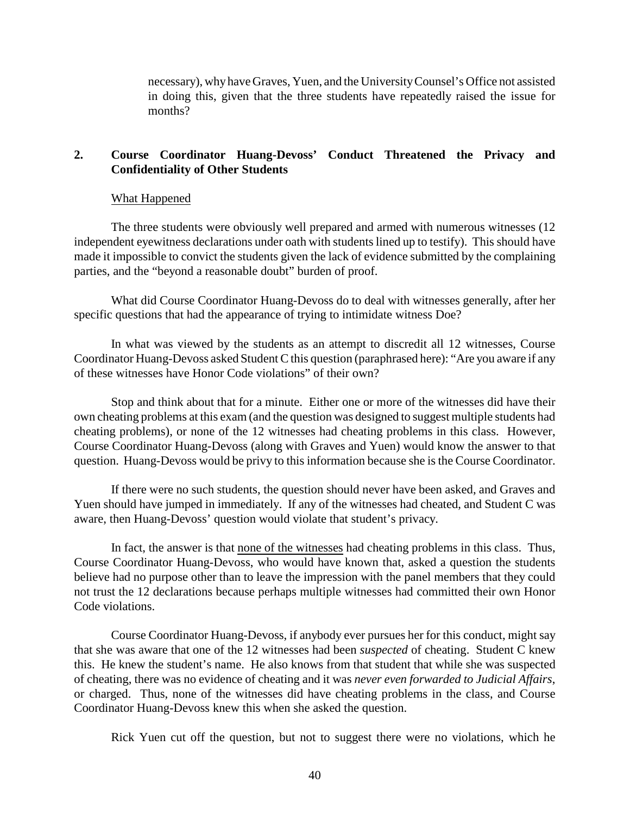necessary), whyhave Graves, Yuen, and the UniversityCounsel's Office not assisted in doing this, given that the three students have repeatedly raised the issue for months?

# **2. Course Coordinator Huang-Devoss' Conduct Threatened the Privacy and Confidentiality of Other Students**

#### What Happened

The three students were obviously well prepared and armed with numerous witnesses (12 independent eyewitness declarations under oath with students lined up to testify). This should have made it impossible to convict the students given the lack of evidence submitted by the complaining parties, and the "beyond a reasonable doubt" burden of proof.

What did Course Coordinator Huang-Devoss do to deal with witnesses generally, after her specific questions that had the appearance of trying to intimidate witness Doe?

In what was viewed by the students as an attempt to discredit all 12 witnesses, Course Coordinator Huang-Devoss asked Student C this question (paraphrased here): "Are you aware if any of these witnesses have Honor Code violations" of their own?

Stop and think about that for a minute. Either one or more of the witnesses did have their own cheating problems at this exam (and the question was designed to suggest multiple students had cheating problems), or none of the 12 witnesses had cheating problems in this class. However, Course Coordinator Huang-Devoss (along with Graves and Yuen) would know the answer to that question. Huang-Devoss would be privy to this information because she is the Course Coordinator.

If there were no such students, the question should never have been asked, and Graves and Yuen should have jumped in immediately. If any of the witnesses had cheated, and Student C was aware, then Huang-Devoss' question would violate that student's privacy.

In fact, the answer is that none of the witnesses had cheating problems in this class. Thus, Course Coordinator Huang-Devoss, who would have known that, asked a question the students believe had no purpose other than to leave the impression with the panel members that they could not trust the 12 declarations because perhaps multiple witnesses had committed their own Honor Code violations.

Course Coordinator Huang-Devoss, if anybody ever pursues her for this conduct, might say that she was aware that one of the 12 witnesses had been *suspected* of cheating. Student C knew this. He knew the student's name. He also knows from that student that while she was suspected of cheating, there was no evidence of cheating and it was *never even forwarded to Judicial Affairs*, or charged. Thus, none of the witnesses did have cheating problems in the class, and Course Coordinator Huang-Devoss knew this when she asked the question.

Rick Yuen cut off the question, but not to suggest there were no violations, which he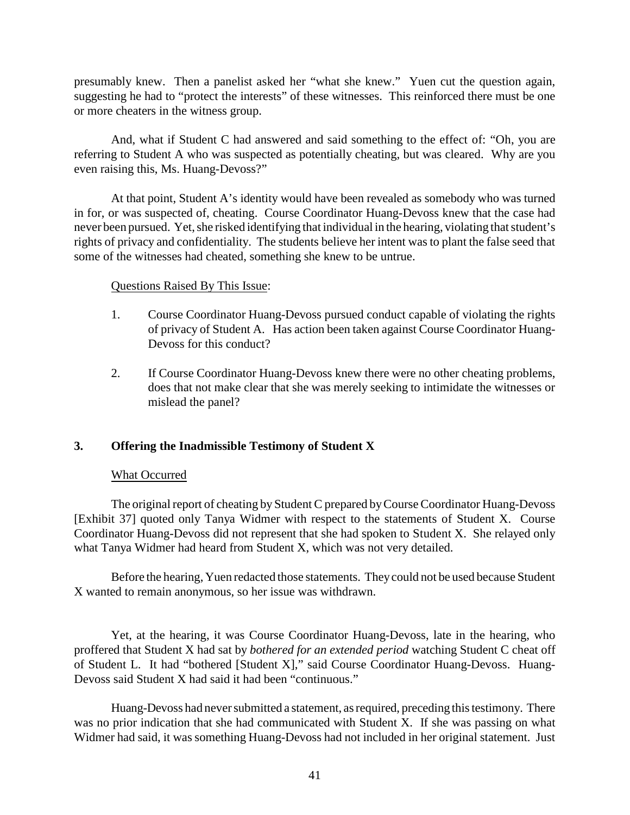presumably knew. Then a panelist asked her "what she knew." Yuen cut the question again, suggesting he had to "protect the interests" of these witnesses. This reinforced there must be one or more cheaters in the witness group.

And, what if Student C had answered and said something to the effect of: "Oh, you are referring to Student A who was suspected as potentially cheating, but was cleared. Why are you even raising this, Ms. Huang-Devoss?"

At that point, Student A's identity would have been revealed as somebody who was turned in for, or was suspected of, cheating. Course Coordinator Huang-Devoss knew that the case had never been pursued. Yet, she risked identifying that individual in the hearing, violating that student's rights of privacy and confidentiality. The students believe her intent was to plant the false seed that some of the witnesses had cheated, something she knew to be untrue.

### Questions Raised By This Issue:

- 1. Course Coordinator Huang-Devoss pursued conduct capable of violating the rights of privacy of Student A. Has action been taken against Course Coordinator Huang-Devoss for this conduct?
- 2. If Course Coordinator Huang-Devoss knew there were no other cheating problems, does that not make clear that she was merely seeking to intimidate the witnesses or mislead the panel?

### **3. Offering the Inadmissible Testimony of Student X**

### What Occurred

The original report of cheating by Student C prepared byCourse Coordinator Huang-Devoss [Exhibit 37] quoted only Tanya Widmer with respect to the statements of Student X. Course Coordinator Huang-Devoss did not represent that she had spoken to Student X. She relayed only what Tanya Widmer had heard from Student X, which was not very detailed.

Before the hearing, Yuen redacted those statements. Theycould not be used because Student X wanted to remain anonymous, so her issue was withdrawn.

Yet, at the hearing, it was Course Coordinator Huang-Devoss, late in the hearing, who proffered that Student X had sat by *bothered for an extended period* watching Student C cheat off of Student L. It had "bothered [Student X]," said Course Coordinator Huang-Devoss. Huang-Devoss said Student X had said it had been "continuous."

Huang-Devoss had never submitted a statement, as required, preceding this testimony. There was no prior indication that she had communicated with Student X. If she was passing on what Widmer had said, it was something Huang-Devoss had not included in her original statement. Just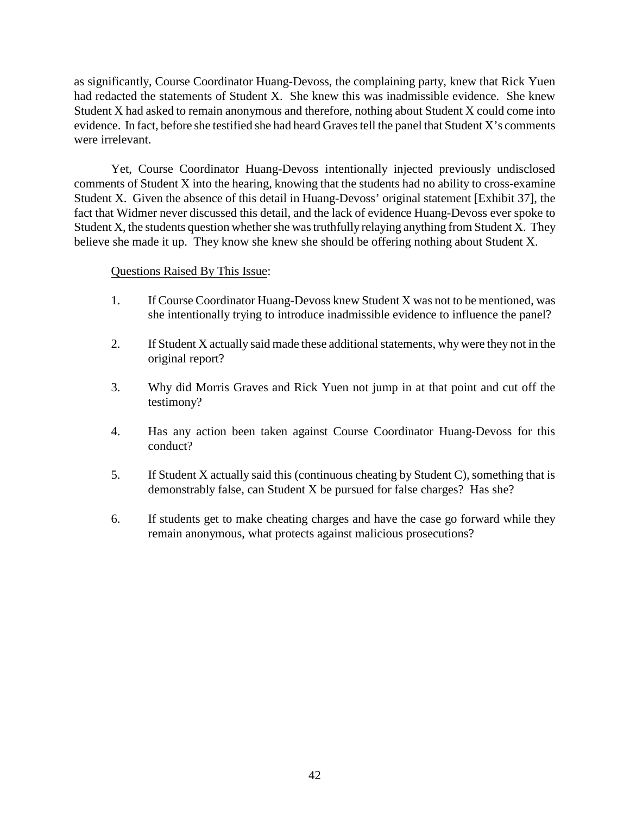as significantly, Course Coordinator Huang-Devoss, the complaining party, knew that Rick Yuen had redacted the statements of Student X. She knew this was inadmissible evidence. She knew Student X had asked to remain anonymous and therefore, nothing about Student X could come into evidence. In fact, before she testified she had heard Graves tell the panel that Student X's comments were irrelevant.

Yet, Course Coordinator Huang-Devoss intentionally injected previously undisclosed comments of Student X into the hearing, knowing that the students had no ability to cross-examine Student X. Given the absence of this detail in Huang-Devoss' original statement [Exhibit 37], the fact that Widmer never discussed this detail, and the lack of evidence Huang-Devoss ever spoke to Student X, the students question whether she was truthfully relaying anything from Student X. They believe she made it up. They know she knew she should be offering nothing about Student X.

- 1. If Course Coordinator Huang-Devoss knew Student X was not to be mentioned, was she intentionally trying to introduce inadmissible evidence to influence the panel?
- 2. If Student X actually said made these additional statements, why were they not in the original report?
- 3. Why did Morris Graves and Rick Yuen not jump in at that point and cut off the testimony?
- 4. Has any action been taken against Course Coordinator Huang-Devoss for this conduct?
- 5. If Student X actually said this (continuous cheating by Student C), something that is demonstrably false, can Student X be pursued for false charges? Has she?
- 6. If students get to make cheating charges and have the case go forward while they remain anonymous, what protects against malicious prosecutions?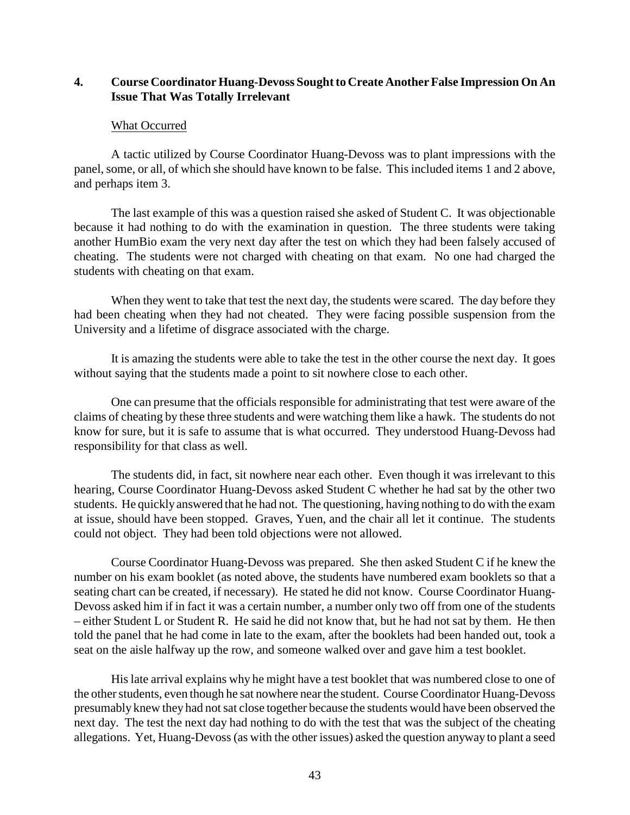## **4. Course Coordinator Huang-Devoss Sought to Create Another False Impression On An Issue That Was Totally Irrelevant**

### What Occurred

A tactic utilized by Course Coordinator Huang-Devoss was to plant impressions with the panel, some, or all, of which she should have known to be false. This included items 1 and 2 above, and perhaps item 3.

The last example of this was a question raised she asked of Student C. It was objectionable because it had nothing to do with the examination in question. The three students were taking another HumBio exam the very next day after the test on which they had been falsely accused of cheating. The students were not charged with cheating on that exam. No one had charged the students with cheating on that exam.

When they went to take that test the next day, the students were scared. The day before they had been cheating when they had not cheated. They were facing possible suspension from the University and a lifetime of disgrace associated with the charge.

It is amazing the students were able to take the test in the other course the next day. It goes without saying that the students made a point to sit nowhere close to each other.

One can presume that the officials responsible for administrating that test were aware of the claims of cheating by these three students and were watching them like a hawk. The students do not know for sure, but it is safe to assume that is what occurred. They understood Huang-Devoss had responsibility for that class as well.

The students did, in fact, sit nowhere near each other. Even though it was irrelevant to this hearing, Course Coordinator Huang-Devoss asked Student C whether he had sat by the other two students. He quicklyanswered that he had not. The questioning, having nothing to do with the exam at issue, should have been stopped. Graves, Yuen, and the chair all let it continue. The students could not object. They had been told objections were not allowed.

Course Coordinator Huang-Devoss was prepared. She then asked Student C if he knew the number on his exam booklet (as noted above, the students have numbered exam booklets so that a seating chart can be created, if necessary). He stated he did not know. Course Coordinator Huang-Devoss asked him if in fact it was a certain number, a number only two off from one of the students – either Student L or Student R. He said he did not know that, but he had not sat by them. He then told the panel that he had come in late to the exam, after the booklets had been handed out, took a seat on the aisle halfway up the row, and someone walked over and gave him a test booklet.

His late arrival explains why he might have a test booklet that was numbered close to one of the other students, even though he sat nowhere nearthe student. Course Coordinator Huang-Devoss presumably knew they had not sat close together because the students would have been observed the next day. The test the next day had nothing to do with the test that was the subject of the cheating allegations. Yet, Huang-Devoss (as with the other issues) asked the question anyway to plant a seed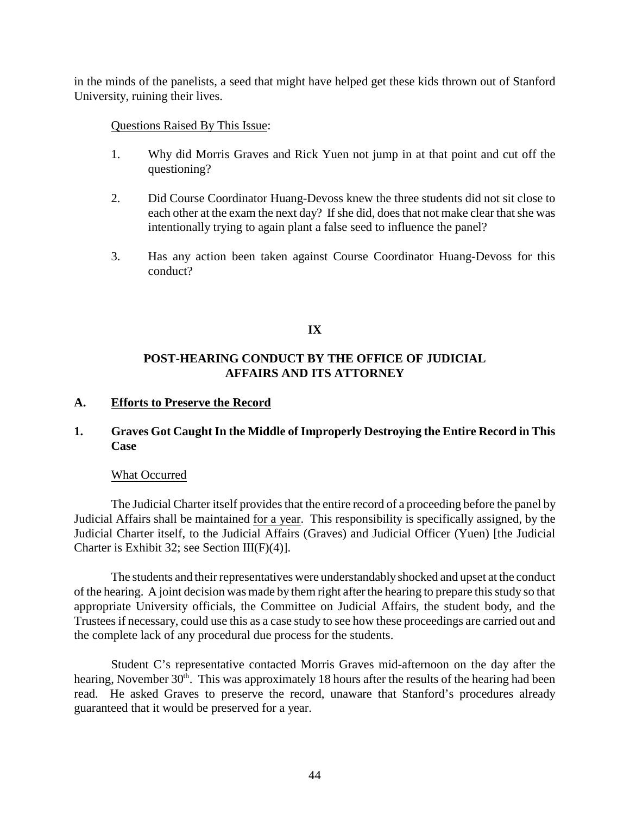in the minds of the panelists, a seed that might have helped get these kids thrown out of Stanford University, ruining their lives.

### Questions Raised By This Issue:

- 1. Why did Morris Graves and Rick Yuen not jump in at that point and cut off the questioning?
- 2. Did Course Coordinator Huang-Devoss knew the three students did not sit close to each other at the exam the next day? If she did, does that not make clear that she was intentionally trying to again plant a false seed to influence the panel?
- 3. Has any action been taken against Course Coordinator Huang-Devoss for this conduct?

### **IX**

# **POST-HEARING CONDUCT BY THE OFFICE OF JUDICIAL AFFAIRS AND ITS ATTORNEY**

### **A. Efforts to Preserve the Record**

### **1. Graves Got Caught In the Middle of Improperly Destroying the Entire Record in This Case**

### What Occurred

The Judicial Charter itself provides that the entire record of a proceeding before the panel by Judicial Affairs shall be maintained for a year. This responsibility is specifically assigned, by the Judicial Charter itself, to the Judicial Affairs (Graves) and Judicial Officer (Yuen) [the Judicial Charter is Exhibit 32; see Section III(F)(4)].

The students and their representatives were understandably shocked and upset at the conduct of the hearing. A joint decision was made by them right after the hearing to prepare this study so that appropriate University officials, the Committee on Judicial Affairs, the student body, and the Trustees if necessary, could use this as a case study to see how these proceedings are carried out and the complete lack of any procedural due process for the students.

Student C's representative contacted Morris Graves mid-afternoon on the day after the hearing, November 30<sup>th</sup>. This was approximately 18 hours after the results of the hearing had been read. He asked Graves to preserve the record, unaware that Stanford's procedures already guaranteed that it would be preserved for a year.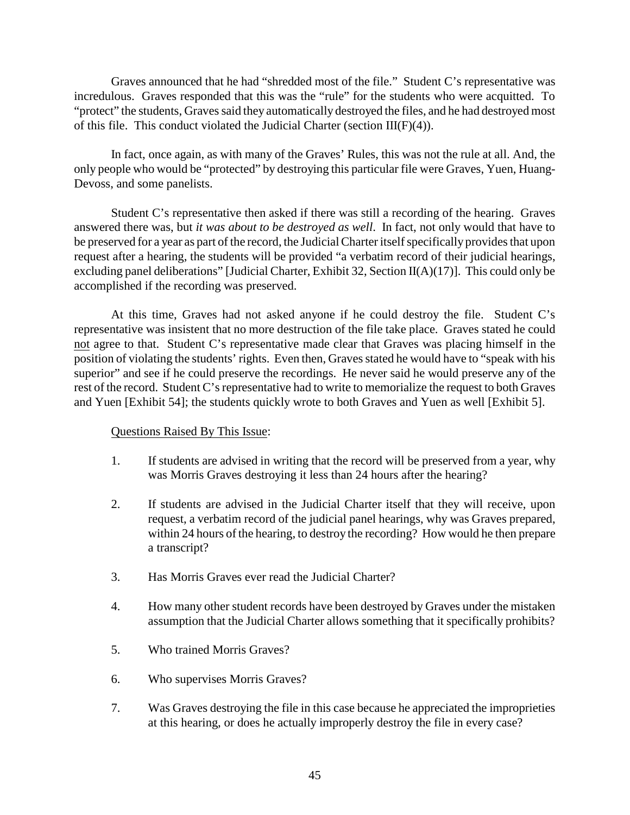Graves announced that he had "shredded most of the file." Student C's representative was incredulous. Graves responded that this was the "rule" for the students who were acquitted. To "protect" the students, Graves said they automatically destroyed the files, and he had destroyed most of this file. This conduct violated the Judicial Charter (section  $III(F)(4)$ ).

In fact, once again, as with many of the Graves' Rules, this was not the rule at all. And, the only people who would be "protected" by destroying this particular file were Graves, Yuen, Huang-Devoss, and some panelists.

Student C's representative then asked if there was still a recording of the hearing. Graves answered there was, but *it was about to be destroyed as well*. In fact, not only would that have to be preserved for a year as part of the record, the Judicial Charter itself specifically provides that upon request after a hearing, the students will be provided "a verbatim record of their judicial hearings, excluding panel deliberations" [Judicial Charter, Exhibit 32, Section II(A)(17)]. This could only be accomplished if the recording was preserved.

At this time, Graves had not asked anyone if he could destroy the file. Student C's representative was insistent that no more destruction of the file take place. Graves stated he could not agree to that. Student C's representative made clear that Graves was placing himself in the position of violating the students' rights. Even then, Graves stated he would have to "speak with his superior" and see if he could preserve the recordings. He never said he would preserve any of the rest of the record. Student C's representative had to write to memorialize the request to both Graves and Yuen [Exhibit 54]; the students quickly wrote to both Graves and Yuen as well [Exhibit 5].

- 1. If students are advised in writing that the record will be preserved from a year, why was Morris Graves destroying it less than 24 hours after the hearing?
- 2. If students are advised in the Judicial Charter itself that they will receive, upon request, a verbatim record of the judicial panel hearings, why was Graves prepared, within 24 hours of the hearing, to destroy the recording? How would he then prepare a transcript?
- 3. Has Morris Graves ever read the Judicial Charter?
- 4. How many other student records have been destroyed by Graves under the mistaken assumption that the Judicial Charter allows something that it specifically prohibits?
- 5. Who trained Morris Graves?
- 6. Who supervises Morris Graves?
- 7. Was Graves destroying the file in this case because he appreciated the improprieties at this hearing, or does he actually improperly destroy the file in every case?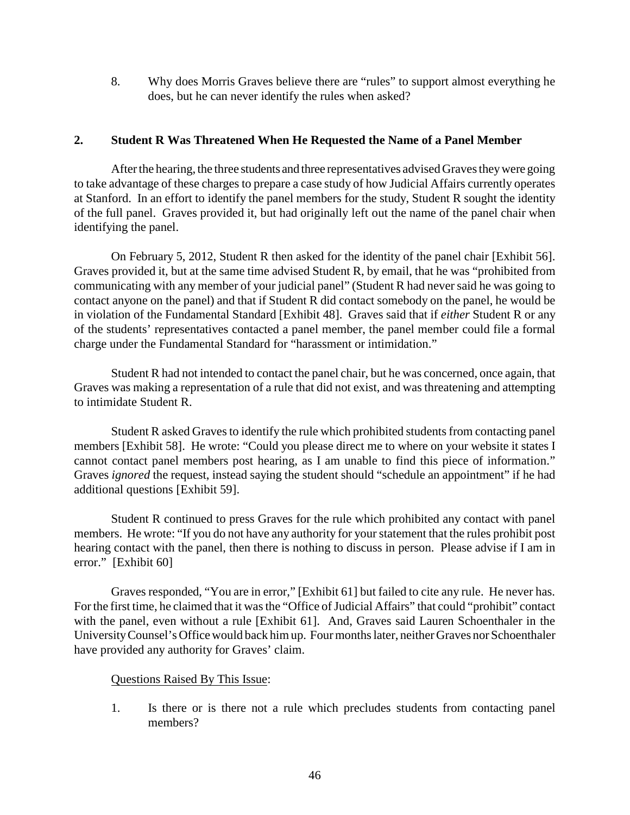8. Why does Morris Graves believe there are "rules" to support almost everything he does, but he can never identify the rules when asked?

## **2. Student R Was Threatened When He Requested the Name of a Panel Member**

After the hearing, the three students and three representatives advised Graves they were going to take advantage of these charges to prepare a case study of how Judicial Affairs currently operates at Stanford. In an effort to identify the panel members for the study, Student R sought the identity of the full panel. Graves provided it, but had originally left out the name of the panel chair when identifying the panel.

On February 5, 2012, Student R then asked for the identity of the panel chair [Exhibit 56]. Graves provided it, but at the same time advised Student R, by email, that he was "prohibited from communicating with any member of your judicial panel" (Student R had neversaid he was going to contact anyone on the panel) and that if Student R did contact somebody on the panel, he would be in violation of the Fundamental Standard [Exhibit 48]. Graves said that if *either* Student R or any of the students' representatives contacted a panel member, the panel member could file a formal charge under the Fundamental Standard for "harassment or intimidation."

Student R had not intended to contact the panel chair, but he was concerned, once again, that Graves was making a representation of a rule that did not exist, and was threatening and attempting to intimidate Student R.

Student R asked Graves to identify the rule which prohibited students from contacting panel members [Exhibit 58]. He wrote: "Could you please direct me to where on your website it states I cannot contact panel members post hearing, as I am unable to find this piece of information." Graves *ignored* the request, instead saying the student should "schedule an appointment" if he had additional questions [Exhibit 59].

Student R continued to press Graves for the rule which prohibited any contact with panel members. He wrote: "If you do not have any authority for your statement that the rules prohibit post hearing contact with the panel, then there is nothing to discuss in person. Please advise if I am in error." [Exhibit 60]

Graves responded, "You are in error," [Exhibit 61] but failed to cite any rule. He never has. Forthe first time, he claimed that it was the "Office of Judicial Affairs" that could "prohibit" contact with the panel, even without a rule [Exhibit 61]. And, Graves said Lauren Schoenthaler in the UniversityCounsel's Office would back him up. Fourmonths later, neither Graves nor Schoenthaler have provided any authority for Graves' claim.

### Questions Raised By This Issue:

1. Is there or is there not a rule which precludes students from contacting panel members?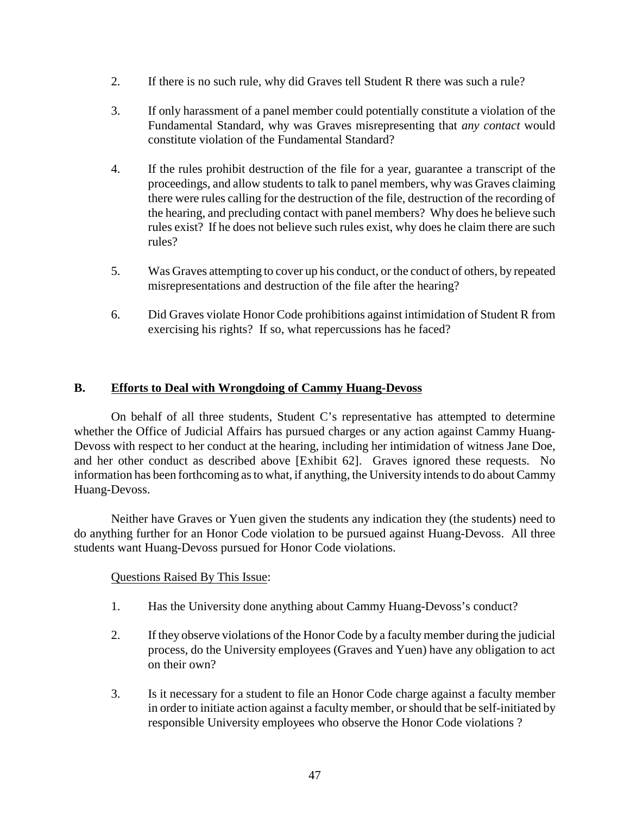- 2. If there is no such rule, why did Graves tell Student R there was such a rule?
- 3. If only harassment of a panel member could potentially constitute a violation of the Fundamental Standard, why was Graves misrepresenting that *any contact* would constitute violation of the Fundamental Standard?
- 4. If the rules prohibit destruction of the file for a year, guarantee a transcript of the proceedings, and allow students to talk to panel members, why was Graves claiming there were rules calling for the destruction of the file, destruction of the recording of the hearing, and precluding contact with panel members? Why does he believe such rules exist? If he does not believe such rules exist, why does he claim there are such rules?
- 5. Was Graves attempting to cover up his conduct, or the conduct of others, by repeated misrepresentations and destruction of the file after the hearing?
- 6. Did Graves violate Honor Code prohibitions against intimidation of Student R from exercising his rights? If so, what repercussions has he faced?

# **B. Efforts to Deal with Wrongdoing of Cammy Huang-Devoss**

On behalf of all three students, Student C's representative has attempted to determine whether the Office of Judicial Affairs has pursued charges or any action against Cammy Huang-Devoss with respect to her conduct at the hearing, including her intimidation of witness Jane Doe, and her other conduct as described above [Exhibit 62]. Graves ignored these requests. No information has been forthcoming as to what, if anything, the University intends to do about Cammy Huang-Devoss.

Neither have Graves or Yuen given the students any indication they (the students) need to do anything further for an Honor Code violation to be pursued against Huang-Devoss. All three students want Huang-Devoss pursued for Honor Code violations.

- 1. Has the University done anything about Cammy Huang-Devoss's conduct?
- 2. If they observe violations of the Honor Code by a faculty member during the judicial process, do the University employees (Graves and Yuen) have any obligation to act on their own?
- 3. Is it necessary for a student to file an Honor Code charge against a faculty member in order to initiate action against a faculty member, or should that be self-initiated by responsible University employees who observe the Honor Code violations ?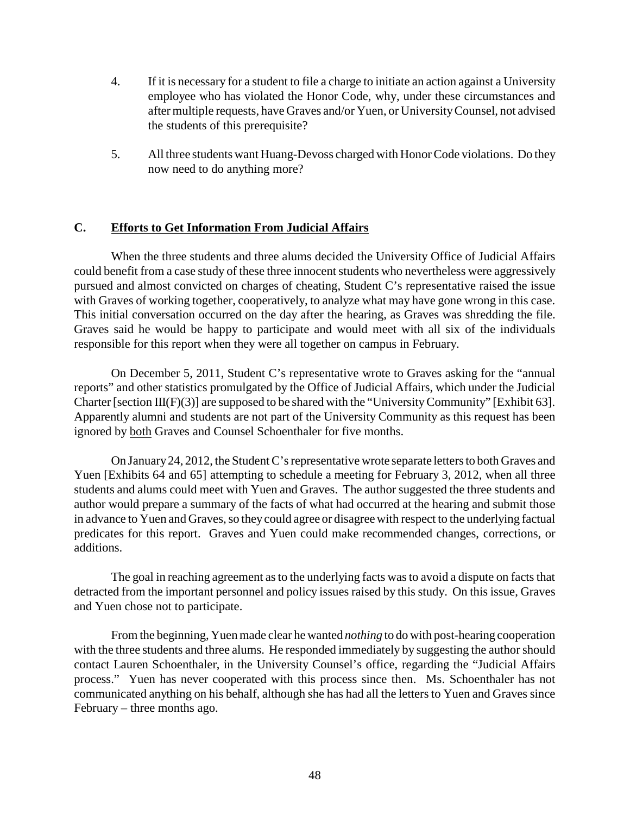- 4. If it is necessary for a student to file a charge to initiate an action against a University employee who has violated the Honor Code, why, under these circumstances and after multiple requests, have Graves and/or Yuen, or UniversityCounsel, not advised the students of this prerequisite?
- 5. All three students want Huang-Devoss charged with Honor Code violations. Do they now need to do anything more?

# **C. Efforts to Get Information From Judicial Affairs**

When the three students and three alums decided the University Office of Judicial Affairs could benefit from a case study of these three innocent students who nevertheless were aggressively pursued and almost convicted on charges of cheating, Student C's representative raised the issue with Graves of working together, cooperatively, to analyze what may have gone wrong in this case. This initial conversation occurred on the day after the hearing, as Graves was shredding the file. Graves said he would be happy to participate and would meet with all six of the individuals responsible for this report when they were all together on campus in February.

On December 5, 2011, Student C's representative wrote to Graves asking for the "annual reports" and other statistics promulgated by the Office of Judicial Affairs, which under the Judicial Charter [section III(F)(3)] are supposed to be shared with the "University Community" [Exhibit 63]. Apparently alumni and students are not part of the University Community as this request has been ignored by both Graves and Counsel Schoenthaler for five months.

On January24, 2012, the Student C's representative wrote separate letters to both Graves and Yuen [Exhibits 64 and 65] attempting to schedule a meeting for February 3, 2012, when all three students and alums could meet with Yuen and Graves. The author suggested the three students and author would prepare a summary of the facts of what had occurred at the hearing and submit those in advance to Yuen and Graves, so they could agree or disagree with respect to the underlying factual predicates for this report. Graves and Yuen could make recommended changes, corrections, or additions.

The goal in reaching agreement as to the underlying facts was to avoid a dispute on facts that detracted from the important personnel and policy issues raised by this study. On this issue, Graves and Yuen chose not to participate.

From the beginning, Yuen made clear he wanted *nothing* to do with post-hearing cooperation with the three students and three alums. He responded immediately by suggesting the author should contact Lauren Schoenthaler, in the University Counsel's office, regarding the "Judicial Affairs process." Yuen has never cooperated with this process since then. Ms. Schoenthaler has not communicated anything on his behalf, although she has had all the letters to Yuen and Graves since February – three months ago.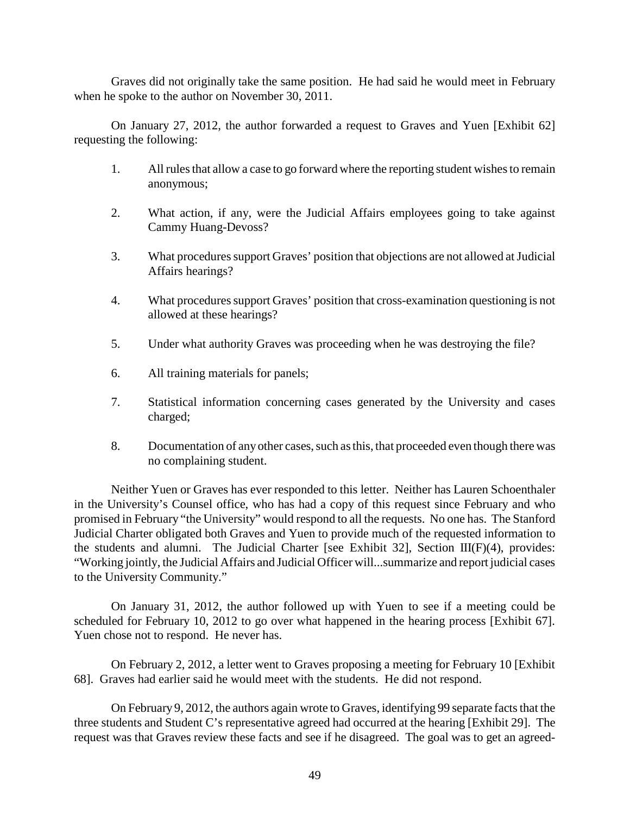Graves did not originally take the same position. He had said he would meet in February when he spoke to the author on November 30, 2011.

On January 27, 2012, the author forwarded a request to Graves and Yuen [Exhibit 62] requesting the following:

- 1. All rules that allow a case to go forward where the reporting student wishes to remain anonymous;
- 2. What action, if any, were the Judicial Affairs employees going to take against Cammy Huang-Devoss?
- 3. What procedures support Graves' position that objections are not allowed at Judicial Affairs hearings?
- 4. What procedures support Graves' position that cross-examination questioning is not allowed at these hearings?
- 5. Under what authority Graves was proceeding when he was destroying the file?
- 6. All training materials for panels;
- 7. Statistical information concerning cases generated by the University and cases charged;
- 8. Documentation of any other cases, such as this, that proceeded even though there was no complaining student.

Neither Yuen or Graves has ever responded to this letter. Neither has Lauren Schoenthaler in the University's Counsel office, who has had a copy of this request since February and who promised in February "the University" would respond to all the requests. No one has. The Stanford Judicial Charter obligated both Graves and Yuen to provide much of the requested information to the students and alumni. The Judicial Charter [see Exhibit 32], Section III(F)(4), provides: "Working jointly, the Judicial Affairs and Judicial Officer will...summarize and report judicial cases to the University Community."

On January 31, 2012, the author followed up with Yuen to see if a meeting could be scheduled for February 10, 2012 to go over what happened in the hearing process [Exhibit 67]. Yuen chose not to respond. He never has.

On February 2, 2012, a letter went to Graves proposing a meeting for February 10 [Exhibit 68]. Graves had earlier said he would meet with the students. He did not respond.

On February 9, 2012, the authors again wrote to Graves, identifying 99 separate facts that the three students and Student C's representative agreed had occurred at the hearing [Exhibit 29]. The request was that Graves review these facts and see if he disagreed. The goal was to get an agreed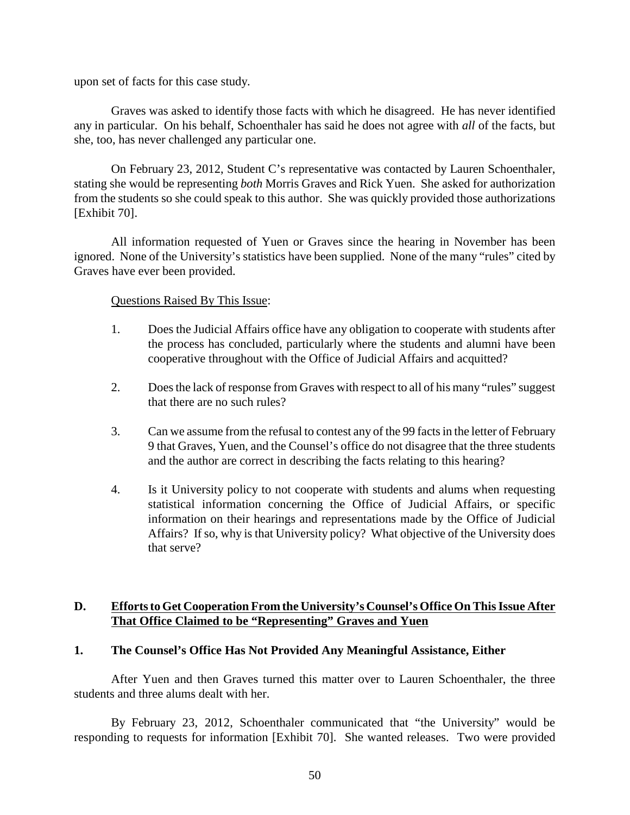upon set of facts for this case study.

Graves was asked to identify those facts with which he disagreed. He has never identified any in particular. On his behalf, Schoenthaler has said he does not agree with *all* of the facts, but she, too, has never challenged any particular one.

On February 23, 2012, Student C's representative was contacted by Lauren Schoenthaler, stating she would be representing *both* Morris Graves and Rick Yuen. She asked for authorization from the students so she could speak to this author. She was quickly provided those authorizations [Exhibit 70].

All information requested of Yuen or Graves since the hearing in November has been ignored. None of the University's statistics have been supplied. None of the many "rules" cited by Graves have ever been provided.

### Questions Raised By This Issue:

- 1. Does the Judicial Affairs office have any obligation to cooperate with students after the process has concluded, particularly where the students and alumni have been cooperative throughout with the Office of Judicial Affairs and acquitted?
- 2. Does the lack of response from Graves with respect to all of his many "rules" suggest that there are no such rules?
- 3. Can we assume from the refusal to contest any of the 99 facts in the letter of February 9 that Graves, Yuen, and the Counsel's office do not disagree that the three students and the author are correct in describing the facts relating to this hearing?
- 4. Is it University policy to not cooperate with students and alums when requesting statistical information concerning the Office of Judicial Affairs, or specific information on their hearings and representations made by the Office of Judicial Affairs? If so, why is that University policy? What objective of the University does that serve?

# **D. Efforts to Get Cooperation From the University's Counsel's Office On This Issue After That Office Claimed to be "Representing" Graves and Yuen**

### **1. The Counsel's Office Has Not Provided Any Meaningful Assistance, Either**

After Yuen and then Graves turned this matter over to Lauren Schoenthaler, the three students and three alums dealt with her.

By February 23, 2012, Schoenthaler communicated that "the University" would be responding to requests for information [Exhibit 70]. She wanted releases. Two were provided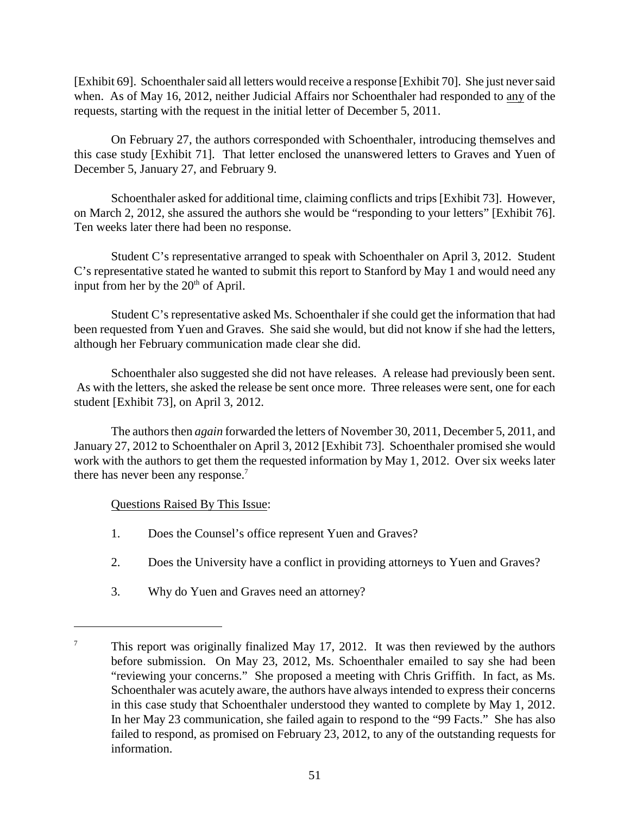[Exhibit 69]. Schoenthalersaid all letters would receive a response [Exhibit 70]. She just neversaid when. As of May 16, 2012, neither Judicial Affairs nor Schoenthaler had responded to any of the requests, starting with the request in the initial letter of December 5, 2011.

On February 27, the authors corresponded with Schoenthaler, introducing themselves and this case study [Exhibit 71]. That letter enclosed the unanswered letters to Graves and Yuen of December 5, January 27, and February 9.

Schoenthaler asked for additional time, claiming conflicts and trips [Exhibit 73]. However, on March 2, 2012, she assured the authors she would be "responding to your letters" [Exhibit 76]. Ten weeks later there had been no response.

Student C's representative arranged to speak with Schoenthaler on April 3, 2012. Student C's representative stated he wanted to submit this report to Stanford by May 1 and would need any input from her by the  $20<sup>th</sup>$  of April.

Student C's representative asked Ms. Schoenthaler if she could get the information that had been requested from Yuen and Graves. She said she would, but did not know if she had the letters, although her February communication made clear she did.

Schoenthaler also suggested she did not have releases. A release had previously been sent. As with the letters, she asked the release be sent once more. Three releases were sent, one for each student [Exhibit 73], on April 3, 2012.

The authors then *again* forwarded the letters of November 30, 2011, December 5, 2011, and January 27, 2012 to Schoenthaler on April 3, 2012 [Exhibit 73]. Schoenthaler promised she would work with the authors to get them the requested information by May 1, 2012. Over six weeks later there has never been any response.<sup>7</sup>

- 1. Does the Counsel's office represent Yuen and Graves?
- 2. Does the University have a conflict in providing attorneys to Yuen and Graves?
- 3. Why do Yuen and Graves need an attorney?

 $\frac{7}{10}$  This report was originally finalized May 17, 2012. It was then reviewed by the authors before submission. On May 23, 2012, Ms. Schoenthaler emailed to say she had been "reviewing your concerns." She proposed a meeting with Chris Griffith. In fact, as Ms. Schoenthaler was acutely aware, the authors have always intended to express their concerns in this case study that Schoenthaler understood they wanted to complete by May 1, 2012. In her May 23 communication, she failed again to respond to the "99 Facts." She has also failed to respond, as promised on February 23, 2012, to any of the outstanding requests for information.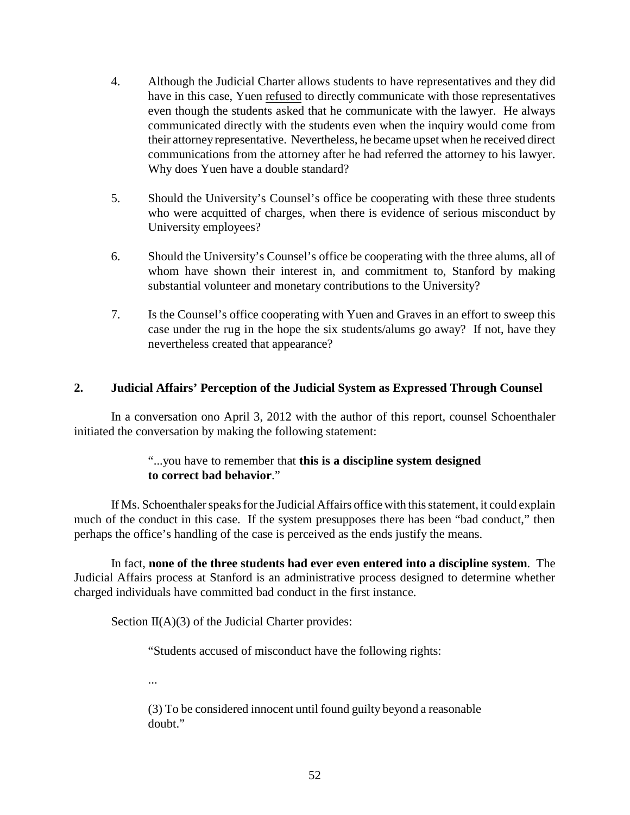- 4. Although the Judicial Charter allows students to have representatives and they did have in this case, Yuen refused to directly communicate with those representatives even though the students asked that he communicate with the lawyer. He always communicated directly with the students even when the inquiry would come from their attorneyrepresentative. Nevertheless, he became upset when he received direct communications from the attorney after he had referred the attorney to his lawyer. Why does Yuen have a double standard?
- 5. Should the University's Counsel's office be cooperating with these three students who were acquitted of charges, when there is evidence of serious misconduct by University employees?
- 6. Should the University's Counsel's office be cooperating with the three alums, all of whom have shown their interest in, and commitment to, Stanford by making substantial volunteer and monetary contributions to the University?
- 7. Is the Counsel's office cooperating with Yuen and Graves in an effort to sweep this case under the rug in the hope the six students/alums go away? If not, have they nevertheless created that appearance?

# **2. Judicial Affairs' Perception of the Judicial System as Expressed Through Counsel**

In a conversation ono April 3, 2012 with the author of this report, counsel Schoenthaler initiated the conversation by making the following statement:

# "...you have to remember that **this is a discipline system designed to correct bad behavior**."

If Ms. Schoenthaler speaks for the Judicial Affairs office with this statement, it could explain much of the conduct in this case. If the system presupposes there has been "bad conduct," then perhaps the office's handling of the case is perceived as the ends justify the means.

In fact, **none of the three students had ever even entered into a discipline system**. The Judicial Affairs process at Stanford is an administrative process designed to determine whether charged individuals have committed bad conduct in the first instance.

Section  $II(A)(3)$  of the Judicial Charter provides:

"Students accused of misconduct have the following rights:

...

(3) To be considered innocent until found guilty beyond a reasonable doubt."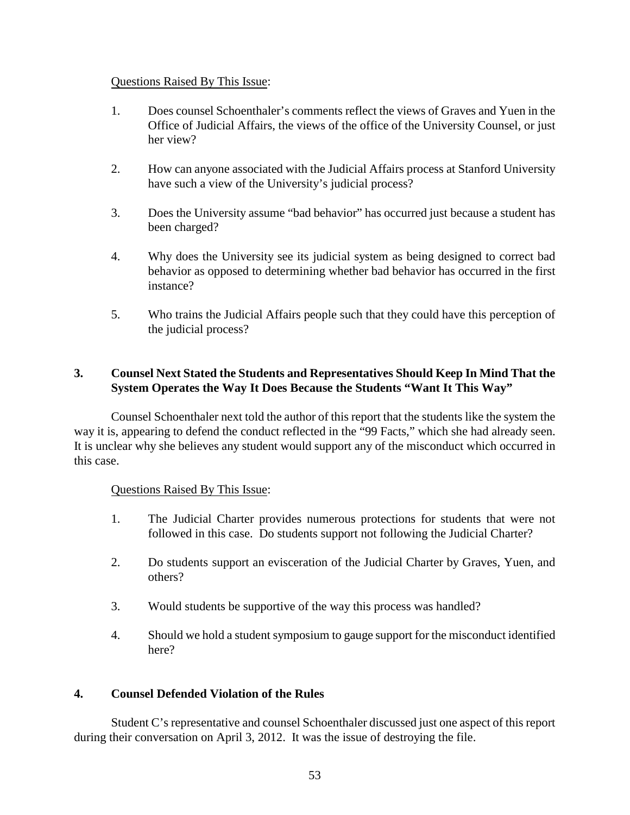## Questions Raised By This Issue:

- 1. Does counsel Schoenthaler's comments reflect the views of Graves and Yuen in the Office of Judicial Affairs, the views of the office of the University Counsel, or just her view?
- 2. How can anyone associated with the Judicial Affairs process at Stanford University have such a view of the University's judicial process?
- 3. Does the University assume "bad behavior" has occurred just because a student has been charged?
- 4. Why does the University see its judicial system as being designed to correct bad behavior as opposed to determining whether bad behavior has occurred in the first instance?
- 5. Who trains the Judicial Affairs people such that they could have this perception of the judicial process?

# **3. Counsel Next Stated the Students and Representatives Should Keep In Mind That the System Operates the Way It Does Because the Students "Want It This Way"**

Counsel Schoenthaler next told the author of this report that the students like the system the way it is, appearing to defend the conduct reflected in the "99 Facts," which she had already seen. It is unclear why she believes any student would support any of the misconduct which occurred in this case.

# Questions Raised By This Issue:

- 1. The Judicial Charter provides numerous protections for students that were not followed in this case. Do students support not following the Judicial Charter?
- 2. Do students support an evisceration of the Judicial Charter by Graves, Yuen, and others?
- 3. Would students be supportive of the way this process was handled?
- 4. Should we hold a student symposium to gauge support for the misconduct identified here?

# **4. Counsel Defended Violation of the Rules**

Student C's representative and counsel Schoenthaler discussed just one aspect of this report during their conversation on April 3, 2012. It was the issue of destroying the file.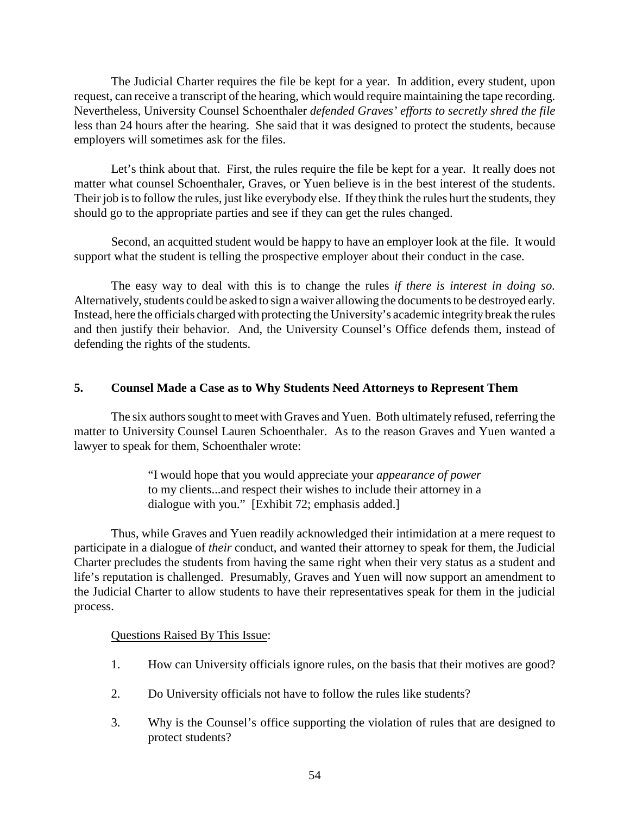The Judicial Charter requires the file be kept for a year. In addition, every student, upon request, can receive a transcript of the hearing, which would require maintaining the tape recording. Nevertheless, University Counsel Schoenthaler *defended Graves' efforts to secretly shred the file* less than 24 hours after the hearing. She said that it was designed to protect the students, because employers will sometimes ask for the files.

Let's think about that. First, the rules require the file be kept for a year. It really does not matter what counsel Schoenthaler, Graves, or Yuen believe is in the best interest of the students. Their job is to follow the rules, just like everybody else. If they think the rules hurt the students, they should go to the appropriate parties and see if they can get the rules changed.

Second, an acquitted student would be happy to have an employer look at the file. It would support what the student is telling the prospective employer about their conduct in the case.

The easy way to deal with this is to change the rules *if there is interest in doing so.*  Alternatively, students could be asked to sign a waiver allowing the documents to be destroyed early. Instead, here the officials charged with protecting the University's academic integrity break the rules and then justify their behavior. And, the University Counsel's Office defends them, instead of defending the rights of the students.

### **5. Counsel Made a Case as to Why Students Need Attorneys to Represent Them**

The six authors sought to meet with Graves and Yuen. Both ultimately refused, referring the matter to University Counsel Lauren Schoenthaler. As to the reason Graves and Yuen wanted a lawyer to speak for them, Schoenthaler wrote:

> "I would hope that you would appreciate your *appearance of power* to my clients...and respect their wishes to include their attorney in a dialogue with you." [Exhibit 72; emphasis added.]

Thus, while Graves and Yuen readily acknowledged their intimidation at a mere request to participate in a dialogue of *their* conduct, and wanted their attorney to speak for them, the Judicial Charter precludes the students from having the same right when their very status as a student and life's reputation is challenged. Presumably, Graves and Yuen will now support an amendment to the Judicial Charter to allow students to have their representatives speak for them in the judicial process.

- 1. How can University officials ignore rules, on the basis that their motives are good?
- 2. Do University officials not have to follow the rules like students?
- 3. Why is the Counsel's office supporting the violation of rules that are designed to protect students?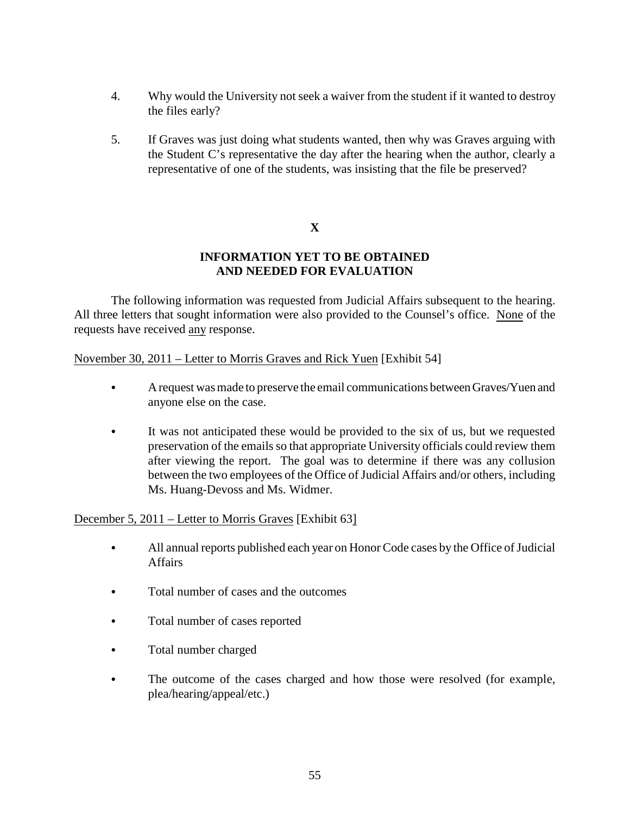- 4. Why would the University not seek a waiver from the student if it wanted to destroy the files early?
- 5. If Graves was just doing what students wanted, then why was Graves arguing with the Student C's representative the day after the hearing when the author, clearly a representative of one of the students, was insisting that the file be preserved?

# **X**

# **INFORMATION YET TO BE OBTAINED AND NEEDED FOR EVALUATION**

The following information was requested from Judicial Affairs subsequent to the hearing. All three letters that sought information were also provided to the Counsel's office. None of the requests have received any response.

November 30, 2011 – Letter to Morris Graves and Rick Yuen [Exhibit 54]

- A request was made to preserve the email communications between Graves/Yuen and anyone else on the case.
- It was not anticipated these would be provided to the six of us, but we requested preservation of the emails so that appropriate University officials could review them after viewing the report. The goal was to determine if there was any collusion between the two employees of the Office of Judicial Affairs and/or others, including Ms. Huang-Devoss and Ms. Widmer.

# December 5, 2011 – Letter to Morris Graves [Exhibit 63]

- All annual reports published each year on Honor Code cases by the Office of Judicial **Affairs**
- Total number of cases and the outcomes
- Total number of cases reported
- Total number charged
- The outcome of the cases charged and how those were resolved (for example, plea/hearing/appeal/etc.)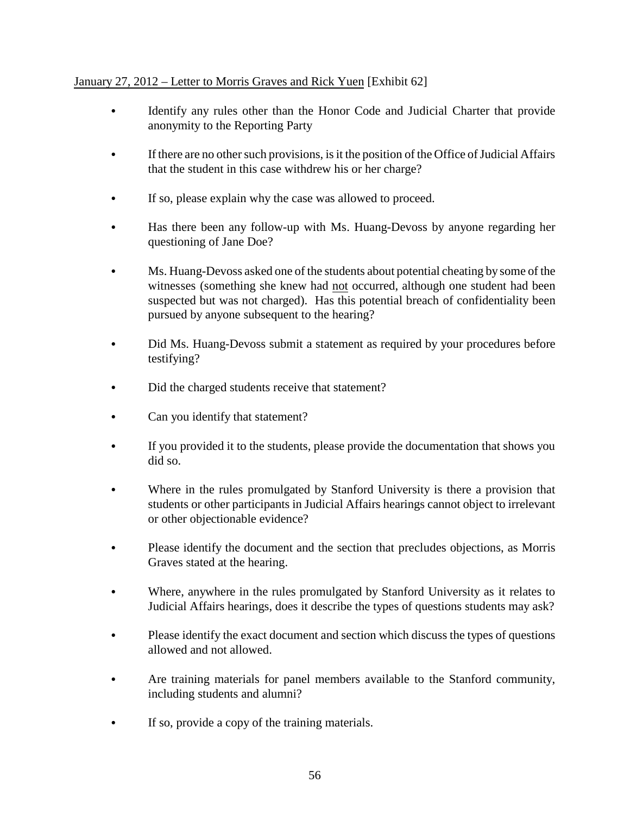# January 27, 2012 – Letter to Morris Graves and Rick Yuen [Exhibit 62]

- Identify any rules other than the Honor Code and Judicial Charter that provide anonymity to the Reporting Party
- If there are no other such provisions, is it the position of the Office of Judicial Affairs that the student in this case withdrew his or her charge?
- If so, please explain why the case was allowed to proceed.
- Has there been any follow-up with Ms. Huang-Devoss by anyone regarding her questioning of Jane Doe?
- Ms. Huang-Devoss asked one of the students about potential cheating by some of the witnesses (something she knew had not occurred, although one student had been suspected but was not charged). Has this potential breach of confidentiality been pursued by anyone subsequent to the hearing?
- Did Ms. Huang-Devoss submit a statement as required by your procedures before testifying?
- Did the charged students receive that statement?
- Can you identify that statement?
- If you provided it to the students, please provide the documentation that shows you did so.
- Where in the rules promulgated by Stanford University is there a provision that students or other participants in Judicial Affairs hearings cannot object to irrelevant or other objectionable evidence?
- Please identify the document and the section that precludes objections, as Morris Graves stated at the hearing.
- Where, anywhere in the rules promulgated by Stanford University as it relates to Judicial Affairs hearings, does it describe the types of questions students may ask?
- Please identify the exact document and section which discuss the types of questions allowed and not allowed.
- Are training materials for panel members available to the Stanford community, including students and alumni?
- If so, provide a copy of the training materials.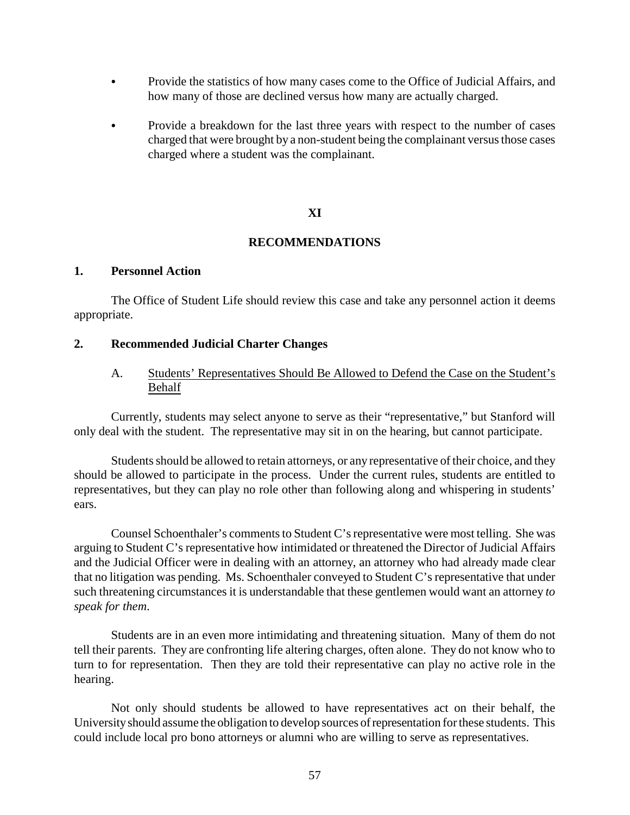- Provide the statistics of how many cases come to the Office of Judicial Affairs, and how many of those are declined versus how many are actually charged.
- Provide a breakdown for the last three years with respect to the number of cases charged that were brought by a non-student being the complainant versus those cases charged where a student was the complainant.

### **XI**

#### **RECOMMENDATIONS**

### **1. Personnel Action**

The Office of Student Life should review this case and take any personnel action it deems appropriate.

### **2. Recommended Judicial Charter Changes**

## A. Students' Representatives Should Be Allowed to Defend the Case on the Student's Behalf

Currently, students may select anyone to serve as their "representative," but Stanford will only deal with the student. The representative may sit in on the hearing, but cannot participate.

Students should be allowed to retain attorneys, or any representative of their choice, and they should be allowed to participate in the process. Under the current rules, students are entitled to representatives, but they can play no role other than following along and whispering in students' ears.

Counsel Schoenthaler's comments to Student C's representative were most telling. She was arguing to Student C's representative how intimidated or threatened the Director of Judicial Affairs and the Judicial Officer were in dealing with an attorney, an attorney who had already made clear that no litigation was pending. Ms. Schoenthaler conveyed to Student C's representative that under such threatening circumstances it is understandable that these gentlemen would want an attorney *to speak for them*.

Students are in an even more intimidating and threatening situation. Many of them do not tell their parents. They are confronting life altering charges, often alone. They do not know who to turn to for representation. Then they are told their representative can play no active role in the hearing.

Not only should students be allowed to have representatives act on their behalf, the Universityshould assume the obligation to develop sources ofrepresentation for these students. This could include local pro bono attorneys or alumni who are willing to serve as representatives.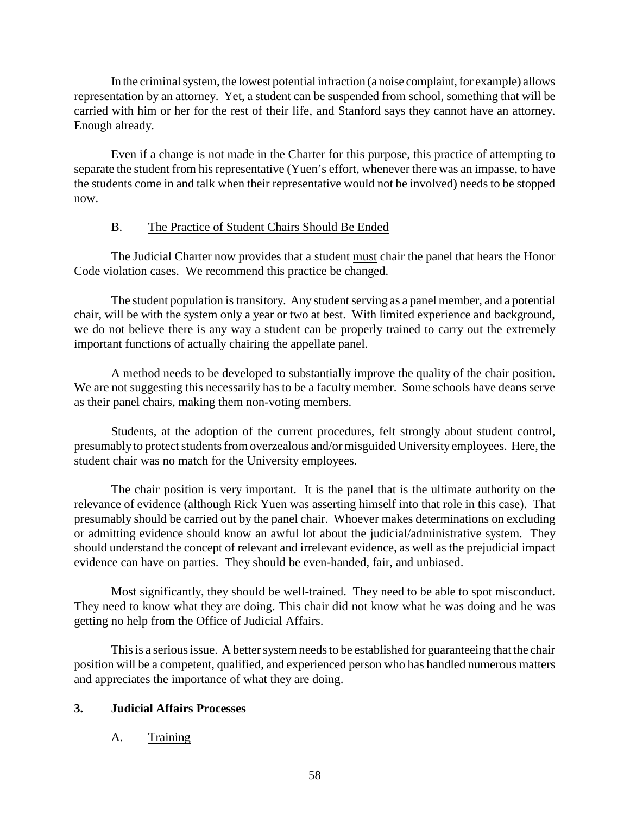In the criminal system, the lowest potential infraction (a noise complaint, for example) allows representation by an attorney. Yet, a student can be suspended from school, something that will be carried with him or her for the rest of their life, and Stanford says they cannot have an attorney. Enough already.

Even if a change is not made in the Charter for this purpose, this practice of attempting to separate the student from his representative (Yuen's effort, whenever there was an impasse, to have the students come in and talk when their representative would not be involved) needs to be stopped now.

### B. The Practice of Student Chairs Should Be Ended

The Judicial Charter now provides that a student must chair the panel that hears the Honor Code violation cases. We recommend this practice be changed.

The student population is transitory. Any student serving as a panel member, and a potential chair, will be with the system only a year or two at best. With limited experience and background, we do not believe there is any way a student can be properly trained to carry out the extremely important functions of actually chairing the appellate panel.

A method needs to be developed to substantially improve the quality of the chair position. We are not suggesting this necessarily has to be a faculty member. Some schools have deans serve as their panel chairs, making them non-voting members.

Students, at the adoption of the current procedures, felt strongly about student control, presumably to protect students from overzealous and/or misguided University employees. Here, the student chair was no match for the University employees.

The chair position is very important. It is the panel that is the ultimate authority on the relevance of evidence (although Rick Yuen was asserting himself into that role in this case). That presumably should be carried out by the panel chair. Whoever makes determinations on excluding or admitting evidence should know an awful lot about the judicial/administrative system. They should understand the concept of relevant and irrelevant evidence, as well as the prejudicial impact evidence can have on parties. They should be even-handed, fair, and unbiased.

Most significantly, they should be well-trained. They need to be able to spot misconduct. They need to know what they are doing. This chair did not know what he was doing and he was getting no help from the Office of Judicial Affairs.

This is a serious issue. A better system needs to be established for guaranteeing that the chair position will be a competent, qualified, and experienced person who has handled numerous matters and appreciates the importance of what they are doing.

# **3. Judicial Affairs Processes**

# A. Training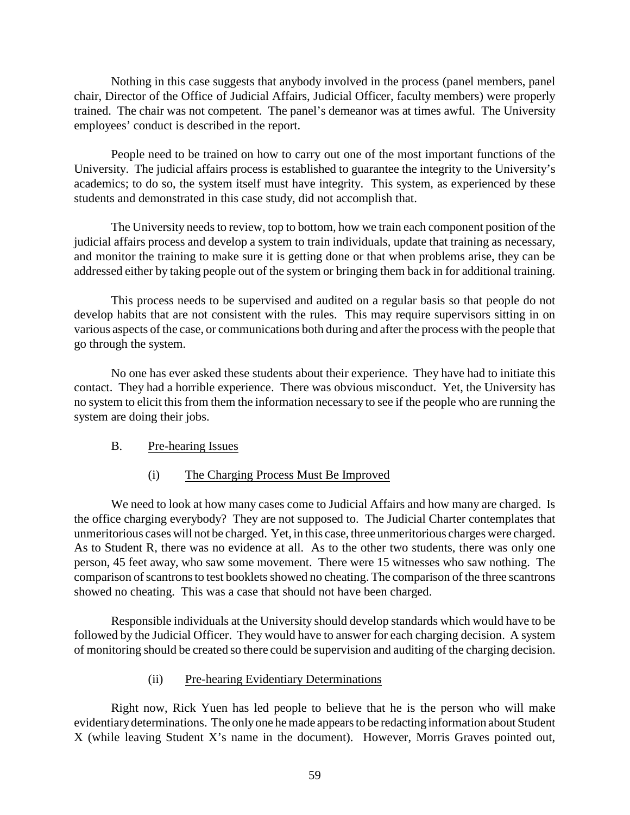Nothing in this case suggests that anybody involved in the process (panel members, panel chair, Director of the Office of Judicial Affairs, Judicial Officer, faculty members) were properly trained. The chair was not competent. The panel's demeanor was at times awful. The University employees' conduct is described in the report.

People need to be trained on how to carry out one of the most important functions of the University. The judicial affairs process is established to guarantee the integrity to the University's academics; to do so, the system itself must have integrity. This system, as experienced by these students and demonstrated in this case study, did not accomplish that.

The University needs to review, top to bottom, how we train each component position of the judicial affairs process and develop a system to train individuals, update that training as necessary, and monitor the training to make sure it is getting done or that when problems arise, they can be addressed either by taking people out of the system or bringing them back in for additional training.

This process needs to be supervised and audited on a regular basis so that people do not develop habits that are not consistent with the rules. This may require supervisors sitting in on various aspects of the case, or communications both during and after the process with the people that go through the system.

No one has ever asked these students about their experience. They have had to initiate this contact. They had a horrible experience. There was obvious misconduct. Yet, the University has no system to elicit this from them the information necessary to see if the people who are running the system are doing their jobs.

### B. Pre-hearing Issues

### (i) The Charging Process Must Be Improved

We need to look at how many cases come to Judicial Affairs and how many are charged. Is the office charging everybody? They are not supposed to. The Judicial Charter contemplates that unmeritorious cases will not be charged. Yet, in this case, three unmeritorious charges were charged. As to Student R, there was no evidence at all. As to the other two students, there was only one person, 45 feet away, who saw some movement. There were 15 witnesses who saw nothing. The comparison of scantrons to test booklets showed no cheating. The comparison of the three scantrons showed no cheating. This was a case that should not have been charged.

Responsible individuals at the University should develop standards which would have to be followed by the Judicial Officer. They would have to answer for each charging decision. A system of monitoring should be created so there could be supervision and auditing of the charging decision.

### (ii) Pre-hearing Evidentiary Determinations

Right now, Rick Yuen has led people to believe that he is the person who will make evidentiarydeterminations. The onlyone he made appears to be redacting information about Student X (while leaving Student X's name in the document). However, Morris Graves pointed out,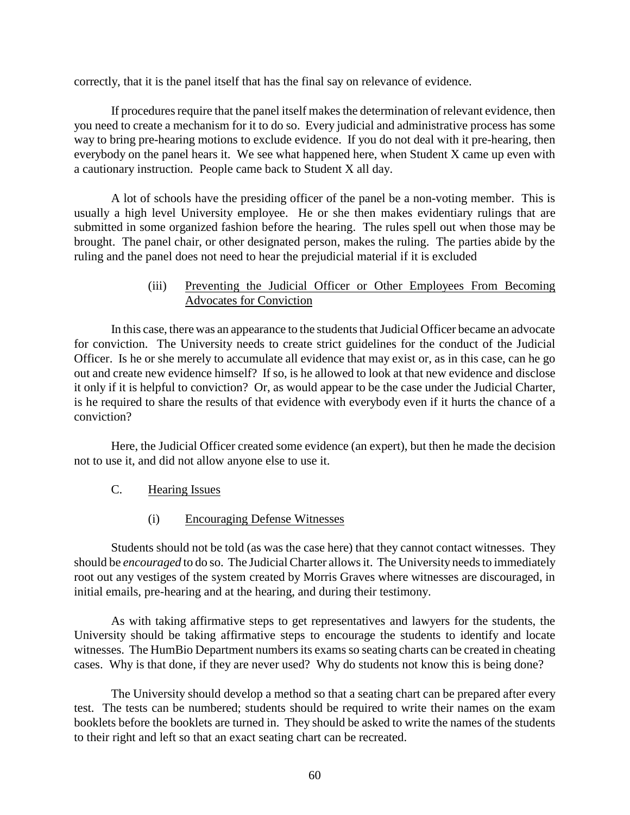correctly, that it is the panel itself that has the final say on relevance of evidence.

If procedures require that the panel itself makes the determination of relevant evidence, then you need to create a mechanism for it to do so. Every judicial and administrative process has some way to bring pre-hearing motions to exclude evidence. If you do not deal with it pre-hearing, then everybody on the panel hears it. We see what happened here, when Student X came up even with a cautionary instruction. People came back to Student X all day.

A lot of schools have the presiding officer of the panel be a non-voting member. This is usually a high level University employee. He or she then makes evidentiary rulings that are submitted in some organized fashion before the hearing. The rules spell out when those may be brought. The panel chair, or other designated person, makes the ruling. The parties abide by the ruling and the panel does not need to hear the prejudicial material if it is excluded

## (iii) Preventing the Judicial Officer or Other Employees From Becoming Advocates for Conviction

In this case, there was an appearance to the students that Judicial Officer became an advocate for conviction. The University needs to create strict guidelines for the conduct of the Judicial Officer. Is he or she merely to accumulate all evidence that may exist or, as in this case, can he go out and create new evidence himself? If so, is he allowed to look at that new evidence and disclose it only if it is helpful to conviction? Or, as would appear to be the case under the Judicial Charter, is he required to share the results of that evidence with everybody even if it hurts the chance of a conviction?

Here, the Judicial Officer created some evidence (an expert), but then he made the decision not to use it, and did not allow anyone else to use it.

- C. Hearing Issues
	- (i) Encouraging Defense Witnesses

Students should not be told (as was the case here) that they cannot contact witnesses. They should be *encouraged* to do so. The Judicial Charter allows it. The University needs to immediately root out any vestiges of the system created by Morris Graves where witnesses are discouraged, in initial emails, pre-hearing and at the hearing, and during their testimony.

As with taking affirmative steps to get representatives and lawyers for the students, the University should be taking affirmative steps to encourage the students to identify and locate witnesses. The HumBio Department numbers its exams so seating charts can be created in cheating cases. Why is that done, if they are never used? Why do students not know this is being done?

The University should develop a method so that a seating chart can be prepared after every test. The tests can be numbered; students should be required to write their names on the exam booklets before the booklets are turned in. They should be asked to write the names of the students to their right and left so that an exact seating chart can be recreated.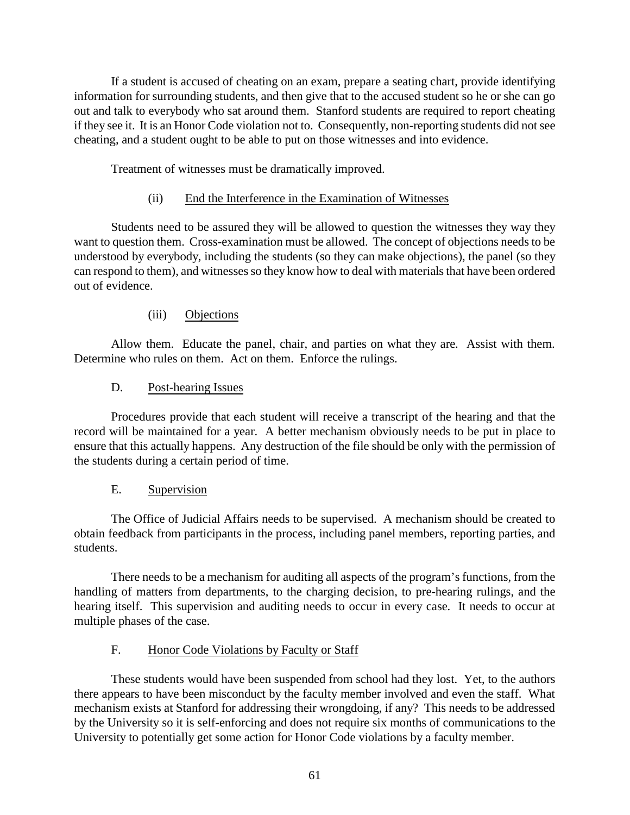If a student is accused of cheating on an exam, prepare a seating chart, provide identifying information for surrounding students, and then give that to the accused student so he or she can go out and talk to everybody who sat around them. Stanford students are required to report cheating if they see it. It is an Honor Code violation not to. Consequently, non-reporting students did not see cheating, and a student ought to be able to put on those witnesses and into evidence.

Treatment of witnesses must be dramatically improved.

## (ii) End the Interference in the Examination of Witnesses

Students need to be assured they will be allowed to question the witnesses they way they want to question them. Cross-examination must be allowed. The concept of objections needs to be understood by everybody, including the students (so they can make objections), the panel (so they can respond to them), and witnesses so they know how to deal with materials that have been ordered out of evidence.

### (iii) Objections

Allow them. Educate the panel, chair, and parties on what they are. Assist with them. Determine who rules on them. Act on them. Enforce the rulings.

### D. Post-hearing Issues

Procedures provide that each student will receive a transcript of the hearing and that the record will be maintained for a year. A better mechanism obviously needs to be put in place to ensure that this actually happens. Any destruction of the file should be only with the permission of the students during a certain period of time.

### E. Supervision

The Office of Judicial Affairs needs to be supervised. A mechanism should be created to obtain feedback from participants in the process, including panel members, reporting parties, and students.

There needs to be a mechanism for auditing all aspects of the program's functions, from the handling of matters from departments, to the charging decision, to pre-hearing rulings, and the hearing itself. This supervision and auditing needs to occur in every case. It needs to occur at multiple phases of the case.

# F. Honor Code Violations by Faculty or Staff

These students would have been suspended from school had they lost. Yet, to the authors there appears to have been misconduct by the faculty member involved and even the staff. What mechanism exists at Stanford for addressing their wrongdoing, if any? This needs to be addressed by the University so it is self-enforcing and does not require six months of communications to the University to potentially get some action for Honor Code violations by a faculty member.